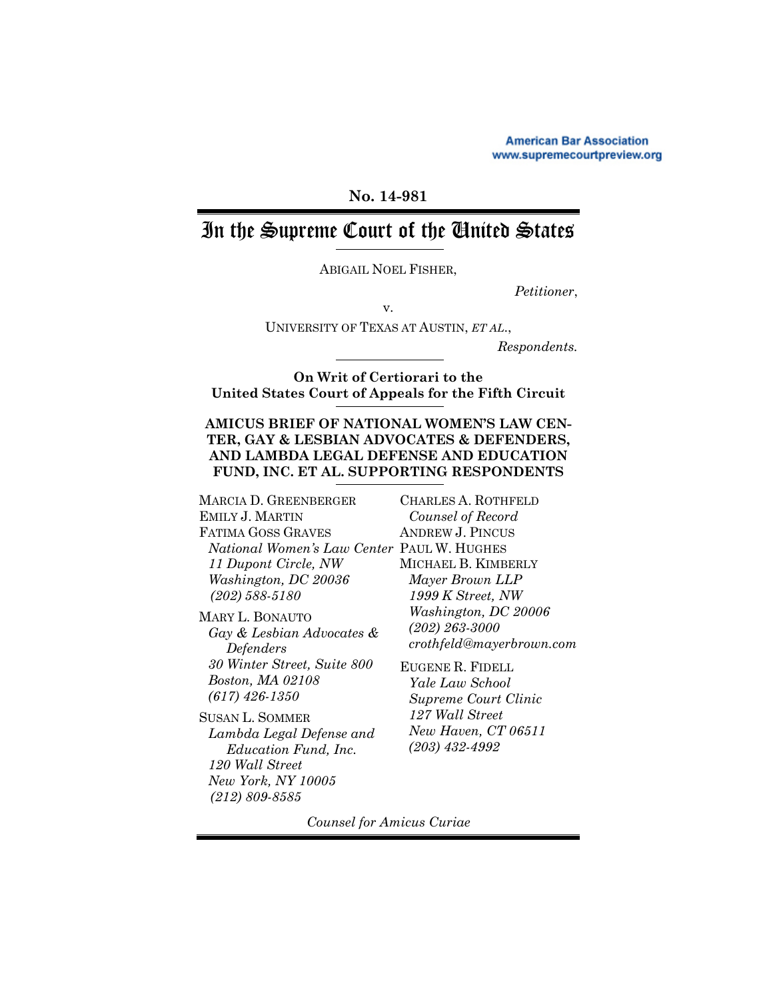**American Bar Association** www.supremecourtpreview.org

# **No. 14-981**

# In the Supreme Court of the United States

ABIGAIL NOEL FISHER,

*Petitioner*,

v. UNIVERSITY OF TEXAS AT AUSTIN, *ET AL*.,

*Respondents.*

**On Writ of Certiorari to the United States Court of Appeals for the Fifth Circuit** 

## **AMICUS BRIEF OF NATIONAL WOMEN'S LAW CEN-TER, GAY & LESBIAN ADVOCATES & DEFENDERS, AND LAMBDA LEGAL DEFENSE AND EDUCATION FUND, INC. ET AL. SUPPORTING RESPONDENTS**

MARCIA D. GREENBERGER EMILY J. MARTIN FATIMA GOSS GRAVES *National Women's Law Center* PAUL W. HUGHES *11 Dupont Circle, NW Washington, DC 20036 (202) 588-5180*

MARY L. BONAUTO *Gay & Lesbian Advocates & Defenders 30 Winter Street, Suite 800 Boston, MA 02108 (617) 426-1350*

SUSAN L. SOMMER *Lambda Legal Defense and Education Fund, Inc. 120 Wall Street New York, NY 10005 (212) 809-8585*

CHARLES A. ROTHFELD *Counsel of Record* ANDREW J. PINCUS MICHAEL B. KIMBERLY *Mayer Brown LLP 1999 K Street, NW Washington, DC 20006 (202) 263-3000 crothfeld@mayerbrown.com*

EUGENE R. FIDELL *Yale Law School Supreme Court Clinic 127 Wall Street New Haven, CT 06511 (203) 432-4992*

*Counsel for Amicus Curiae*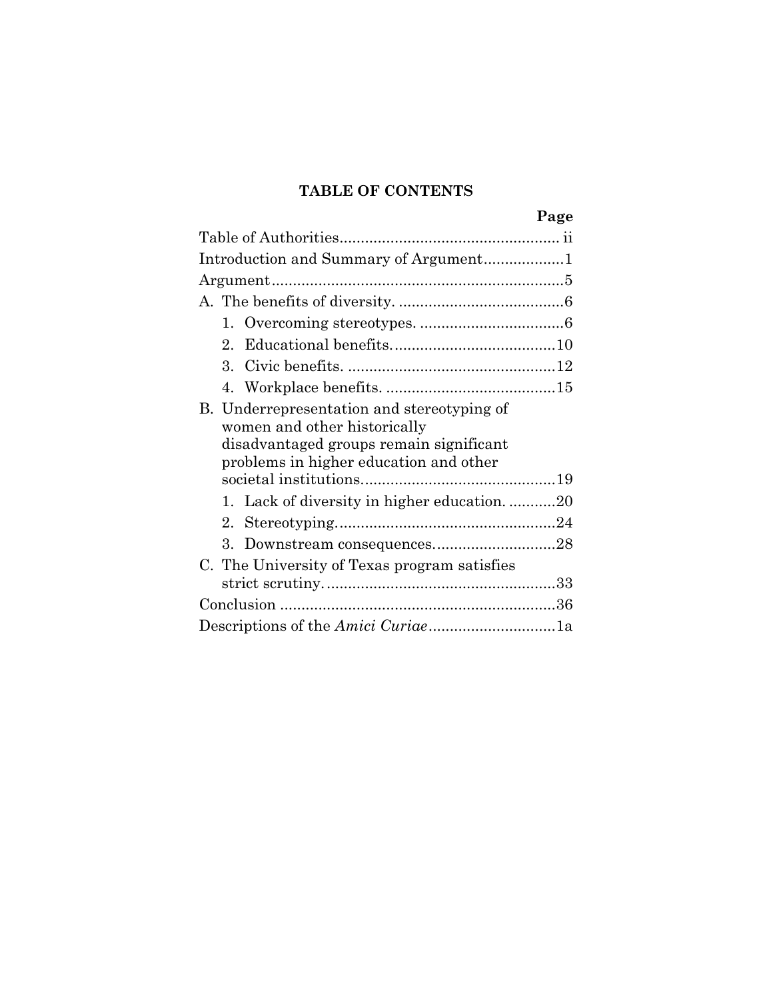# **TABLE OF CONTENTS**

|                                                                            | Page |
|----------------------------------------------------------------------------|------|
|                                                                            |      |
| Introduction and Summary of Argument1                                      |      |
|                                                                            |      |
|                                                                            |      |
|                                                                            |      |
| $2^{\circ}$                                                                |      |
|                                                                            |      |
|                                                                            |      |
| B. Underrepresentation and stereotyping of<br>women and other historically |      |
| disadvantaged groups remain significant                                    |      |
| problems in higher education and other                                     |      |
|                                                                            |      |
| 1. Lack of diversity in higher education20                                 |      |
|                                                                            |      |
|                                                                            |      |
| C. The University of Texas program satisfies                               |      |
|                                                                            |      |
|                                                                            |      |
| Descriptions of the Amici Curiae1a                                         |      |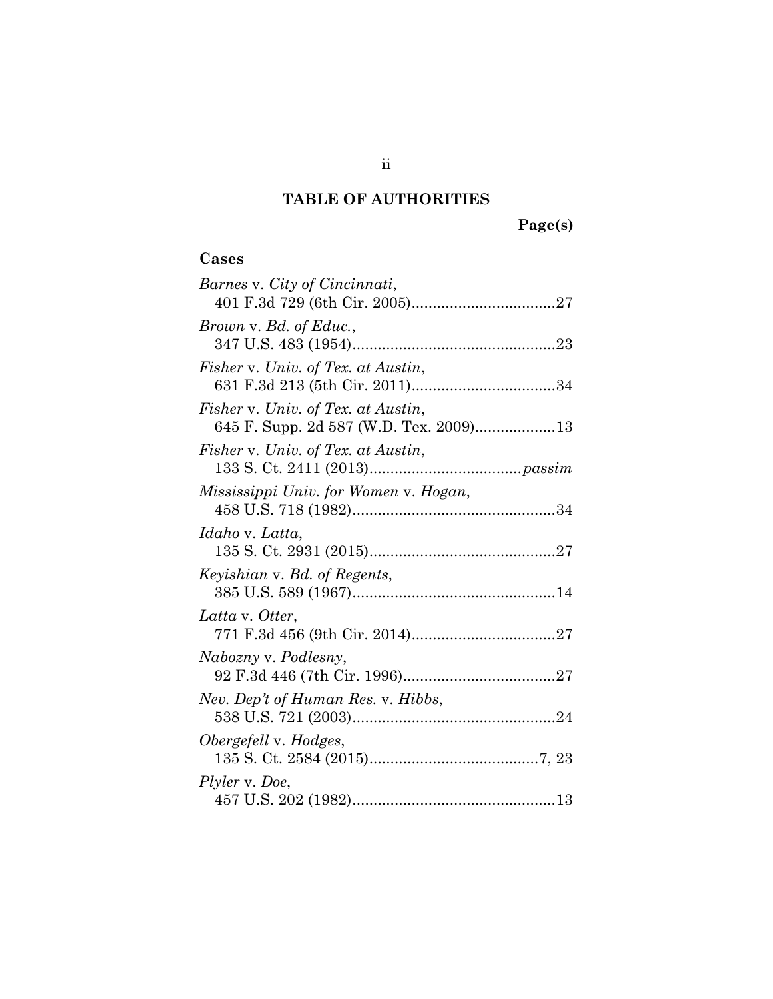# **TABLE OF AUTHORITIES**

**Page(s)**

# **Cases**

| Barnes v. City of Cincinnati,          |
|----------------------------------------|
|                                        |
| Brown v. Bd. of Educ.,                 |
|                                        |
| Fisher v. Univ. of Tex. at Austin,     |
|                                        |
| Fisher v. Univ. of Tex. at Austin,     |
| 645 F. Supp. 2d 587 (W.D. Tex. 2009)13 |
| Fisher v. Univ. of Tex. at Austin,     |
|                                        |
| Mississippi Univ. for Women v. Hogan,  |
|                                        |
| Idaho v. Latta,                        |
|                                        |
| Keyishian v. Bd. of Regents,           |
|                                        |
| Latta v. Otter,                        |
|                                        |
| Nabozny v. Podlesny,                   |
|                                        |
| Nev. Dep't of Human Res. v. Hibbs,     |
|                                        |
| Obergefell v. Hodges,                  |
|                                        |
| Plyler v. Doe,                         |
|                                        |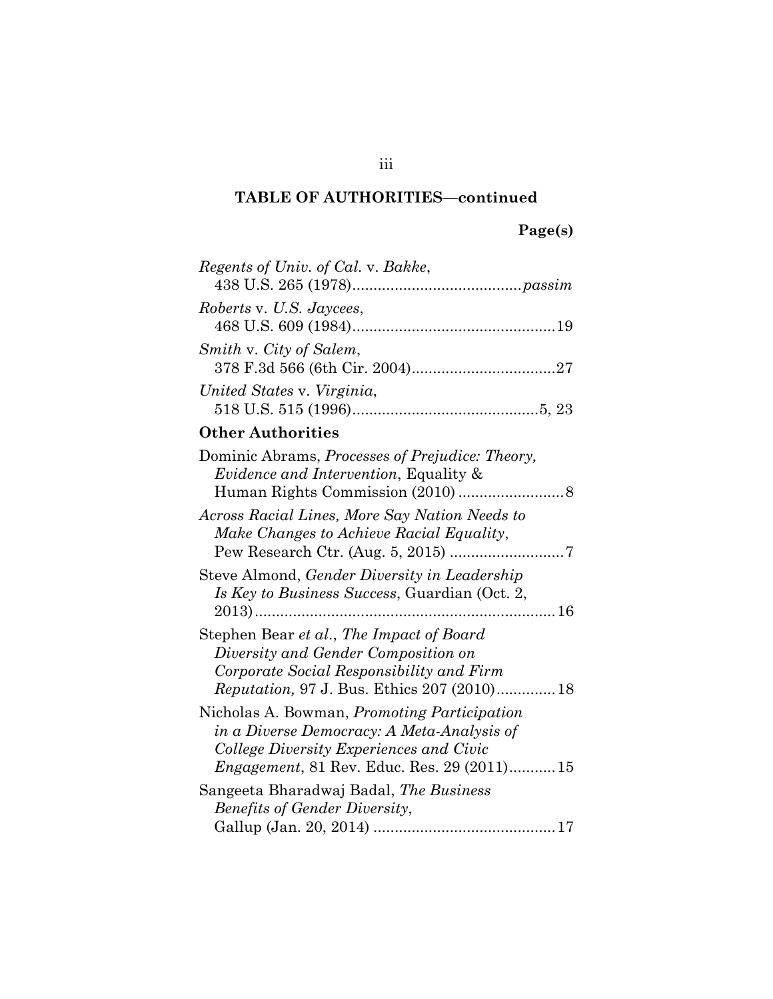# **Page(s)**

| Regents of Univ. of Cal. v. Bakke,                                                                                                                                                                |
|---------------------------------------------------------------------------------------------------------------------------------------------------------------------------------------------------|
| Roberts v. U.S. Jaycees,                                                                                                                                                                          |
| Smith v. City of Salem,                                                                                                                                                                           |
| United States v. Virginia,                                                                                                                                                                        |
| <b>Other Authorities</b>                                                                                                                                                                          |
| Dominic Abrams, Processes of Prejudice: Theory,<br><i>Evidence and Intervention</i> , Equality &                                                                                                  |
| Across Racial Lines, More Say Nation Needs to<br>Make Changes to Achieve Racial Equality,                                                                                                         |
| Steve Almond, Gender Diversity in Leadership<br>Is Key to Business Success, Guardian (Oct. 2,                                                                                                     |
| Stephen Bear et al., The Impact of Board<br>Diversity and Gender Composition on<br>Corporate Social Responsibility and Firm<br><i>Reputation, 97 J. Bus. Ethics 207 (2010)18</i>                  |
| Nicholas A. Bowman, <i>Promoting Participation</i><br>in a Diverse Democracy: A Meta-Analysis of<br>College Diversity Experiences and Civic<br><i>Engagement</i> , 81 Rev. Educ. Res. 29 (2011)15 |
| Sangeeta Bharadwaj Badal, The Business<br><b>Benefits of Gender Diversity,</b>                                                                                                                    |

iii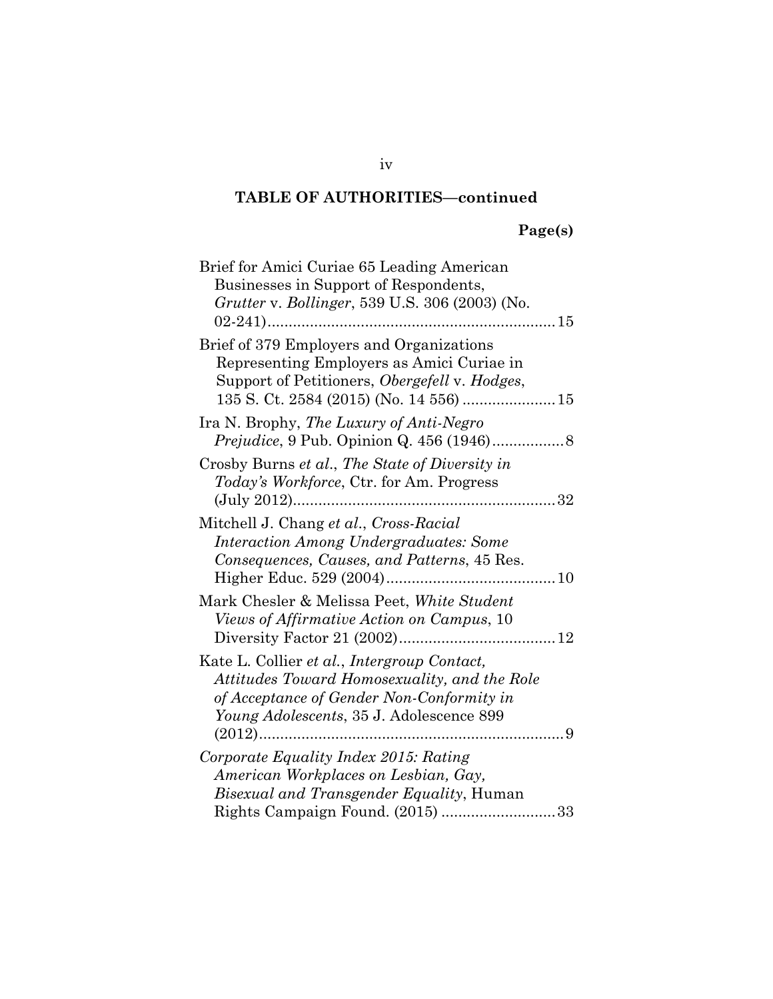# **Page(s)**

| Brief for Amici Curiae 65 Leading American       |
|--------------------------------------------------|
| Businesses in Support of Respondents,            |
| Grutter v. Bollinger, 539 U.S. 306 (2003) (No.   |
|                                                  |
| Brief of 379 Employers and Organizations         |
| Representing Employers as Amici Curiae in        |
| Support of Petitioners, Obergefell v. Hodges,    |
|                                                  |
| Ira N. Brophy, The Luxury of Anti-Negro          |
|                                                  |
| Crosby Burns et al., The State of Diversity in   |
| Today's Workforce, Ctr. for Am. Progress         |
|                                                  |
| Mitchell J. Chang et al., Cross-Racial           |
| <b>Interaction Among Undergraduates: Some</b>    |
| Consequences, Causes, and Patterns, 45 Res.      |
| Higher Educ. 529 (2004)                          |
| Mark Chesler & Melissa Peet, White Student       |
| Views of Affirmative Action on Campus, 10        |
|                                                  |
| Kate L. Collier et al., Intergroup Contact,      |
| Attitudes Toward Homosexuality, and the Role     |
| of Acceptance of Gender Non-Conformity in        |
| Young Adolescents, 35 J. Adolescence 899         |
|                                                  |
| Corporate Equality Index 2015: Rating            |
| American Workplaces on Lesbian, Gay,             |
| <i>Bisexual and Transgender Equality</i> , Human |
| Rights Campaign Found. (2015) 33                 |

iv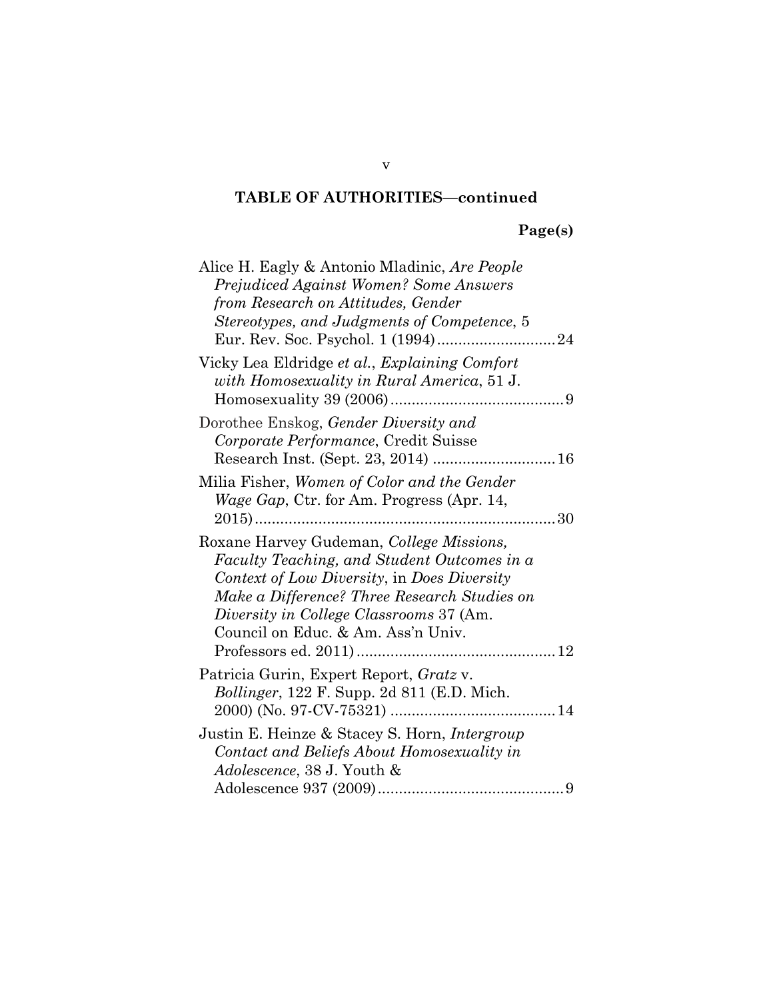# **Page(s)**

| Alice H. Eagly & Antonio Mladinic, Are People        |
|------------------------------------------------------|
| <b>Prejudiced Against Women? Some Answers</b>        |
| from Research on Attitudes, Gender                   |
| Stereotypes, and Judgments of Competence, 5          |
|                                                      |
|                                                      |
| Vicky Lea Eldridge et al., Explaining Comfort        |
| with Homosexuality in Rural America, 51 J.           |
|                                                      |
| Dorothee Enskog, Gender Diversity and                |
| Corporate Performance, Credit Suisse                 |
|                                                      |
| Milia Fisher, Women of Color and the Gender          |
|                                                      |
| <i>Wage Gap</i> , Ctr. for Am. Progress (Apr. 14,    |
|                                                      |
| Roxane Harvey Gudeman, College Missions,             |
| Faculty Teaching, and Student Outcomes in a          |
| Context of Low Diversity, in Does Diversity          |
| Make a Difference? Three Research Studies on         |
| Diversity in College Classrooms 37 (Am.              |
| Council on Educ. & Am. Ass'n Univ.                   |
|                                                      |
|                                                      |
| Patricia Gurin, Expert Report, Gratz v.              |
| Bollinger, 122 F. Supp. 2d 811 (E.D. Mich.           |
|                                                      |
| Justin E. Heinze & Stacey S. Horn, <i>Intergroup</i> |
| Contact and Beliefs About Homosexuality in           |
| <i>Adolescence, 38 J. Youth &amp;</i>                |
|                                                      |

v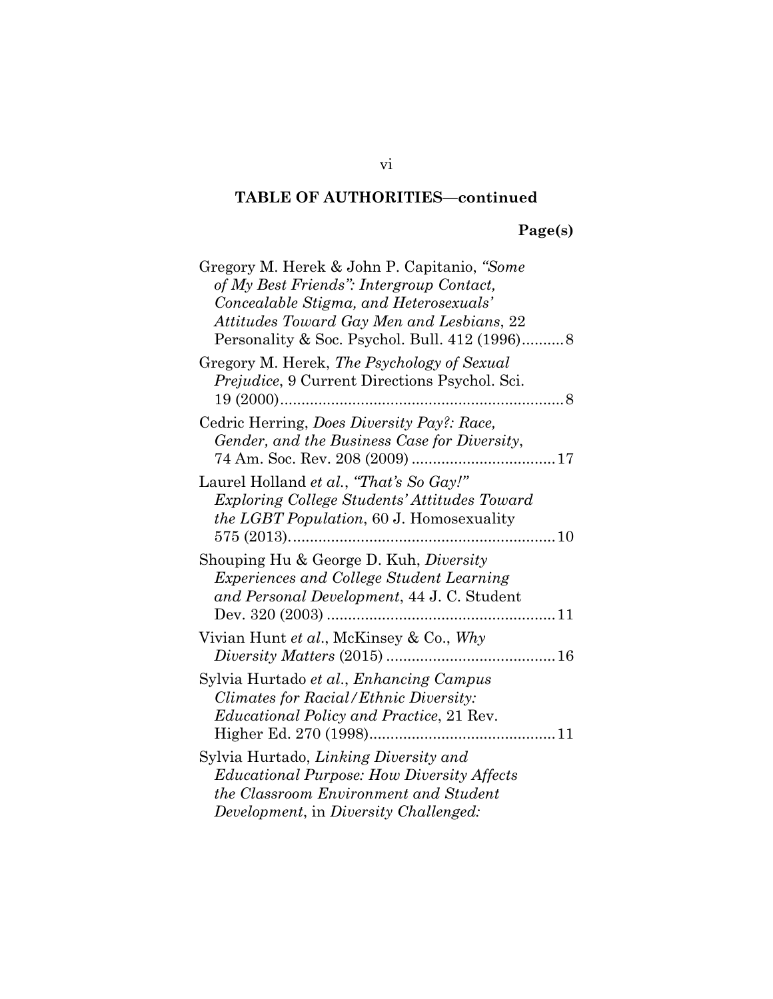# **Page(s)**

| Gregory M. Herek & John P. Capitanio, "Some           |
|-------------------------------------------------------|
| of My Best Friends": Intergroup Contact,              |
| Concealable Stigma, and Heterosexuals'                |
| Attitudes Toward Gay Men and Lesbians, 22             |
|                                                       |
| Gregory M. Herek, The Psychology of Sexual            |
| <i>Prejudice</i> , 9 Current Directions Psychol. Sci. |
|                                                       |
| Cedric Herring, Does Diversity Pay?: Race,            |
| Gender, and the Business Case for Diversity,          |
|                                                       |
| Laurel Holland et al., "That's So Gay!"               |
| <i>Exploring College Students' Attitudes Toward</i>   |
| <i>the LGBT Population, 60 J. Homosexuality</i>       |
| $575(2013)$                                           |
| Shouping Hu & George D. Kuh, Diversity                |
| <i>Experiences and College Student Learning</i>       |
| and Personal Development, 44 J.C. Student             |
|                                                       |
| Vivian Hunt et al., McKinsey & Co., Why               |
|                                                       |
| Sylvia Hurtado et al., Enhancing Campus               |
| <i>Climates for Racial/Ethnic Diversity:</i>          |
| <i>Educational Policy and Practice, 21 Rev.</i>       |
|                                                       |
|                                                       |
| Sylvia Hurtado, Linking Diversity and                 |
| <i>Educational Purpose: How Diversity Affects</i>     |
| the Classroom Environment and Student                 |
| Development, in Diversity Challenged:                 |

vi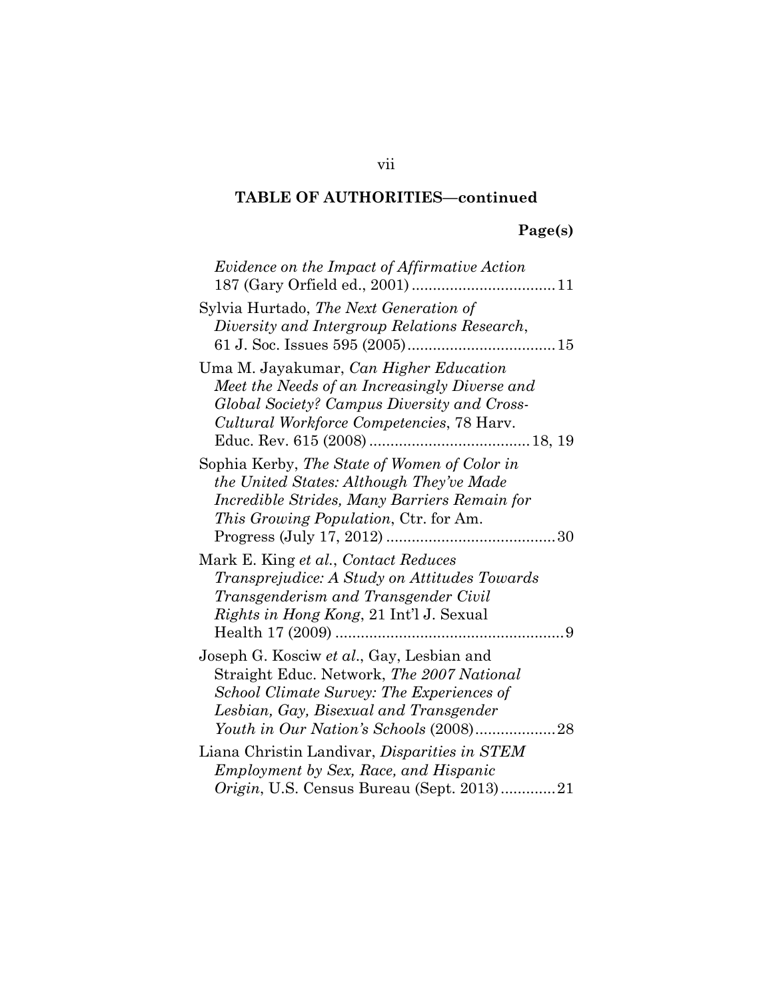# **Page(s)**

| Evidence on the Impact of Affirmative Action                                                                                                                                               |
|--------------------------------------------------------------------------------------------------------------------------------------------------------------------------------------------|
| Sylvia Hurtado, <i>The Next Generation of</i><br>Diversity and Intergroup Relations Research,                                                                                              |
| Uma M. Jayakumar, Can Higher Education<br>Meet the Needs of an Increasingly Diverse and<br>Global Society? Campus Diversity and Cross-<br>Cultural Workforce Competencies, 78 Harv.        |
| Sophia Kerby, The State of Women of Color in<br>the United States: Although They've Made<br>Incredible Strides, Many Barriers Remain for<br><i>This Growing Population, Ctr. for Am.</i>   |
| Mark E. King et al., Contact Reduces<br><i>Transprejudice: A Study on Attitudes Towards</i><br>Transgenderism and Transgender Civil<br><i>Rights in Hong Kong, 21 Int'l J. Sexual</i><br>9 |
| Joseph G. Kosciw et al., Gay, Lesbian and<br>Straight Educ. Network, The 2007 National<br>School Climate Survey: The Experiences of<br>Lesbian, Gay, Bisexual and Transgender              |
| Liana Christin Landivar, Disparities in STEM<br><b>Employment by Sex, Race, and Hispanic</b>                                                                                               |
| <i>Origin</i> , U.S. Census Bureau (Sept. 2013)21                                                                                                                                          |

vii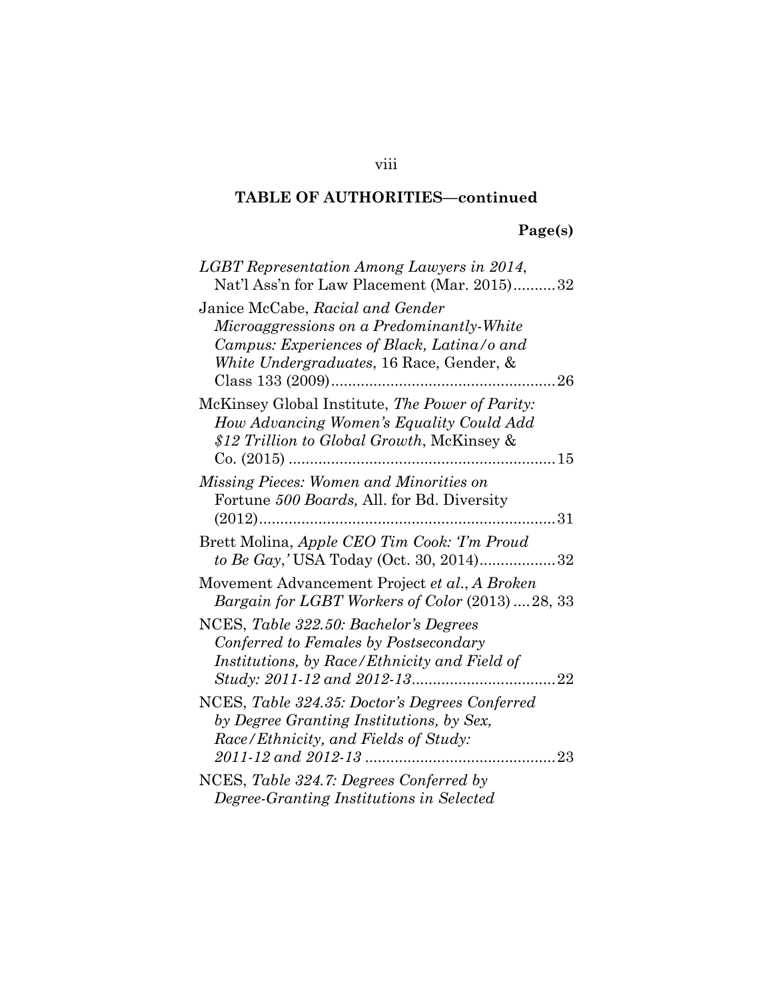# **Page(s)**

| LGBT Representation Among Lawyers in 2014,<br>Nat'l Ass'n for Law Placement (Mar. 2015)32                                                                                             |
|---------------------------------------------------------------------------------------------------------------------------------------------------------------------------------------|
| Janice McCabe, Racial and Gender<br>Microaggressions on a Predominantly-White<br>Campus: Experiences of Black, Latina/o and<br>White Undergraduates, 16 Race, Gender, &<br>$\dots 26$ |
| McKinsey Global Institute, The Power of Parity:<br>How Advancing Women's Equality Could Add<br>\$12 Trillion to Global Growth, McKinsey &                                             |
| Missing Pieces: Women and Minorities on<br>Fortune 500 Boards, All. for Bd. Diversity<br>$(2012)$                                                                                     |
| Brett Molina, Apple CEO Tim Cook: Tm Proud<br>to Be Gay,' USA Today (Oct. 30, 2014)32                                                                                                 |
| Movement Advancement Project et al., A Broken<br>Bargain for LGBT Workers of Color (2013)  28, 33                                                                                     |
| NCES, Table 322.50: Bachelor's Degrees<br>Conferred to Females by Postsecondary<br>Institutions, by Race/Ethnicity and Field of                                                       |
| NCES, Table 324.35: Doctor's Degrees Conferred<br>by Degree Granting Institutions, by Sex,<br>Race/Ethnicity, and Fields of Study:                                                    |
| NCES, Table 324.7: Degrees Conferred by<br>Degree-Granting Institutions in Selected                                                                                                   |

# viii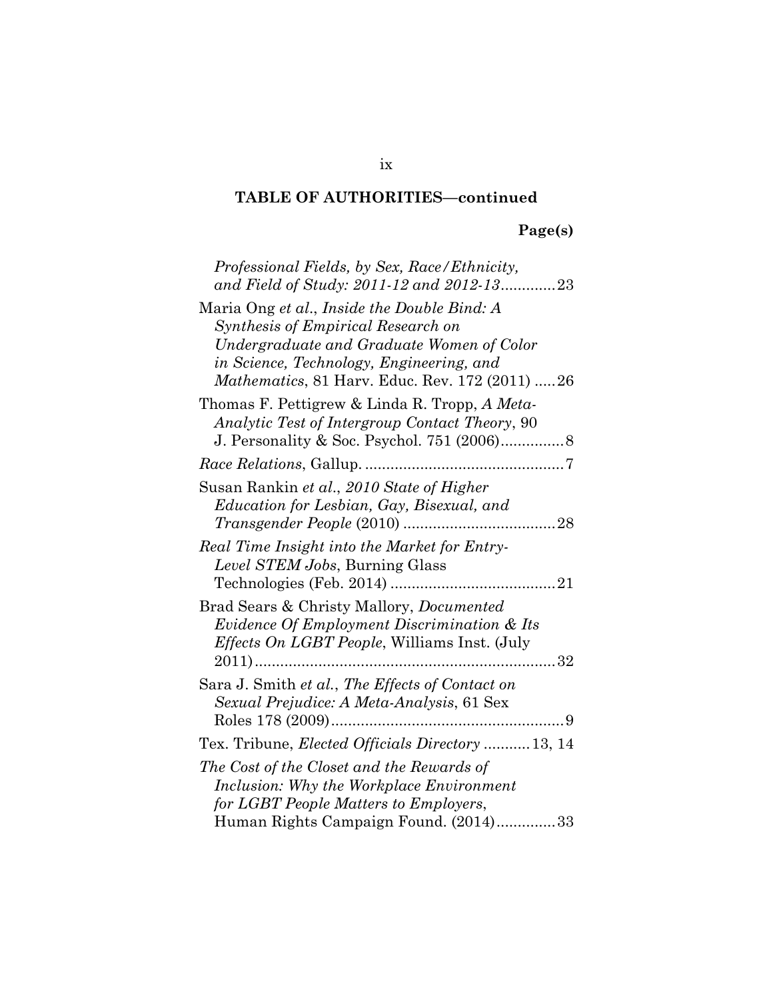# **Page(s)**

| Professional Fields, by Sex, Race/Ethnicity,<br>and Field of Study: 2011-12 and 2012-1323                                                                                                                                             |
|---------------------------------------------------------------------------------------------------------------------------------------------------------------------------------------------------------------------------------------|
| Maria Ong et al., Inside the Double Bind: A<br>Synthesis of Empirical Research on<br>Undergraduate and Graduate Women of Color<br>in Science, Technology, Engineering, and<br><i>Mathematics</i> , 81 Harv. Educ. Rev. 172 (2011)  26 |
| Thomas F. Pettigrew & Linda R. Tropp, A Meta-<br>Analytic Test of Intergroup Contact Theory, 90                                                                                                                                       |
|                                                                                                                                                                                                                                       |
| Susan Rankin et al., 2010 State of Higher<br>Education for Lesbian, Gay, Bisexual, and                                                                                                                                                |
| Real Time Insight into the Market for Entry-<br>Level STEM Jobs, Burning Glass                                                                                                                                                        |
| Brad Sears & Christy Mallory, <i>Documented</i><br>Evidence Of Employment Discrimination & Its<br>Effects On LGBT People, Williams Inst. (July                                                                                        |
| Sara J. Smith et al., The Effects of Contact on<br>Sexual Prejudice: A Meta-Analysis, 61 Sex                                                                                                                                          |
| Tex. Tribune, <i>Elected Officials Directory</i> 13, 14                                                                                                                                                                               |
| The Cost of the Closet and the Rewards of<br>Inclusion: Why the Workplace Environment<br>for LGBT People Matters to Employers,                                                                                                        |
| Human Rights Campaign Found. (2014)33                                                                                                                                                                                                 |

# ix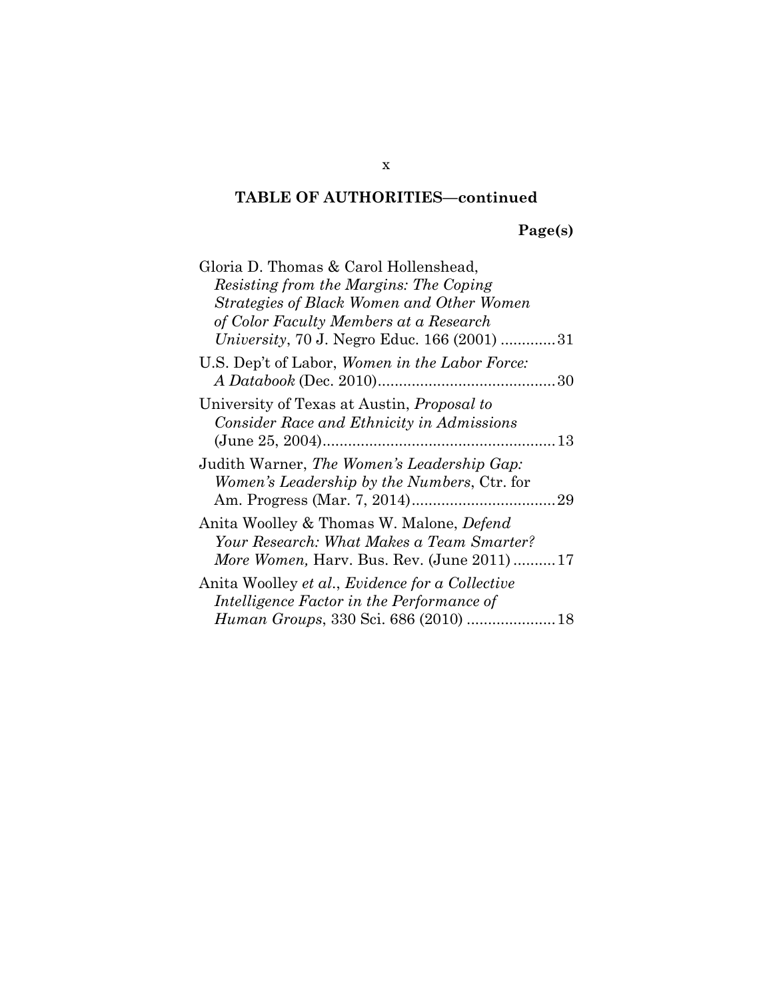**Page(s)**

| Gloria D. Thomas & Carol Hollenshead,                                                                                                             |  |
|---------------------------------------------------------------------------------------------------------------------------------------------------|--|
| Resisting from the Margins: The Coping                                                                                                            |  |
| Strategies of Black Women and Other Women                                                                                                         |  |
| of Color Faculty Members at a Research                                                                                                            |  |
| <i>University</i> , 70 J. Negro Educ. 166 (2001) 31                                                                                               |  |
| U.S. Dep't of Labor, Women in the Labor Force:                                                                                                    |  |
|                                                                                                                                                   |  |
| University of Texas at Austin, <i>Proposal to</i><br>Consider Race and Ethnicity in Admissions                                                    |  |
|                                                                                                                                                   |  |
| Judith Warner, The Women's Leadership Gap:<br>Women's Leadership by the Numbers, Ctr. for                                                         |  |
| Anita Woolley & Thomas W. Malone, <i>Defend</i><br>Your Research: What Makes a Team Smarter?<br><i>More Women, Harv. Bus. Rev. (June 2011) 17</i> |  |
| Anita Woolley et al., Evidence for a Collective<br>Intelligence Factor in the Performance of                                                      |  |
|                                                                                                                                                   |  |

x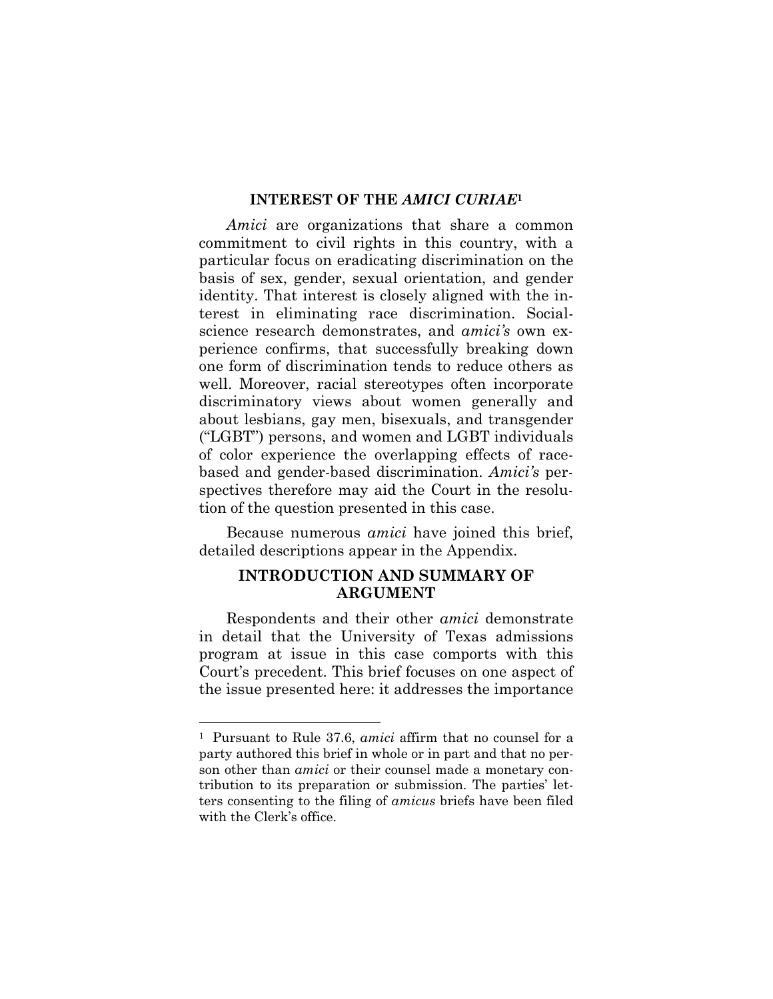# **INTEREST OF THE** *AMICI CURIAE***<sup>1</sup>**

*Amici* are organizations that share a common commitment to civil rights in this country, with a particular focus on eradicating discrimination on the basis of sex, gender, sexual orientation, and gender identity. That interest is closely aligned with the interest in eliminating race discrimination. Socialscience research demonstrates, and *amici's* own experience confirms, that successfully breaking down one form of discrimination tends to reduce others as well. Moreover, racial stereotypes often incorporate discriminatory views about women generally and about lesbians, gay men, bisexuals, and transgender ("LGBT") persons, and women and LGBT individuals of color experience the overlapping effects of racebased and gender-based discrimination. *Amici's* perspectives therefore may aid the Court in the resolution of the question presented in this case.

Because numerous *amici* have joined this brief, detailed descriptions appear in the Appendix.

# **INTRODUCTION AND SUMMARY OF ARGUMENT**

Respondents and their other *amici* demonstrate in detail that the University of Texas admissions program at issue in this case comports with this Court's precedent. This brief focuses on one aspect of the issue presented here: it addresses the importance

<sup>1</sup> Pursuant to Rule 37.6, *amici* affirm that no counsel for a party authored this brief in whole or in part and that no person other than *amici* or their counsel made a monetary contribution to its preparation or submission. The parties' letters consenting to the filing of *amicus* briefs have been filed with the Clerk's office.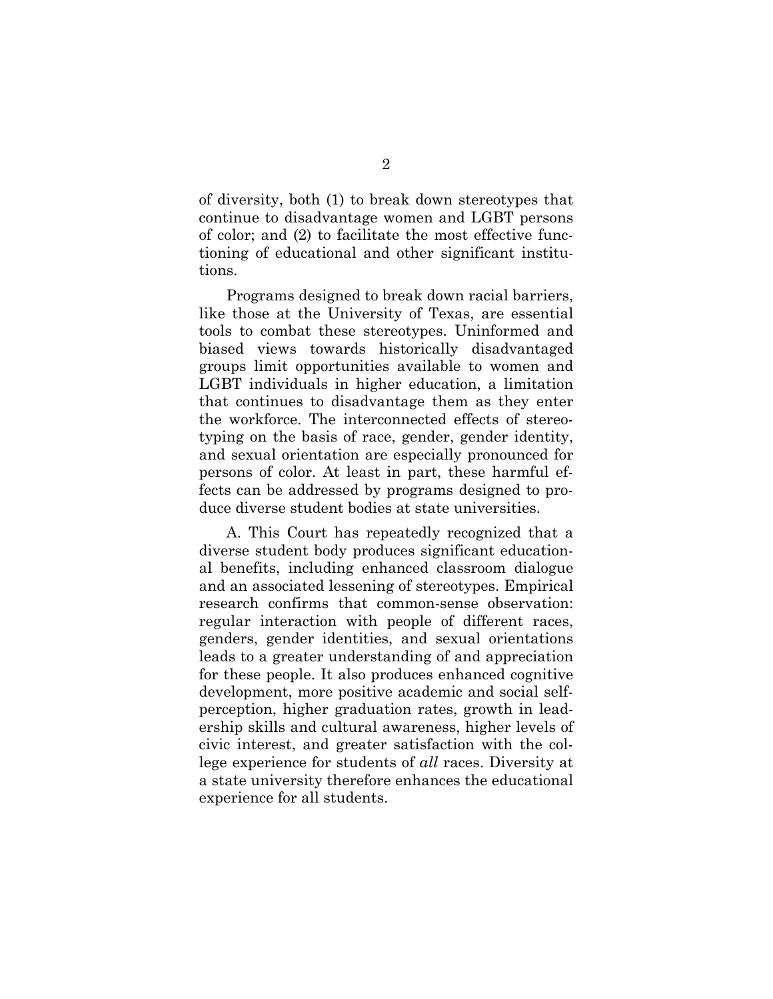of diversity, both (1) to break down stereotypes that continue to disadvantage women and LGBT persons of color; and (2) to facilitate the most effective functioning of educational and other significant institutions.

Programs designed to break down racial barriers, like those at the University of Texas, are essential tools to combat these stereotypes. Uninformed and biased views towards historically disadvantaged groups limit opportunities available to women and LGBT individuals in higher education, a limitation that continues to disadvantage them as they enter the workforce. The interconnected effects of stereotyping on the basis of race, gender, gender identity, and sexual orientation are especially pronounced for persons of color. At least in part, these harmful effects can be addressed by programs designed to produce diverse student bodies at state universities.

A. This Court has repeatedly recognized that a diverse student body produces significant educational benefits, including enhanced classroom dialogue and an associated lessening of stereotypes. Empirical research confirms that common-sense observation: regular interaction with people of different races, genders, gender identities, and sexual orientations leads to a greater understanding of and appreciation for these people. It also produces enhanced cognitive development, more positive academic and social selfperception, higher graduation rates, growth in leadership skills and cultural awareness, higher levels of civic interest, and greater satisfaction with the college experience for students of *all* races. Diversity at a state university therefore enhances the educational experience for all students.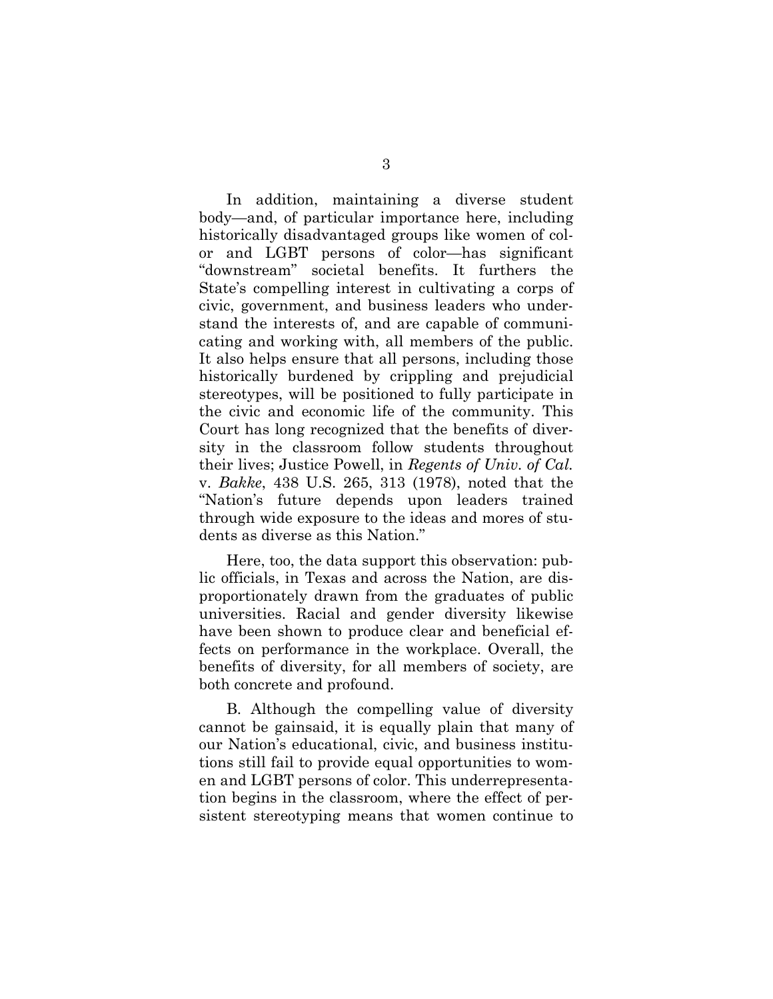In addition, maintaining a diverse student body—and, of particular importance here, including historically disadvantaged groups like women of color and LGBT persons of color—has significant "downstream" societal benefits. It furthers the State's compelling interest in cultivating a corps of civic, government, and business leaders who understand the interests of, and are capable of communicating and working with, all members of the public. It also helps ensure that all persons, including those historically burdened by crippling and prejudicial stereotypes, will be positioned to fully participate in the civic and economic life of the community. This Court has long recognized that the benefits of diversity in the classroom follow students throughout their lives; Justice Powell, in *Regents of Univ. of Cal.* v. *Bakke*, 438 U.S. 265, 313 (1978), noted that the "Nation's future depends upon leaders trained through wide exposure to the ideas and mores of students as diverse as this Nation."

Here, too, the data support this observation: public officials, in Texas and across the Nation, are disproportionately drawn from the graduates of public universities. Racial and gender diversity likewise have been shown to produce clear and beneficial effects on performance in the workplace. Overall, the benefits of diversity, for all members of society, are both concrete and profound.

B. Although the compelling value of diversity cannot be gainsaid, it is equally plain that many of our Nation's educational, civic, and business institutions still fail to provide equal opportunities to women and LGBT persons of color. This underrepresentation begins in the classroom, where the effect of persistent stereotyping means that women continue to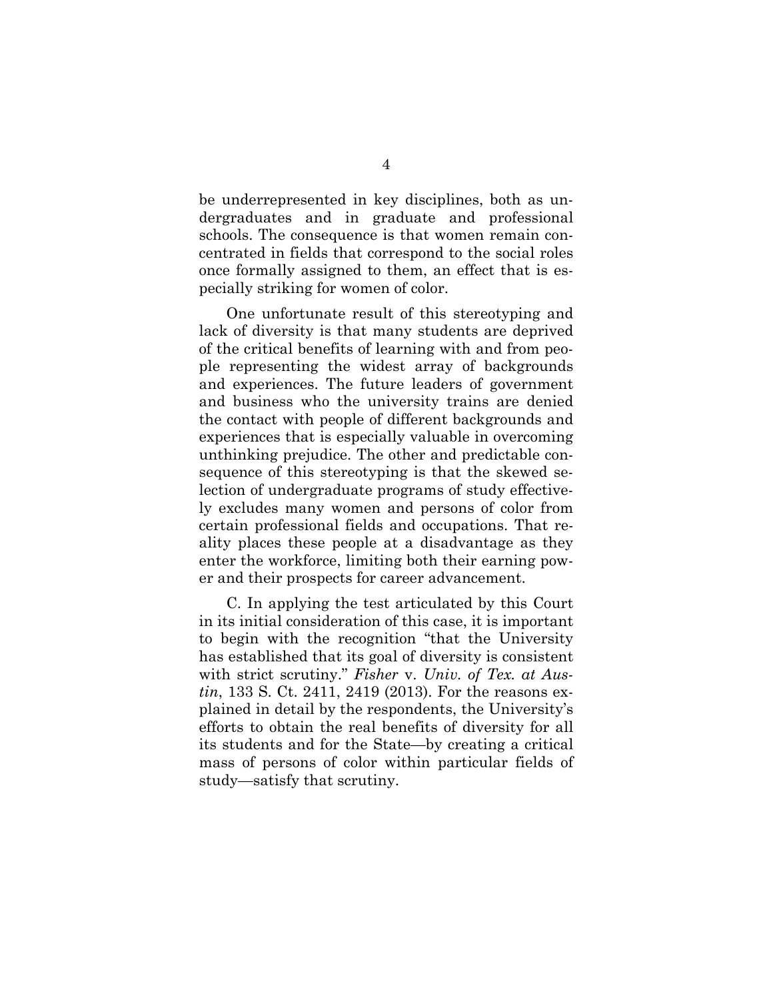be underrepresented in key disciplines, both as undergraduates and in graduate and professional schools. The consequence is that women remain concentrated in fields that correspond to the social roles once formally assigned to them, an effect that is especially striking for women of color.

One unfortunate result of this stereotyping and lack of diversity is that many students are deprived of the critical benefits of learning with and from people representing the widest array of backgrounds and experiences. The future leaders of government and business who the university trains are denied the contact with people of different backgrounds and experiences that is especially valuable in overcoming unthinking prejudice. The other and predictable consequence of this stereotyping is that the skewed selection of undergraduate programs of study effectively excludes many women and persons of color from certain professional fields and occupations. That reality places these people at a disadvantage as they enter the workforce, limiting both their earning power and their prospects for career advancement.

C. In applying the test articulated by this Court in its initial consideration of this case, it is important to begin with the recognition "that the University has established that its goal of diversity is consistent with strict scrutiny." *Fisher* v. *Univ. of Tex. at Austin*, 133 S. Ct. 2411, 2419 (2013). For the reasons explained in detail by the respondents, the University's efforts to obtain the real benefits of diversity for all its students and for the State—by creating a critical mass of persons of color within particular fields of study—satisfy that scrutiny.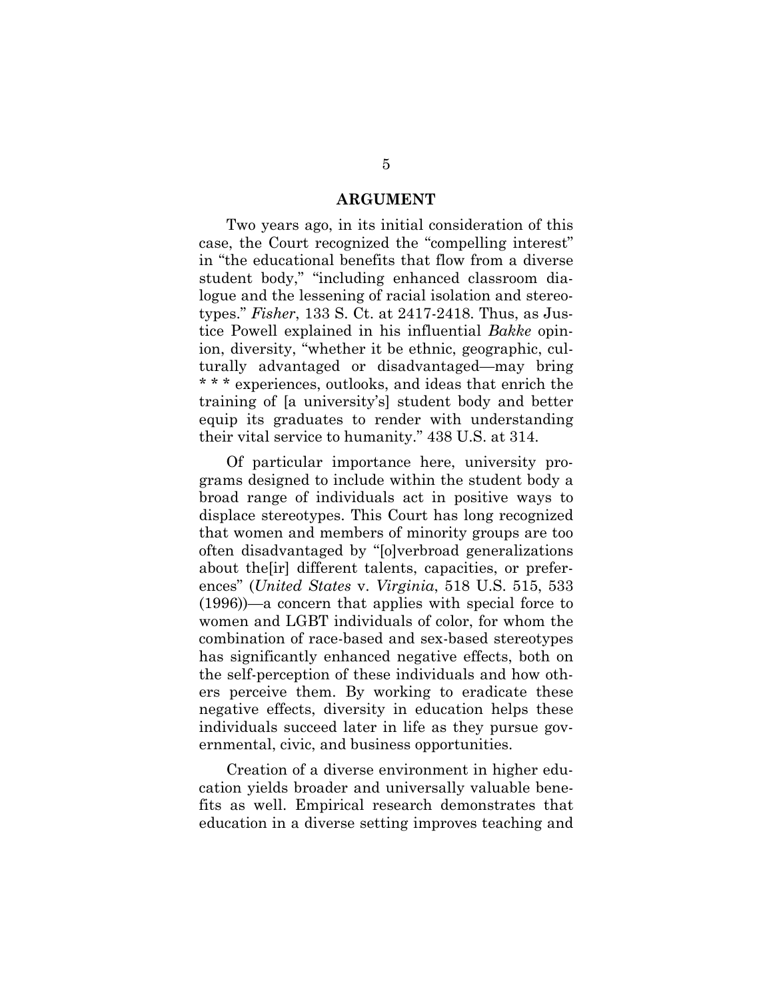#### **ARGUMENT**

Two years ago, in its initial consideration of this case, the Court recognized the "compelling interest" in "the educational benefits that flow from a diverse student body," "including enhanced classroom dialogue and the lessening of racial isolation and stereotypes." *Fisher*, 133 S. Ct. at 2417-2418. Thus, as Justice Powell explained in his influential *Bakke* opinion, diversity, "whether it be ethnic, geographic, culturally advantaged or disadvantaged—may bring \* \* \* experiences, outlooks, and ideas that enrich the training of [a university's] student body and better equip its graduates to render with understanding their vital service to humanity." 438 U.S. at 314.

Of particular importance here, university programs designed to include within the student body a broad range of individuals act in positive ways to displace stereotypes. This Court has long recognized that women and members of minority groups are too often disadvantaged by "[o]verbroad generalizations about the[ir] different talents, capacities, or preferences" (*United States* v. *Virginia*, 518 U.S. 515, 533 (1996))—a concern that applies with special force to women and LGBT individuals of color, for whom the combination of race-based and sex-based stereotypes has significantly enhanced negative effects, both on the self-perception of these individuals and how others perceive them. By working to eradicate these negative effects, diversity in education helps these individuals succeed later in life as they pursue governmental, civic, and business opportunities.

Creation of a diverse environment in higher education yields broader and universally valuable benefits as well. Empirical research demonstrates that education in a diverse setting improves teaching and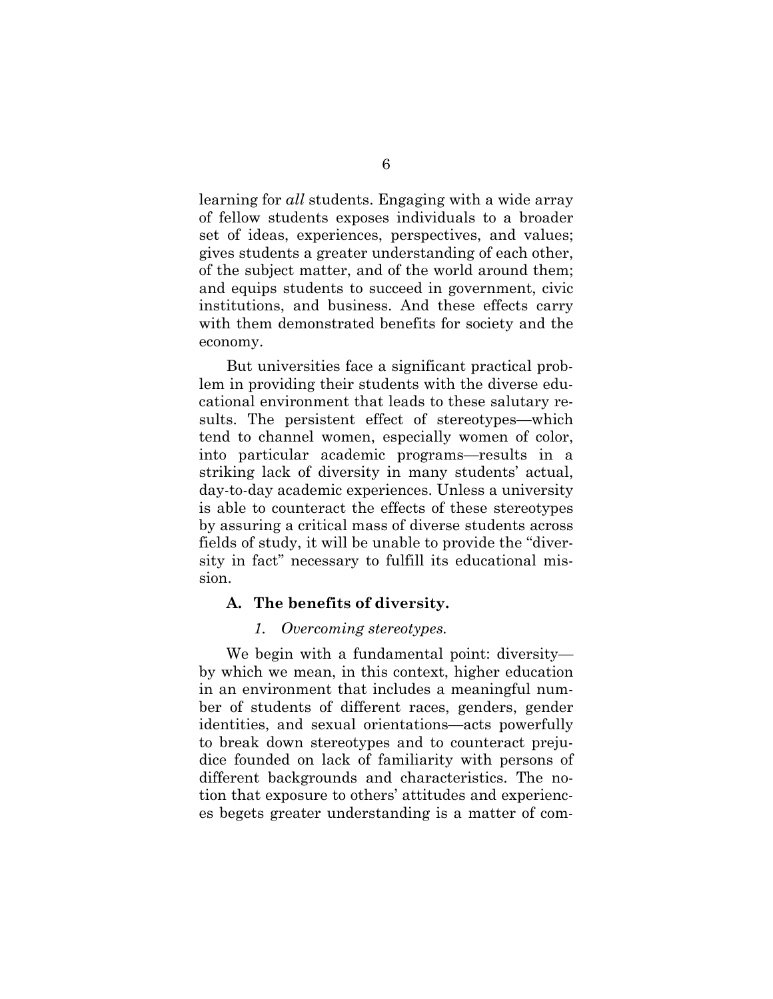learning for *all* students. Engaging with a wide array of fellow students exposes individuals to a broader set of ideas, experiences, perspectives, and values; gives students a greater understanding of each other, of the subject matter, and of the world around them; and equips students to succeed in government, civic institutions, and business. And these effects carry with them demonstrated benefits for society and the economy.

But universities face a significant practical problem in providing their students with the diverse educational environment that leads to these salutary results. The persistent effect of stereotypes—which tend to channel women, especially women of color, into particular academic programs—results in a striking lack of diversity in many students' actual, day-to-day academic experiences. Unless a university is able to counteract the effects of these stereotypes by assuring a critical mass of diverse students across fields of study, it will be unable to provide the "diversity in fact" necessary to fulfill its educational mission.

### **A. The benefits of diversity.**

### *1. Overcoming stereotypes.*

We begin with a fundamental point: diversity by which we mean, in this context, higher education in an environment that includes a meaningful number of students of different races, genders, gender identities, and sexual orientations—acts powerfully to break down stereotypes and to counteract prejudice founded on lack of familiarity with persons of different backgrounds and characteristics. The notion that exposure to others' attitudes and experiences begets greater understanding is a matter of com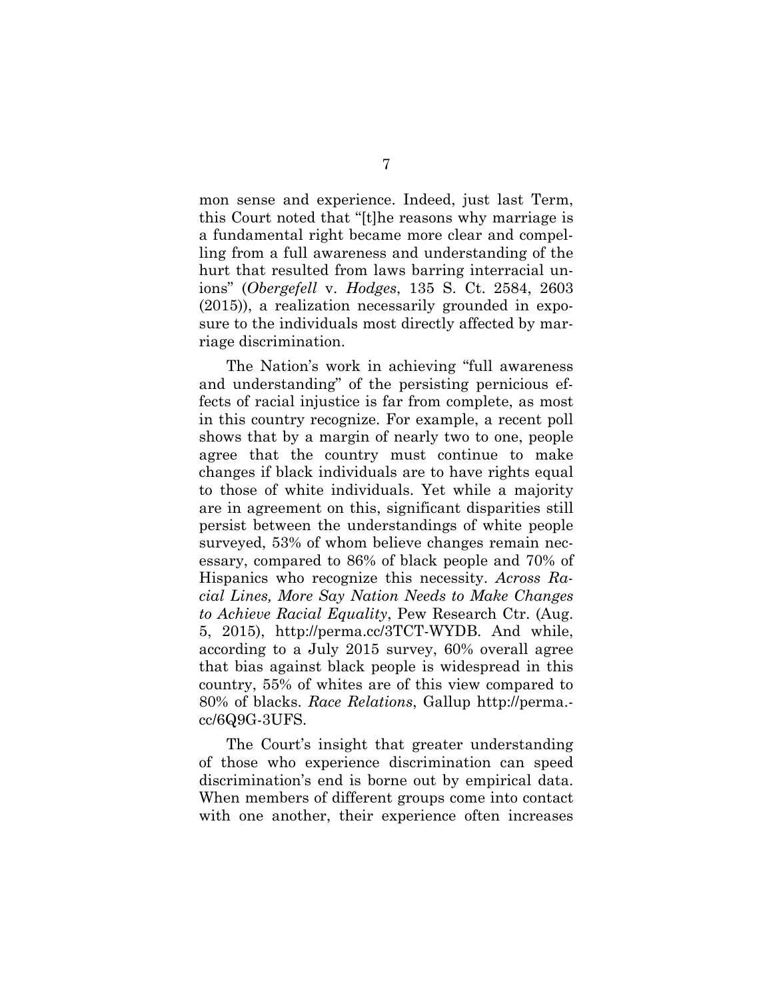mon sense and experience. Indeed, just last Term, this Court noted that "[t]he reasons why marriage is a fundamental right became more clear and compelling from a full awareness and understanding of the hurt that resulted from laws barring interracial unions" (*Obergefell* v. *Hodges*, 135 S. Ct. 2584, 2603 (2015)), a realization necessarily grounded in exposure to the individuals most directly affected by marriage discrimination.

The Nation's work in achieving "full awareness and understanding" of the persisting pernicious effects of racial injustice is far from complete, as most in this country recognize. For example, a recent poll shows that by a margin of nearly two to one, people agree that the country must continue to make changes if black individuals are to have rights equal to those of white individuals. Yet while a majority are in agreement on this, significant disparities still persist between the understandings of white people surveyed, 53% of whom believe changes remain necessary, compared to 86% of black people and 70% of Hispanics who recognize this necessity. *Across Racial Lines, More Say Nation Needs to Make Changes to Achieve Racial Equality*, Pew Research Ctr. (Aug. 5, 2015), http://perma.cc/3TCT-WYDB. And while, according to a July 2015 survey, 60% overall agree that bias against black people is widespread in this country, 55% of whites are of this view compared to 80% of blacks. *Race Relations*, Gallup http://perma. cc/6Q9G-3UFS.

The Court's insight that greater understanding of those who experience discrimination can speed discrimination's end is borne out by empirical data. When members of different groups come into contact with one another, their experience often increases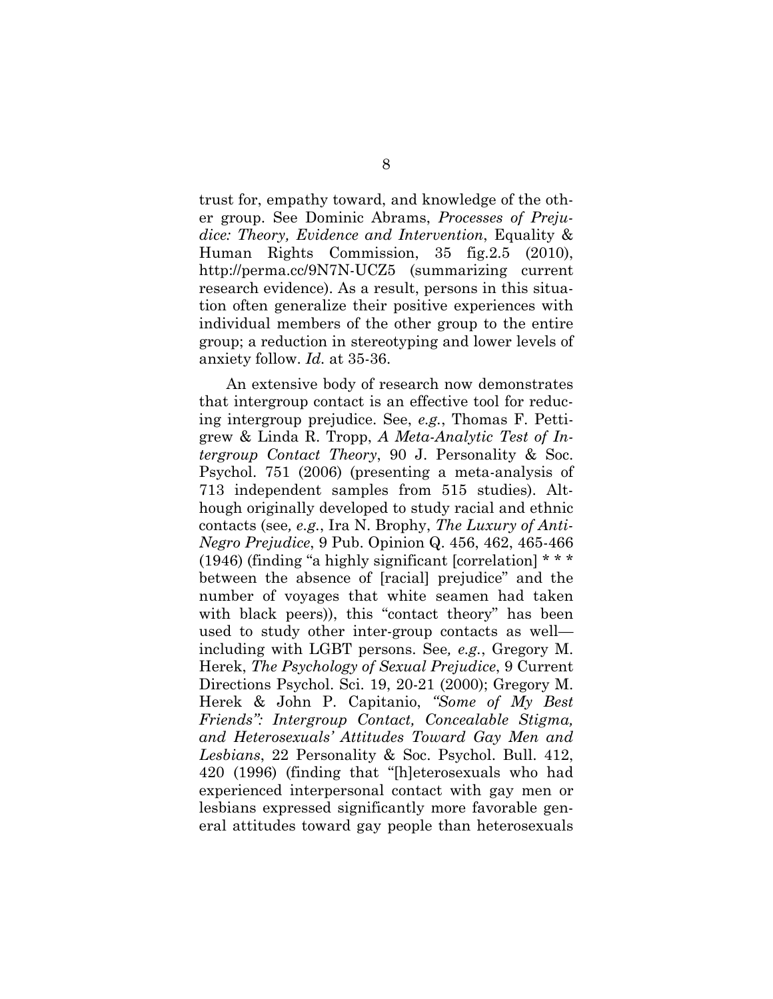trust for, empathy toward, and knowledge of the other group. See Dominic Abrams, *Processes of Prejudice: Theory, Evidence and Intervention*, Equality & Human Rights Commission, 35 fig.2.5 (2010), http://perma.cc/9N7N-UCZ5 (summarizing current research evidence). As a result, persons in this situation often generalize their positive experiences with individual members of the other group to the entire group; a reduction in stereotyping and lower levels of anxiety follow. *Id.* at 35-36.

An extensive body of research now demonstrates that intergroup contact is an effective tool for reducing intergroup prejudice. See, *e.g.*, Thomas F. Pettigrew & Linda R. Tropp, *A Meta-Analytic Test of Intergroup Contact Theory*, 90 J. Personality & Soc. Psychol. 751 (2006) (presenting a meta-analysis of 713 independent samples from 515 studies). Although originally developed to study racial and ethnic contacts (see*, e.g.*, Ira N. Brophy, *The Luxury of Anti-Negro Prejudice*, 9 Pub. Opinion Q. 456, 462, 465-466 (1946) (finding "a highly significant [correlation] \* \* \* between the absence of [racial] prejudice" and the number of voyages that white seamen had taken with black peers)), this "contact theory" has been used to study other inter-group contacts as well including with LGBT persons. See*, e.g.*, Gregory M. Herek, *The Psychology of Sexual Prejudice*, 9 Current Directions Psychol. Sci. 19, 20-21 (2000); Gregory M. Herek & John P. Capitanio, *"Some of My Best Friends": Intergroup Contact, Concealable Stigma, and Heterosexuals' Attitudes Toward Gay Men and Lesbians*, 22 Personality & Soc. Psychol. Bull. 412, 420 (1996) (finding that "[h]eterosexuals who had experienced interpersonal contact with gay men or lesbians expressed significantly more favorable general attitudes toward gay people than heterosexuals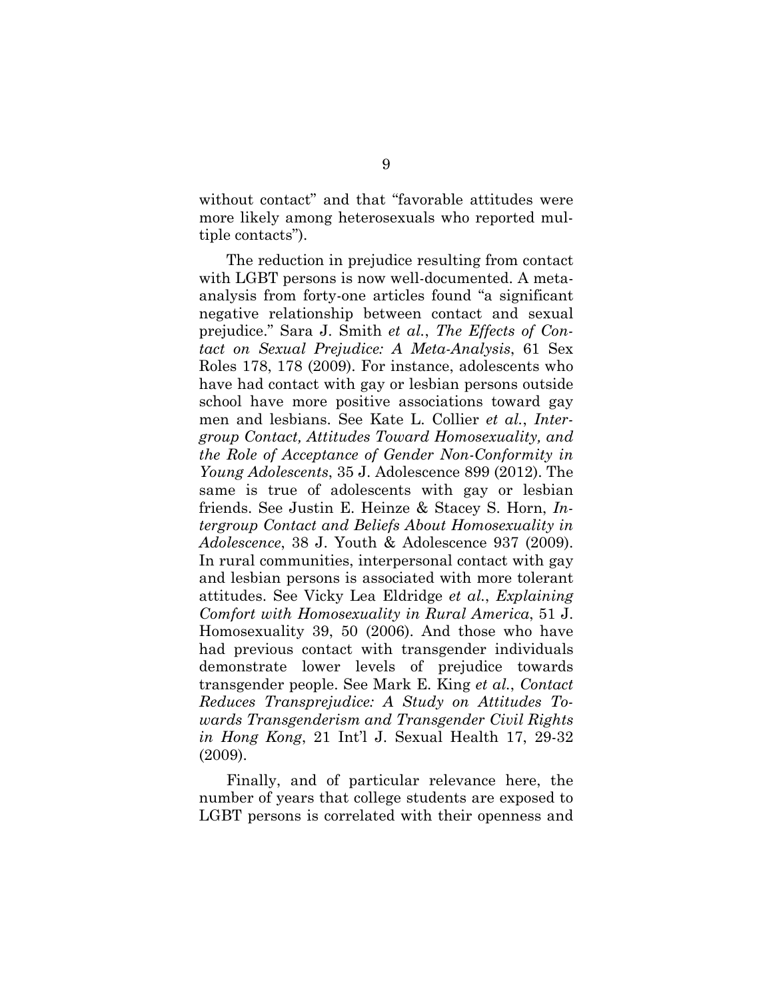without contact" and that "favorable attitudes were more likely among heterosexuals who reported multiple contacts").

The reduction in prejudice resulting from contact with LGBT persons is now well-documented. A metaanalysis from forty-one articles found "a significant negative relationship between contact and sexual prejudice." Sara J. Smith *et al.*, *The Effects of Contact on Sexual Prejudice: A Meta-Analysis*, 61 Sex Roles 178, 178 (2009). For instance, adolescents who have had contact with gay or lesbian persons outside school have more positive associations toward gay men and lesbians. See Kate L. Collier *et al.*, *Intergroup Contact, Attitudes Toward Homosexuality, and the Role of Acceptance of Gender Non-Conformity in Young Adolescents*, 35 J. Adolescence 899 (2012). The same is true of adolescents with gay or lesbian friends. See Justin E. Heinze & Stacey S. Horn, *Intergroup Contact and Beliefs About Homosexuality in Adolescence*, 38 J. Youth & Adolescence 937 (2009). In rural communities, interpersonal contact with gay and lesbian persons is associated with more tolerant attitudes. See Vicky Lea Eldridge *et al.*, *Explaining Comfort with Homosexuality in Rural America*, 51 J. Homosexuality 39, 50 (2006). And those who have had previous contact with transgender individuals demonstrate lower levels of prejudice towards transgender people. See Mark E. King *et al.*, *Contact Reduces Transprejudice: A Study on Attitudes Towards Transgenderism and Transgender Civil Rights in Hong Kong*, 21 Int'l J. Sexual Health 17, 29-32 (2009).

Finally, and of particular relevance here, the number of years that college students are exposed to LGBT persons is correlated with their openness and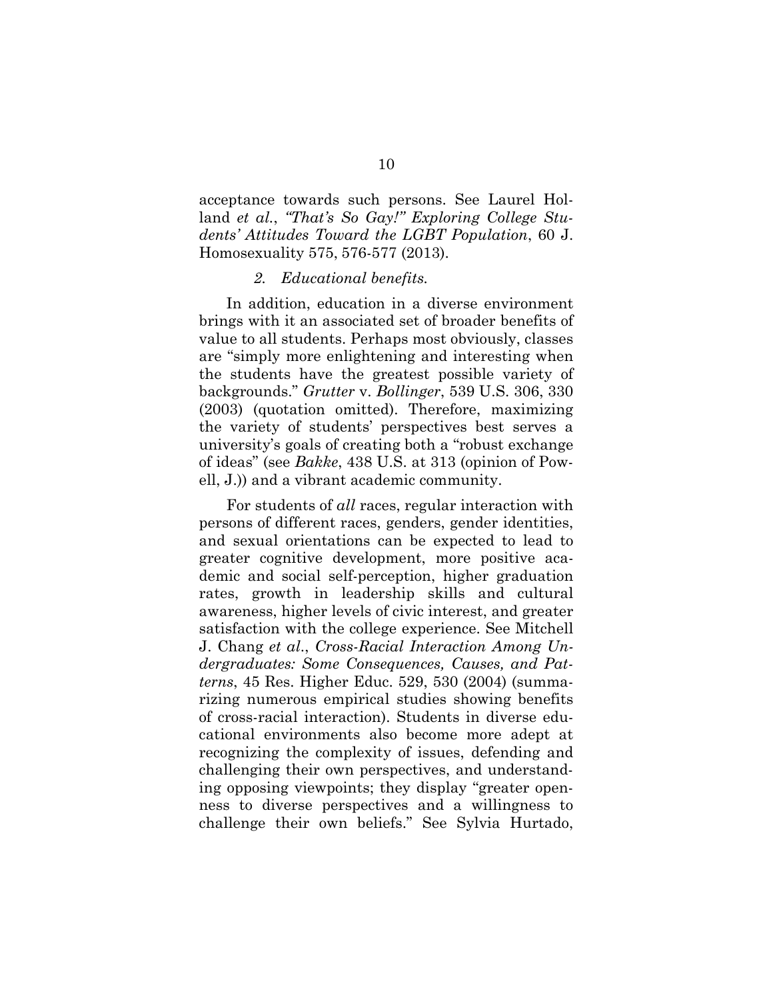acceptance towards such persons. See Laurel Holland *et al.*, *"That's So Gay!" Exploring College Students' Attitudes Toward the LGBT Population*, 60 J. Homosexuality 575, 576-577 (2013).

#### *2. Educational benefits.*

In addition, education in a diverse environment brings with it an associated set of broader benefits of value to all students. Perhaps most obviously, classes are "simply more enlightening and interesting when the students have the greatest possible variety of backgrounds." *Grutter* v. *Bollinger*, 539 U.S. 306, 330 (2003) (quotation omitted). Therefore, maximizing the variety of students' perspectives best serves a university's goals of creating both a "robust exchange of ideas" (see *Bakke*, 438 U.S. at 313 (opinion of Powell, J.)) and a vibrant academic community.

For students of *all* races, regular interaction with persons of different races, genders, gender identities, and sexual orientations can be expected to lead to greater cognitive development, more positive academic and social self-perception, higher graduation rates, growth in leadership skills and cultural awareness, higher levels of civic interest, and greater satisfaction with the college experience. See Mitchell J. Chang *et al*., *Cross-Racial Interaction Among Undergraduates: Some Consequences, Causes, and Patterns*, 45 Res. Higher Educ. 529, 530 (2004) (summarizing numerous empirical studies showing benefits of cross-racial interaction). Students in diverse educational environments also become more adept at recognizing the complexity of issues, defending and challenging their own perspectives, and understanding opposing viewpoints; they display "greater openness to diverse perspectives and a willingness to challenge their own beliefs." See Sylvia Hurtado,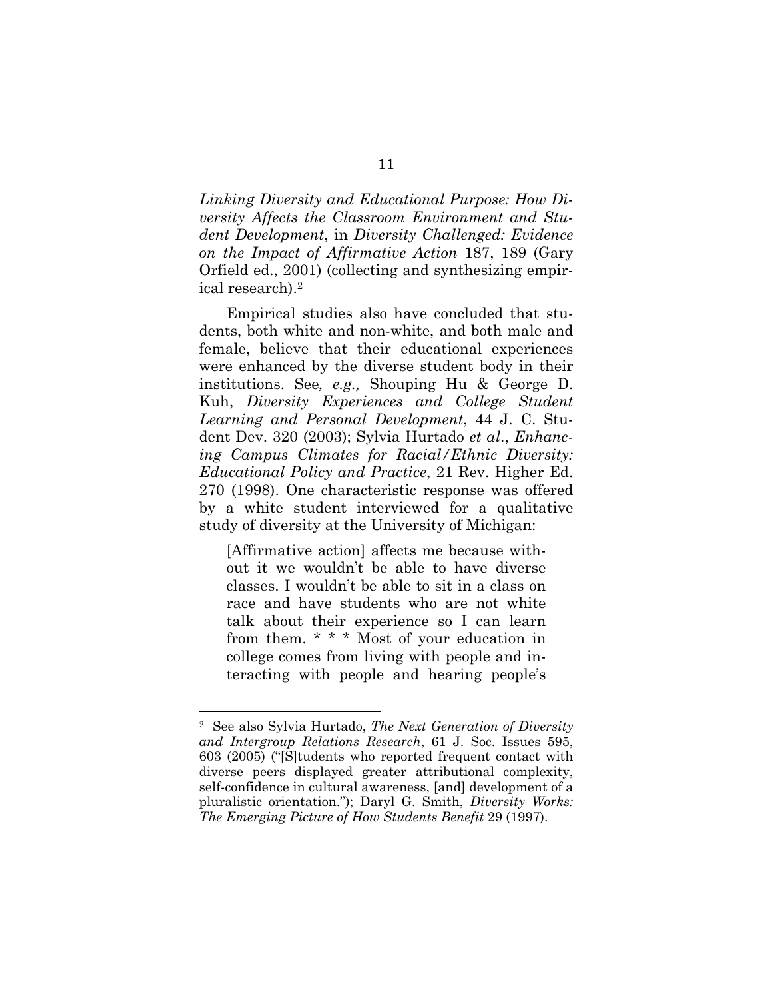*Linking Diversity and Educational Purpose: How Diversity Affects the Classroom Environment and Student Development*, in *Diversity Challenged: Evidence on the Impact of Affirmative Action* 187, 189 (Gary Orfield ed., 2001) (collecting and synthesizing empirical research).<sup>2</sup>

Empirical studies also have concluded that students, both white and non-white, and both male and female, believe that their educational experiences were enhanced by the diverse student body in their institutions. See*, e.g.,* Shouping Hu & George D. Kuh, *Diversity Experiences and College Student Learning and Personal Development*, 44 J. C. Student Dev. 320 (2003); Sylvia Hurtado *et al*., *Enhancing Campus Climates for Racial/Ethnic Diversity: Educational Policy and Practice*, 21 Rev. Higher Ed. 270 (1998). One characteristic response was offered by a white student interviewed for a qualitative study of diversity at the University of Michigan:

[Affirmative action] affects me because without it we wouldn't be able to have diverse classes. I wouldn't be able to sit in a class on race and have students who are not white talk about their experience so I can learn from them. \* \* \* Most of your education in college comes from living with people and interacting with people and hearing people's

l

<sup>2</sup> See also Sylvia Hurtado, *The Next Generation of Diversity and Intergroup Relations Research*, 61 J. Soc. Issues 595, 603 (2005) ("[S]tudents who reported frequent contact with diverse peers displayed greater attributional complexity, self-confidence in cultural awareness, [and] development of a pluralistic orientation."); Daryl G. Smith, *Diversity Works: The Emerging Picture of How Students Benefit* 29 (1997).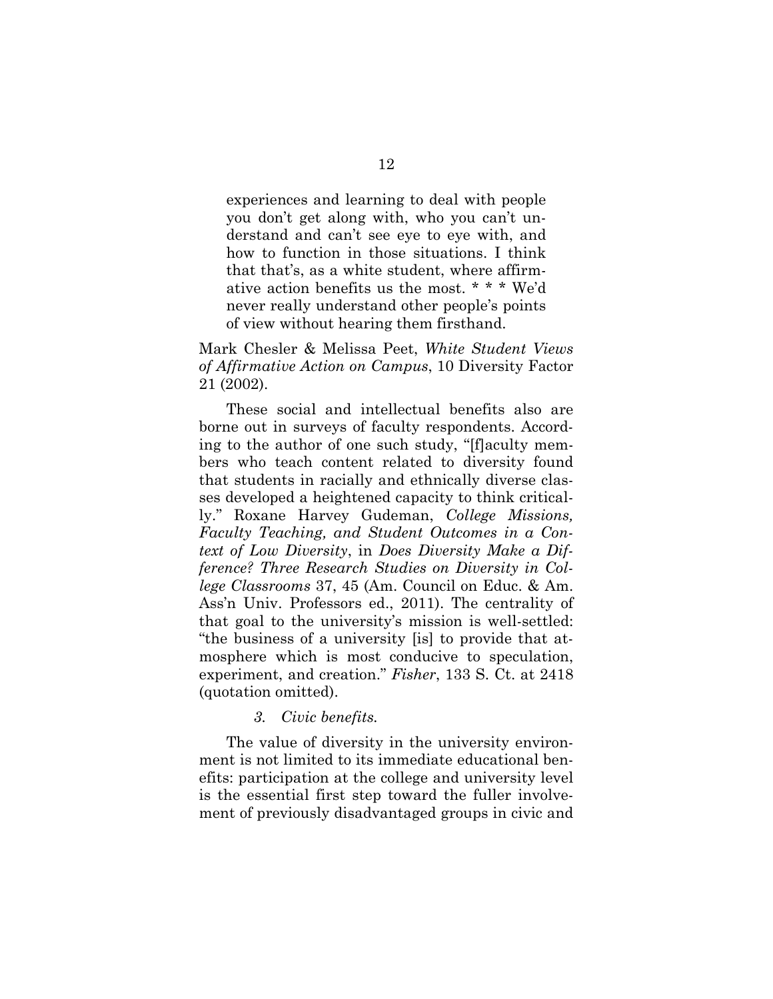experiences and learning to deal with people you don't get along with, who you can't understand and can't see eye to eye with, and how to function in those situations. I think that that's, as a white student, where affirmative action benefits us the most. \* \* \* We'd never really understand other people's points of view without hearing them firsthand.

# Mark Chesler & Melissa Peet, *White Student Views of Affirmative Action on Campus*, 10 Diversity Factor 21 (2002).

These social and intellectual benefits also are borne out in surveys of faculty respondents. According to the author of one such study, "[f]aculty members who teach content related to diversity found that students in racially and ethnically diverse classes developed a heightened capacity to think critically." Roxane Harvey Gudeman, *College Missions, Faculty Teaching, and Student Outcomes in a Context of Low Diversity*, in *Does Diversity Make a Difference? Three Research Studies on Diversity in College Classrooms* 37, 45 (Am. Council on Educ. & Am. Ass'n Univ. Professors ed., 2011). The centrality of that goal to the university's mission is well-settled: "the business of a university [is] to provide that atmosphere which is most conducive to speculation, experiment, and creation." *Fisher*, 133 S. Ct. at 2418 (quotation omitted).

### *3. Civic benefits.*

The value of diversity in the university environment is not limited to its immediate educational benefits: participation at the college and university level is the essential first step toward the fuller involvement of previously disadvantaged groups in civic and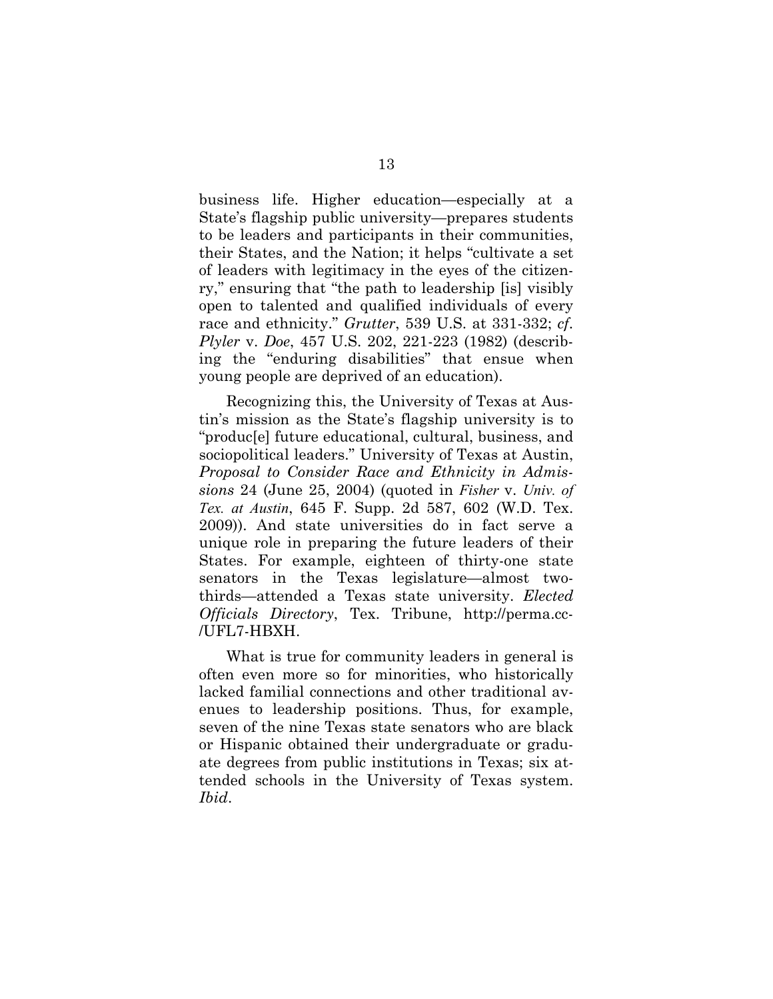business life. Higher education—especially at a State's flagship public university—prepares students to be leaders and participants in their communities, their States, and the Nation; it helps "cultivate a set of leaders with legitimacy in the eyes of the citizenry," ensuring that "the path to leadership [is] visibly open to talented and qualified individuals of every race and ethnicity." *Grutter*, 539 U.S. at 331-332; *cf*. *Plyler* v. *Doe*, 457 U.S. 202, 221-223 (1982) (describing the "enduring disabilities" that ensue when young people are deprived of an education).

Recognizing this, the University of Texas at Austin's mission as the State's flagship university is to "produc[e] future educational, cultural, business, and sociopolitical leaders." University of Texas at Austin, *Proposal to Consider Race and Ethnicity in Admissions* 24 (June 25, 2004) (quoted in *Fisher* v. *Univ. of Tex. at Austin*, 645 F. Supp. 2d 587, 602 (W.D. Tex. 2009)). And state universities do in fact serve a unique role in preparing the future leaders of their States. For example, eighteen of thirty-one state senators in the Texas legislature—almost twothirds—attended a Texas state university. *Elected Officials Directory*, Tex. Tribune, http://perma.cc- /UFL7-HBXH.

What is true for community leaders in general is often even more so for minorities, who historically lacked familial connections and other traditional avenues to leadership positions. Thus, for example, seven of the nine Texas state senators who are black or Hispanic obtained their undergraduate or graduate degrees from public institutions in Texas; six attended schools in the University of Texas system. *Ibid*.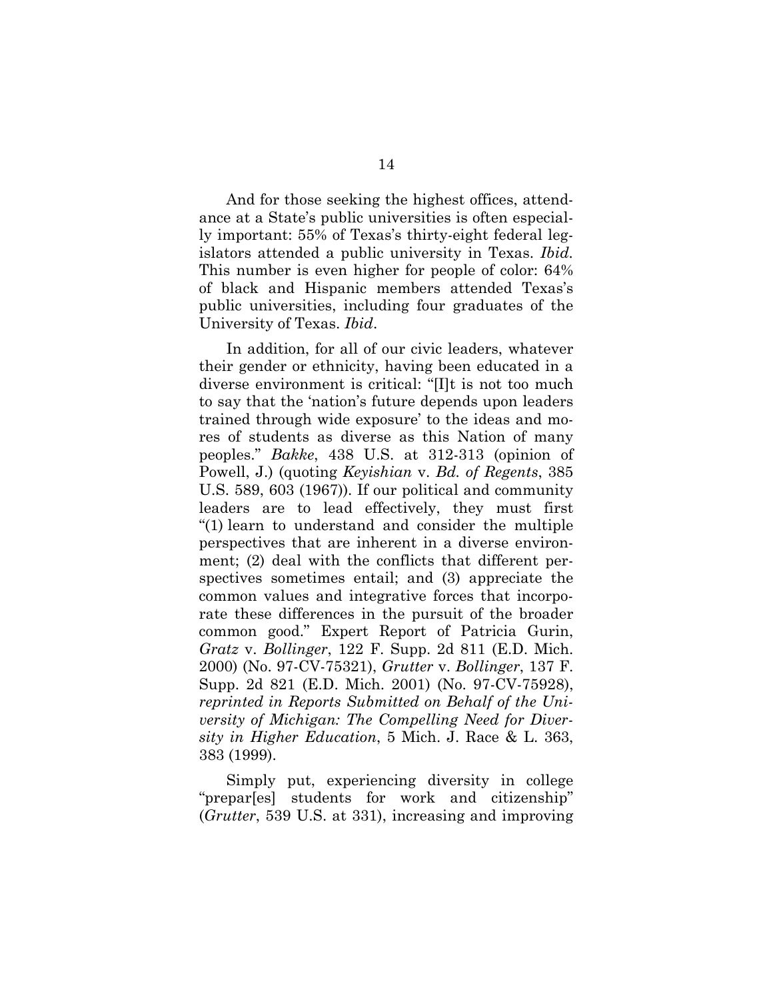And for those seeking the highest offices, attendance at a State's public universities is often especially important: 55% of Texas's thirty-eight federal legislators attended a public university in Texas. *Ibid.* This number is even higher for people of color: 64% of black and Hispanic members attended Texas's public universities, including four graduates of the University of Texas. *Ibid*.

In addition, for all of our civic leaders, whatever their gender or ethnicity, having been educated in a diverse environment is critical: "[I]t is not too much to say that the 'nation's future depends upon leaders trained through wide exposure' to the ideas and mores of students as diverse as this Nation of many peoples." *Bakke*, 438 U.S. at 312-313 (opinion of Powell, J.) (quoting *Keyishian* v. *Bd. of Regents*, 385 U.S. 589, 603 (1967)). If our political and community leaders are to lead effectively, they must first "(1) learn to understand and consider the multiple perspectives that are inherent in a diverse environment; (2) deal with the conflicts that different perspectives sometimes entail; and (3) appreciate the common values and integrative forces that incorporate these differences in the pursuit of the broader common good." Expert Report of Patricia Gurin, *Gratz* v. *Bollinger*, 122 F. Supp. 2d 811 (E.D. Mich. 2000) (No. 97-CV-75321), *Grutter* v. *Bollinger*, 137 F. Supp. 2d 821 (E.D. Mich. 2001) (No. 97-CV-75928), *reprinted in Reports Submitted on Behalf of the University of Michigan: The Compelling Need for Diversity in Higher Education*, 5 Mich. J. Race & L. 363, 383 (1999).

Simply put, experiencing diversity in college "prepar[es] students for work and citizenship" (*Grutter*, 539 U.S. at 331), increasing and improving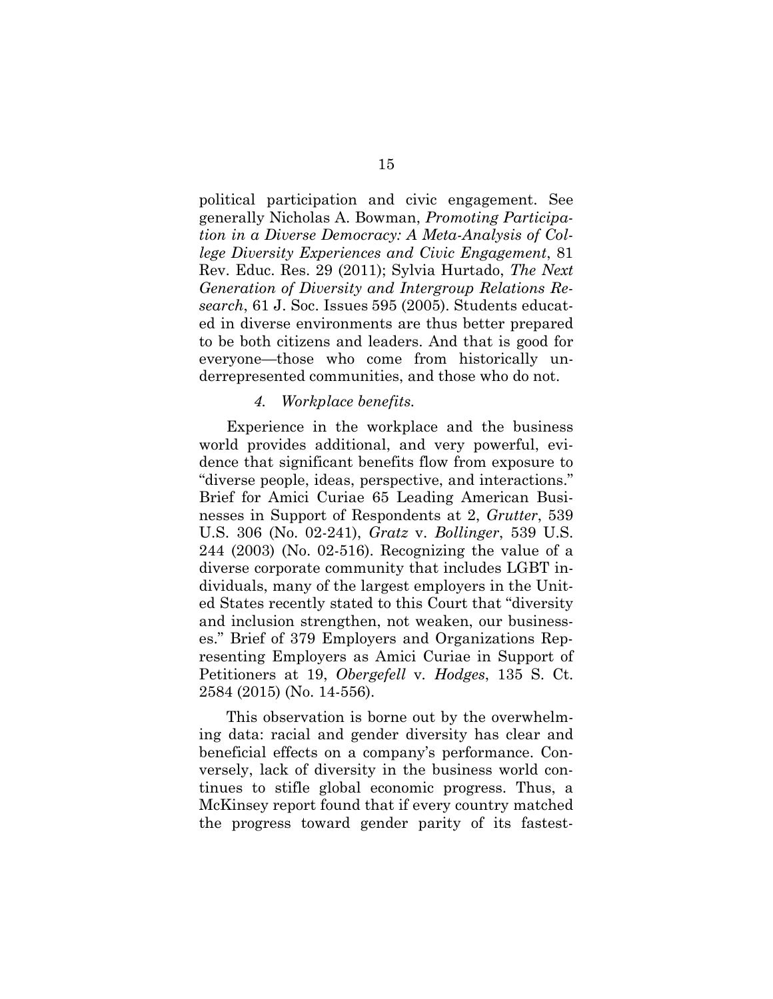political participation and civic engagement. See generally Nicholas A. Bowman, *Promoting Participation in a Diverse Democracy: A Meta-Analysis of College Diversity Experiences and Civic Engagement*, 81 Rev. Educ. Res. 29 (2011); Sylvia Hurtado, *The Next Generation of Diversity and Intergroup Relations Research*, 61 J. Soc. Issues 595 (2005). Students educated in diverse environments are thus better prepared to be both citizens and leaders. And that is good for everyone—those who come from historically underrepresented communities, and those who do not.

### *4. Workplace benefits.*

Experience in the workplace and the business world provides additional, and very powerful, evidence that significant benefits flow from exposure to "diverse people, ideas, perspective, and interactions." Brief for Amici Curiae 65 Leading American Businesses in Support of Respondents at 2, *Grutter*, 539 U.S. 306 (No. 02-241), *Gratz* v. *Bollinger*, 539 U.S. 244 (2003) (No. 02-516). Recognizing the value of a diverse corporate community that includes LGBT individuals, many of the largest employers in the United States recently stated to this Court that "diversity and inclusion strengthen, not weaken, our businesses." Brief of 379 Employers and Organizations Representing Employers as Amici Curiae in Support of Petitioners at 19, *Obergefell* v*. Hodges*, 135 S. Ct. 2584 (2015) (No. 14-556).

This observation is borne out by the overwhelming data: racial and gender diversity has clear and beneficial effects on a company's performance. Conversely, lack of diversity in the business world continues to stifle global economic progress. Thus, a McKinsey report found that if every country matched the progress toward gender parity of its fastest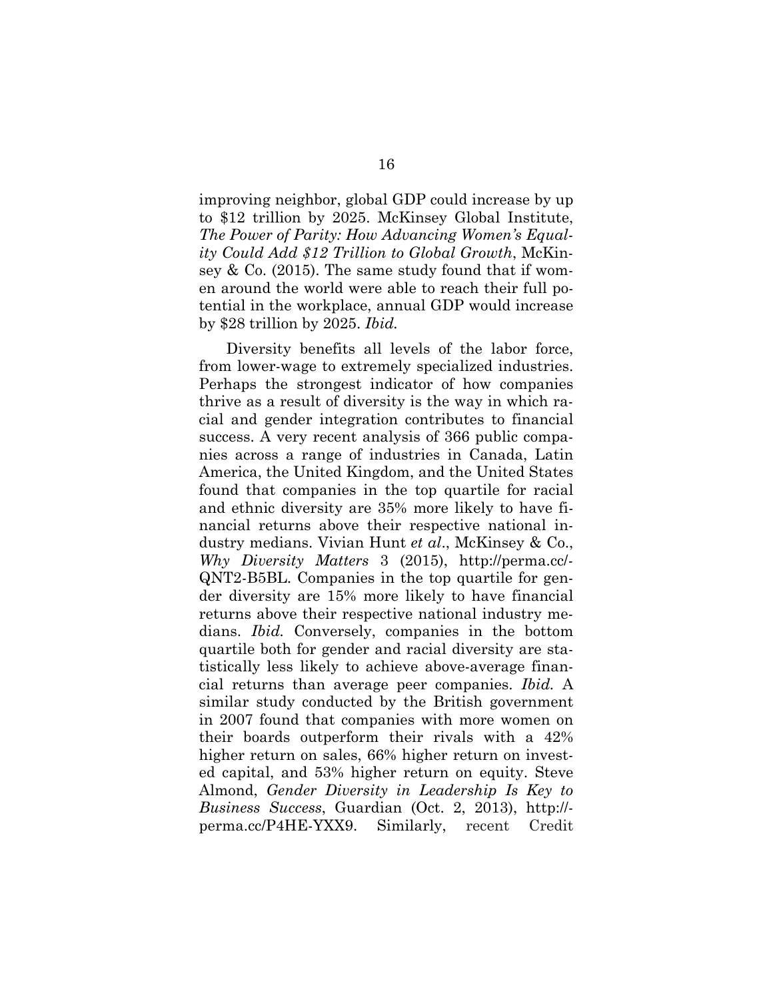improving neighbor, global GDP could increase by up to \$12 trillion by 2025. McKinsey Global Institute, *The Power of Parity: How Advancing Women's Equality Could Add \$12 Trillion to Global Growth*, McKinsey  $& Co. (2015)$ . The same study found that if women around the world were able to reach their full potential in the workplace, annual GDP would increase by \$28 trillion by 2025. *Ibid.* 

Diversity benefits all levels of the labor force, from lower-wage to extremely specialized industries. Perhaps the strongest indicator of how companies thrive as a result of diversity is the way in which racial and gender integration contributes to financial success. A very recent analysis of 366 public companies across a range of industries in Canada, Latin America, the United Kingdom, and the United States found that companies in the top quartile for racial and ethnic diversity are 35% more likely to have financial returns above their respective national industry medians. Vivian Hunt *et al*., McKinsey & Co., *Why Diversity Matters* 3 (2015), http://perma.cc/- QNT2-B5BL. Companies in the top quartile for gender diversity are 15% more likely to have financial returns above their respective national industry medians. *Ibid.* Conversely, companies in the bottom quartile both for gender and racial diversity are statistically less likely to achieve above-average financial returns than average peer companies. *Ibid.* A similar study conducted by the British government in 2007 found that companies with more women on their boards outperform their rivals with a 42% higher return on sales, 66% higher return on invested capital, and 53% higher return on equity. Steve Almond, *Gender Diversity in Leadership Is Key to Business Success*, Guardian (Oct. 2, 2013), http:// perma.cc/P4HE-YXX9. Similarly, recent Credit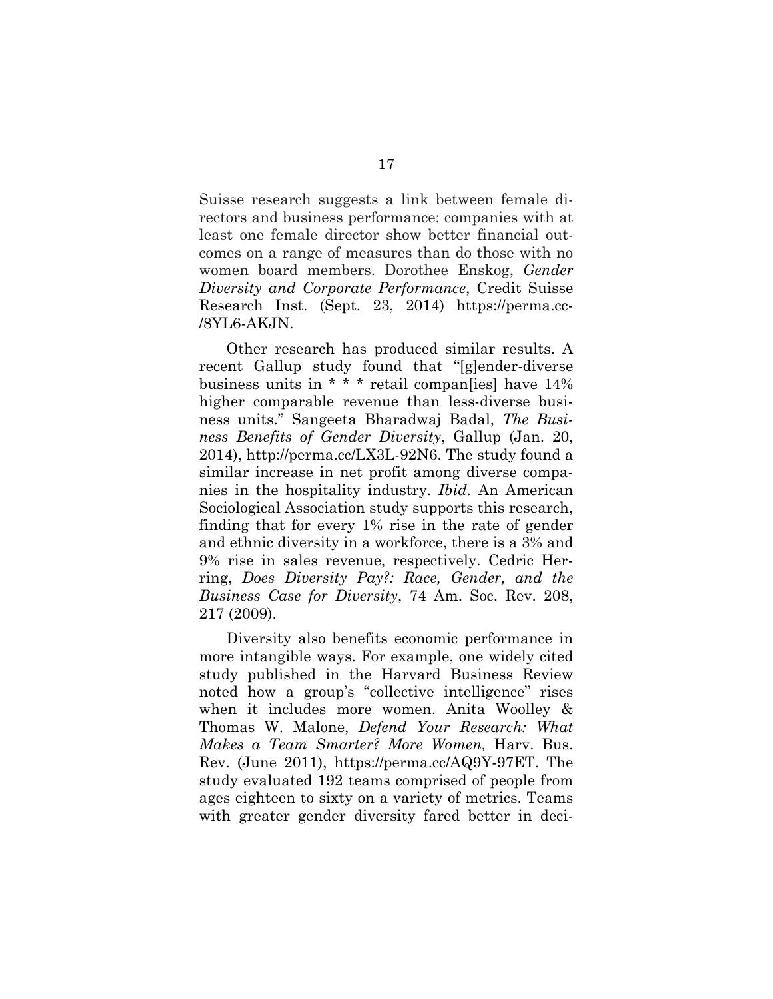Suisse research suggests a link between female directors and business performance: companies with at least one female director show better financial outcomes on a range of measures than do those with no women board members. Dorothee Enskog, *Gender Diversity and Corporate Performance*, Credit Suisse Research Inst. (Sept. 23, 2014) https://perma.cc- /8YL6-AKJN.

Other research has produced similar results. A recent Gallup study found that "[g]ender-diverse business units in \* \* \* retail compan[ies] have 14% higher comparable revenue than less-diverse business units." Sangeeta Bharadwaj Badal, *The Business Benefits of Gender Diversity*, Gallup (Jan. 20, 2014), http://perma.cc/LX3L-92N6. The study found a similar increase in net profit among diverse companies in the hospitality industry. *Ibid.* An American Sociological Association study supports this research, finding that for every 1% rise in the rate of gender and ethnic diversity in a workforce, there is a 3% and 9% rise in sales revenue, respectively. Cedric Herring, *Does Diversity Pay?: Race, Gender, and the Business Case for Diversity*, 74 Am. Soc. Rev. 208, 217 (2009).

Diversity also benefits economic performance in more intangible ways. For example, one widely cited study published in the Harvard Business Review noted how a group's "collective intelligence" rises when it includes more women. Anita Woolley & Thomas W. Malone, *Defend Your Research: What Makes a Team Smarter? More Women,* Harv. Bus. Rev. (June 2011), https://perma.cc/AQ9Y-97ET. The study evaluated 192 teams comprised of people from ages eighteen to sixty on a variety of metrics. Teams with greater gender diversity fared better in deci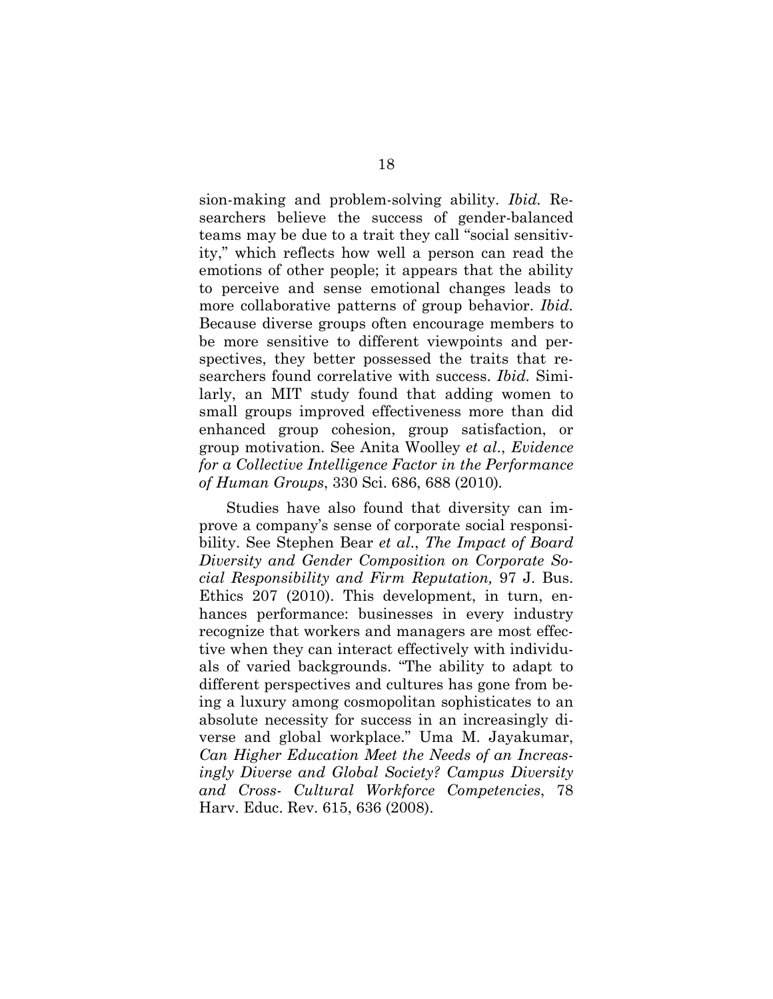sion-making and problem-solving ability. *Ibid.* Researchers believe the success of gender-balanced teams may be due to a trait they call "social sensitivity," which reflects how well a person can read the emotions of other people; it appears that the ability to perceive and sense emotional changes leads to more collaborative patterns of group behavior. *Ibid.*  Because diverse groups often encourage members to be more sensitive to different viewpoints and perspectives, they better possessed the traits that researchers found correlative with success. *Ibid.* Similarly, an MIT study found that adding women to small groups improved effectiveness more than did enhanced group cohesion, group satisfaction, or group motivation. See Anita Woolley *et al*., *Evidence for a Collective Intelligence Factor in the Performance of Human Groups*, 330 Sci. 686, 688 (2010)*.* 

Studies have also found that diversity can improve a company's sense of corporate social responsibility. See Stephen Bear *et al*., *The Impact of Board Diversity and Gender Composition on Corporate Social Responsibility and Firm Reputation,* 97 J. Bus. Ethics 207 (2010). This development, in turn, enhances performance: businesses in every industry recognize that workers and managers are most effective when they can interact effectively with individuals of varied backgrounds. "The ability to adapt to different perspectives and cultures has gone from being a luxury among cosmopolitan sophisticates to an absolute necessity for success in an increasingly diverse and global workplace." Uma M. Jayakumar, *Can Higher Education Meet the Needs of an Increasingly Diverse and Global Society? Campus Diversity and Cross- Cultural Workforce Competencies*, 78 Harv. Educ. Rev. 615, 636 (2008).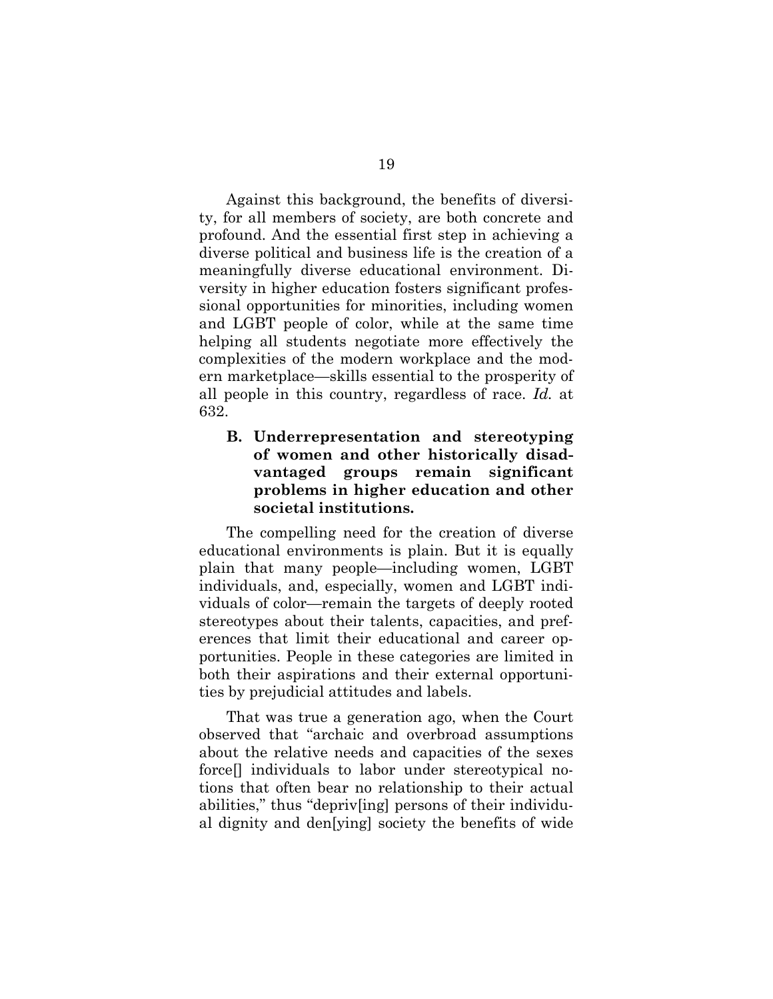Against this background, the benefits of diversity, for all members of society, are both concrete and profound. And the essential first step in achieving a diverse political and business life is the creation of a meaningfully diverse educational environment. Diversity in higher education fosters significant professional opportunities for minorities, including women and LGBT people of color, while at the same time helping all students negotiate more effectively the complexities of the modern workplace and the modern marketplace—skills essential to the prosperity of all people in this country, regardless of race. *Id.* at 632.

# **B. Underrepresentation and stereotyping of women and other historically disadvantaged groups remain significant problems in higher education and other societal institutions.**

The compelling need for the creation of diverse educational environments is plain. But it is equally plain that many people—including women, LGBT individuals, and, especially, women and LGBT individuals of color—remain the targets of deeply rooted stereotypes about their talents, capacities, and preferences that limit their educational and career opportunities. People in these categories are limited in both their aspirations and their external opportunities by prejudicial attitudes and labels.

That was true a generation ago, when the Court observed that "archaic and overbroad assumptions about the relative needs and capacities of the sexes force[] individuals to labor under stereotypical notions that often bear no relationship to their actual abilities," thus "depriv[ing] persons of their individual dignity and den[ying] society the benefits of wide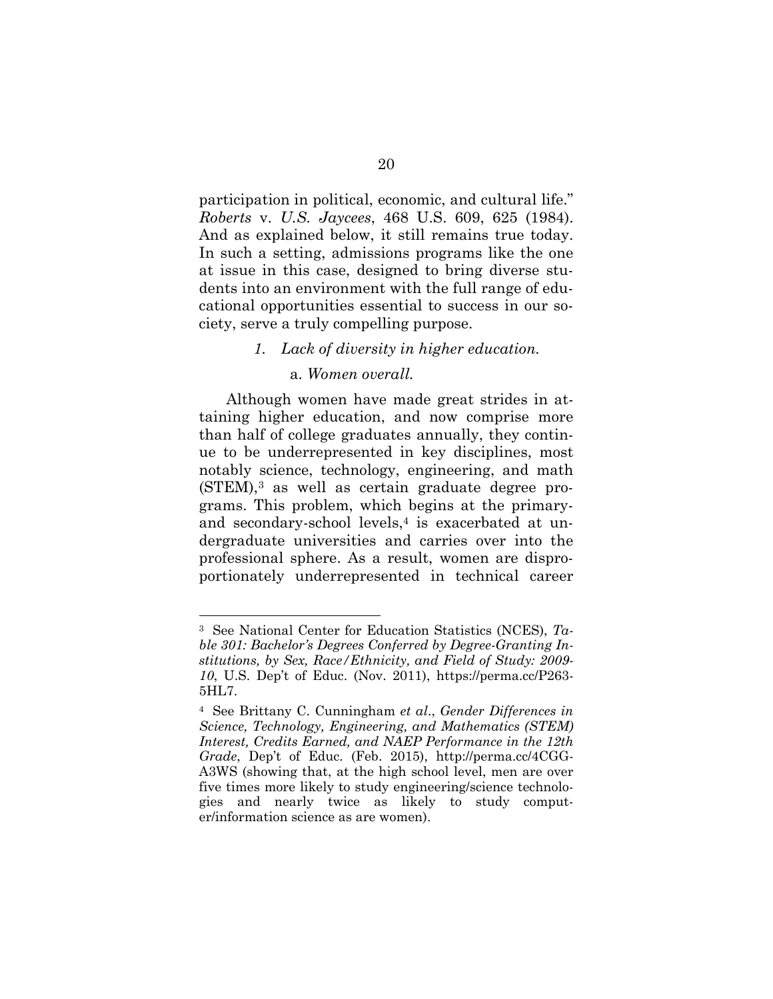participation in political, economic, and cultural life." *Roberts* v. *U.S. Jaycees*, 468 U.S. 609, 625 (1984). And as explained below, it still remains true today. In such a setting, admissions programs like the one at issue in this case, designed to bring diverse students into an environment with the full range of educational opportunities essential to success in our society, serve a truly compelling purpose.

## *1. Lack of diversity in higher education.*

## a. *Women overall.*

Although women have made great strides in attaining higher education, and now comprise more than half of college graduates annually, they continue to be underrepresented in key disciplines, most notably science, technology, engineering, and math  $(STEM)$ ,<sup>3</sup> as well as certain graduate degree programs. This problem, which begins at the primaryand secondary-school levels,<sup>4</sup> is exacerbated at undergraduate universities and carries over into the professional sphere. As a result, women are disproportionately underrepresented in technical career

l

<sup>3</sup> See National Center for Education Statistics (NCES), *Table 301: Bachelor's Degrees Conferred by Degree-Granting Institutions, by Sex, Race/Ethnicity, and Field of Study: 2009- 10*, U.S. Dep't of Educ. (Nov. 2011), https://perma.cc/P263- 5HL7.

<sup>4</sup> See Brittany C. Cunningham *et al*., *Gender Differences in Science, Technology, Engineering, and Mathematics (STEM) Interest, Credits Earned, and NAEP Performance in the 12th Grade*, Dep't of Educ. (Feb. 2015), http://perma.cc/4CGG-A3WS (showing that, at the high school level, men are over five times more likely to study engineering/science technologies and nearly twice as likely to study computer/information science as are women).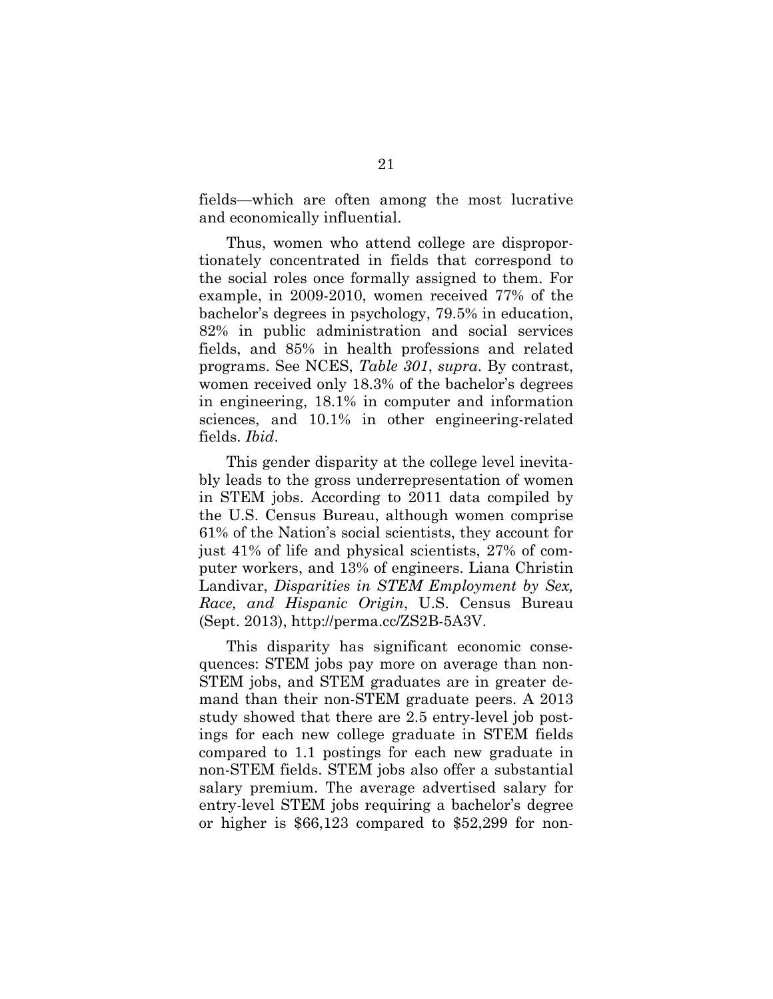fields—which are often among the most lucrative and economically influential.

Thus, women who attend college are disproportionately concentrated in fields that correspond to the social roles once formally assigned to them. For example, in 2009-2010, women received 77% of the bachelor's degrees in psychology, 79.5% in education, 82% in public administration and social services fields, and 85% in health professions and related programs. See NCES, *Table 301*, *supra*. By contrast, women received only 18.3% of the bachelor's degrees in engineering, 18.1% in computer and information sciences, and 10.1% in other engineering-related fields. *Ibid*.

This gender disparity at the college level inevitably leads to the gross underrepresentation of women in STEM jobs. According to 2011 data compiled by the U.S. Census Bureau, although women comprise 61% of the Nation's social scientists, they account for just 41% of life and physical scientists, 27% of computer workers, and 13% of engineers. Liana Christin Landivar, *Disparities in STEM Employment by Sex, Race, and Hispanic Origin*, U.S. Census Bureau (Sept. 2013), http://perma.cc/ZS2B-5A3V.

This disparity has significant economic consequences: STEM jobs pay more on average than non-STEM jobs, and STEM graduates are in greater demand than their non-STEM graduate peers. A 2013 study showed that there are 2.5 entry-level job postings for each new college graduate in STEM fields compared to 1.1 postings for each new graduate in non-STEM fields. STEM jobs also offer a substantial salary premium. The average advertised salary for entry-level STEM jobs requiring a bachelor's degree or higher is \$66,123 compared to \$52,299 for non-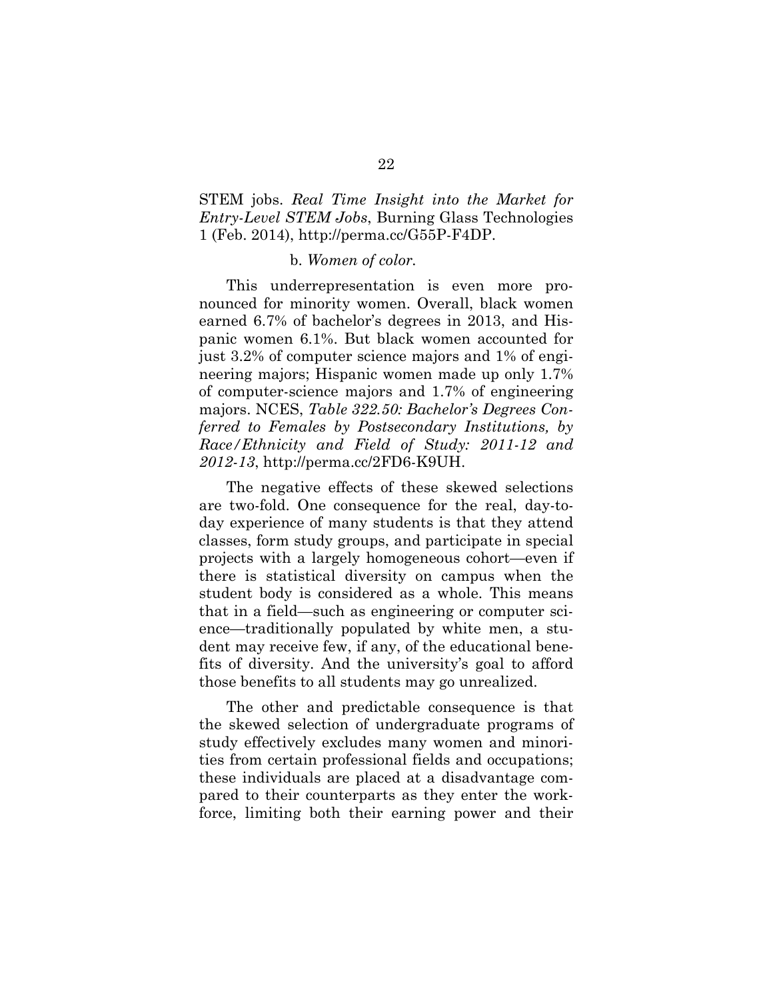# STEM jobs. *Real Time Insight into the Market for Entry-Level STEM Jobs*, Burning Glass Technologies 1 (Feb. 2014), http://perma.cc/G55P-F4DP.

#### b. *Women of color.*

This underrepresentation is even more pronounced for minority women. Overall, black women earned 6.7% of bachelor's degrees in 2013, and Hispanic women 6.1%. But black women accounted for just 3.2% of computer science majors and 1% of engineering majors; Hispanic women made up only 1.7% of computer-science majors and 1.7% of engineering majors. NCES, *Table 322.50: Bachelor's Degrees Conferred to Females by Postsecondary Institutions, by Race/Ethnicity and Field of Study: 2011-12 and 2012-13*, http://perma.cc/2FD6-K9UH.

The negative effects of these skewed selections are two-fold. One consequence for the real, day-today experience of many students is that they attend classes, form study groups, and participate in special projects with a largely homogeneous cohort—even if there is statistical diversity on campus when the student body is considered as a whole. This means that in a field—such as engineering or computer science—traditionally populated by white men, a student may receive few, if any, of the educational benefits of diversity. And the university's goal to afford those benefits to all students may go unrealized.

The other and predictable consequence is that the skewed selection of undergraduate programs of study effectively excludes many women and minorities from certain professional fields and occupations; these individuals are placed at a disadvantage compared to their counterparts as they enter the workforce, limiting both their earning power and their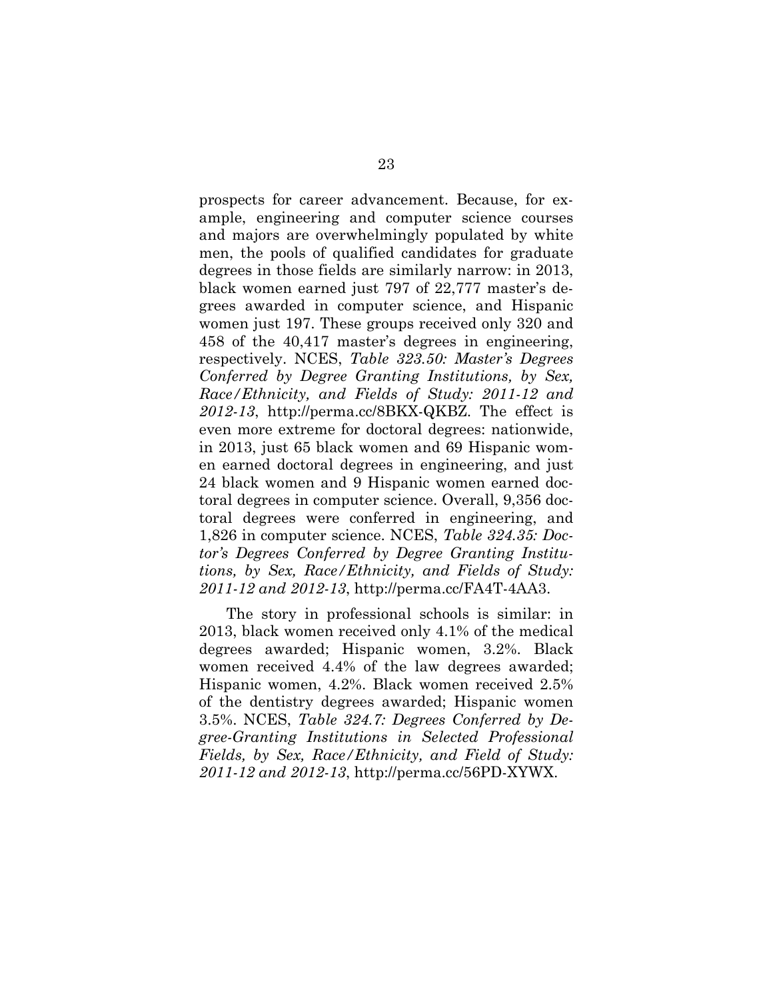prospects for career advancement. Because, for example, engineering and computer science courses and majors are overwhelmingly populated by white men, the pools of qualified candidates for graduate degrees in those fields are similarly narrow: in 2013, black women earned just 797 of 22,777 master's degrees awarded in computer science, and Hispanic women just 197. These groups received only 320 and 458 of the 40,417 master's degrees in engineering, respectively. NCES, *Table 323.50: Master's Degrees Conferred by Degree Granting Institutions, by Sex, Race/Ethnicity, and Fields of Study: 2011-12 and 2012-13*, http://perma.cc/8BKX-QKBZ. The effect is even more extreme for doctoral degrees: nationwide, in 2013, just 65 black women and 69 Hispanic women earned doctoral degrees in engineering, and just 24 black women and 9 Hispanic women earned doctoral degrees in computer science. Overall, 9,356 doctoral degrees were conferred in engineering, and 1,826 in computer science. NCES, *Table 324.35: Doctor's Degrees Conferred by Degree Granting Institutions, by Sex, Race/Ethnicity, and Fields of Study: 2011-12 and 2012-13*, http://perma.cc/FA4T-4AA3.

The story in professional schools is similar: in 2013, black women received only 4.1% of the medical degrees awarded; Hispanic women, 3.2%. Black women received 4.4% of the law degrees awarded; Hispanic women, 4.2%. Black women received 2.5% of the dentistry degrees awarded; Hispanic women 3.5%. NCES, *Table 324.7: Degrees Conferred by Degree-Granting Institutions in Selected Professional Fields, by Sex, Race/Ethnicity, and Field of Study: 2011-12 and 2012-13*, http://perma.cc/56PD-XYWX.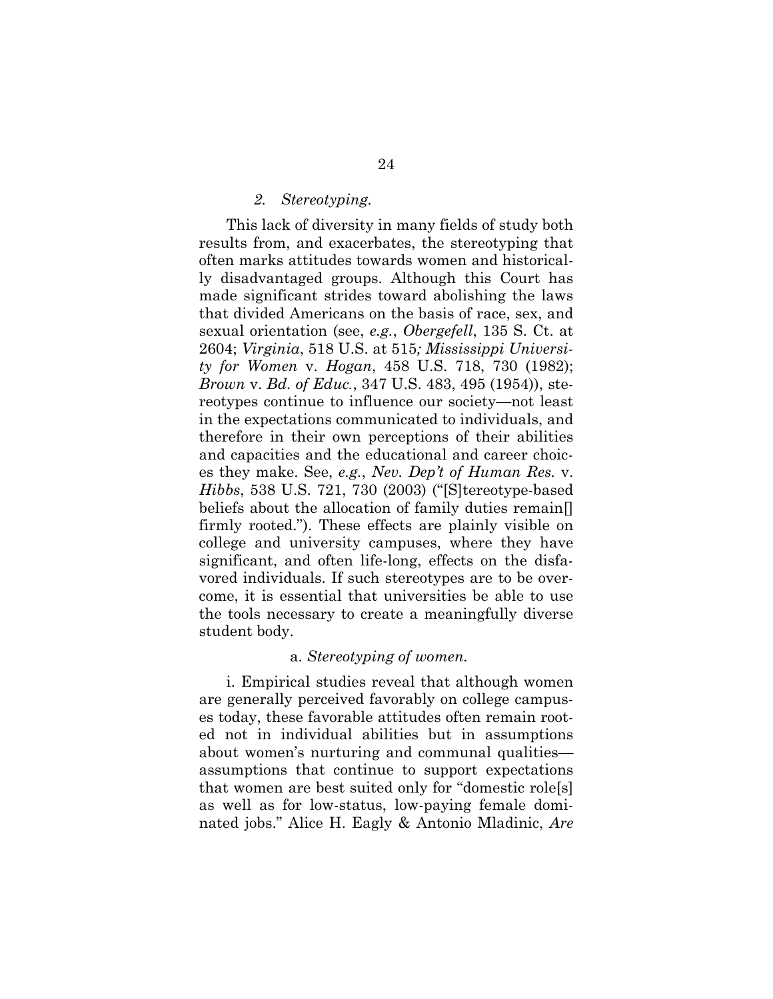#### *2. Stereotyping.*

This lack of diversity in many fields of study both results from, and exacerbates, the stereotyping that often marks attitudes towards women and historically disadvantaged groups. Although this Court has made significant strides toward abolishing the laws that divided Americans on the basis of race, sex, and sexual orientation (see, *e.g.*, *Obergefell*, 135 S. Ct. at 2604; *Virginia*, 518 U.S. at 515*; Mississippi University for Women* v. *Hogan*, 458 U.S. 718, 730 (1982); *Brown* v. *Bd. of Educ.*, 347 U.S. 483, 495 (1954)), stereotypes continue to influence our society—not least in the expectations communicated to individuals, and therefore in their own perceptions of their abilities and capacities and the educational and career choices they make. See, *e.g.*, *Nev. Dep't of Human Res.* v. *Hibbs*, 538 U.S. 721, 730 (2003) ("[S]tereotype-based beliefs about the allocation of family duties remain[] firmly rooted."). These effects are plainly visible on college and university campuses, where they have significant, and often life-long, effects on the disfavored individuals. If such stereotypes are to be overcome, it is essential that universities be able to use the tools necessary to create a meaningfully diverse student body.

#### a. *Stereotyping of women.*

i. Empirical studies reveal that although women are generally perceived favorably on college campuses today, these favorable attitudes often remain rooted not in individual abilities but in assumptions about women's nurturing and communal qualities assumptions that continue to support expectations that women are best suited only for "domestic role[s] as well as for low-status, low-paying female dominated jobs." Alice H. Eagly & Antonio Mladinic, *Are*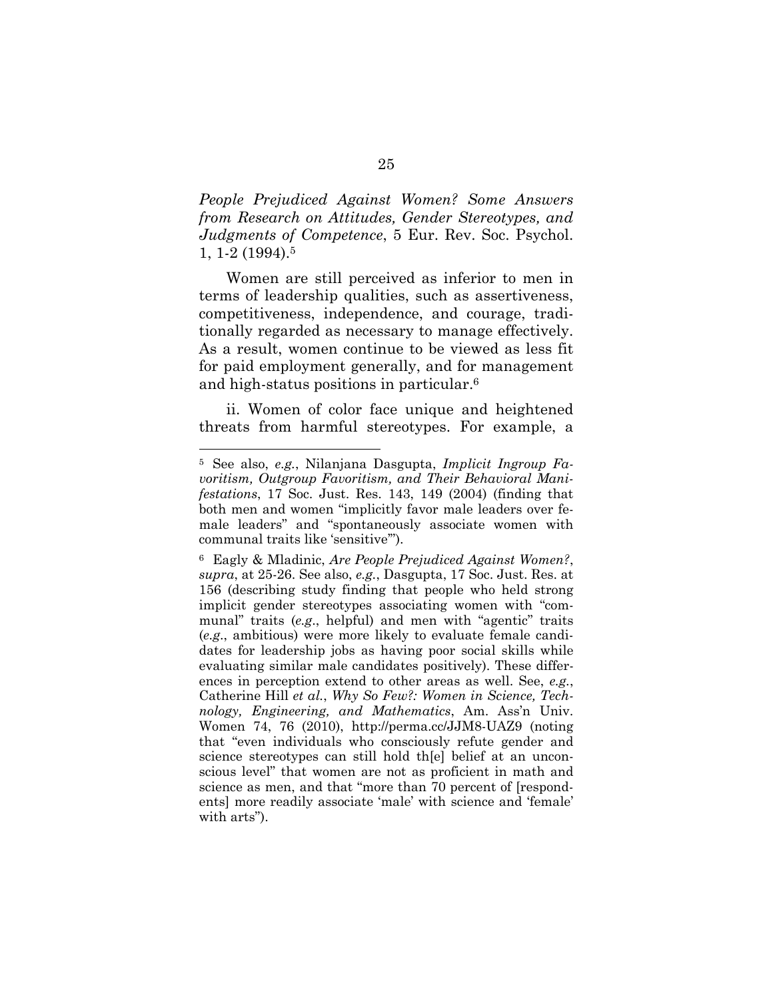*People Prejudiced Against Women? Some Answers from Research on Attitudes, Gender Stereotypes, and Judgments of Competence*, 5 Eur. Rev. Soc. Psychol. 1, 1-2 (1994). 5

Women are still perceived as inferior to men in terms of leadership qualities, such as assertiveness, competitiveness, independence, and courage, traditionally regarded as necessary to manage effectively. As a result, women continue to be viewed as less fit for paid employment generally, and for management and high-status positions in particular.<sup>6</sup>

ii. Women of color face unique and heightened threats from harmful stereotypes. For example, a

l

<sup>5</sup> See also, *e.g.*, Nilanjana Dasgupta, *Implicit Ingroup Favoritism, Outgroup Favoritism, and Their Behavioral Manifestations*, 17 Soc. Just. Res. 143, 149 (2004) (finding that both men and women "implicitly favor male leaders over female leaders" and "spontaneously associate women with communal traits like 'sensitive'").

<sup>6</sup> Eagly & Mladinic, *Are People Prejudiced Against Women?*, *supra*, at 25-26. See also, *e.g.*, Dasgupta, 17 Soc. Just. Res. at 156 (describing study finding that people who held strong implicit gender stereotypes associating women with "communal" traits (*e.g*., helpful) and men with "agentic" traits (*e.g*., ambitious) were more likely to evaluate female candidates for leadership jobs as having poor social skills while evaluating similar male candidates positively). These differences in perception extend to other areas as well. See, *e.g.*, Catherine Hill *et al.*, *Why So Few?: Women in Science, Technology, Engineering, and Mathematics*, Am. Ass'n Univ. Women 74, 76 (2010), http://perma.cc/JJM8-UAZ9 (noting that "even individuals who consciously refute gender and science stereotypes can still hold th[e] belief at an unconscious level" that women are not as proficient in math and science as men, and that "more than 70 percent of [respondents] more readily associate 'male' with science and 'female' with arts").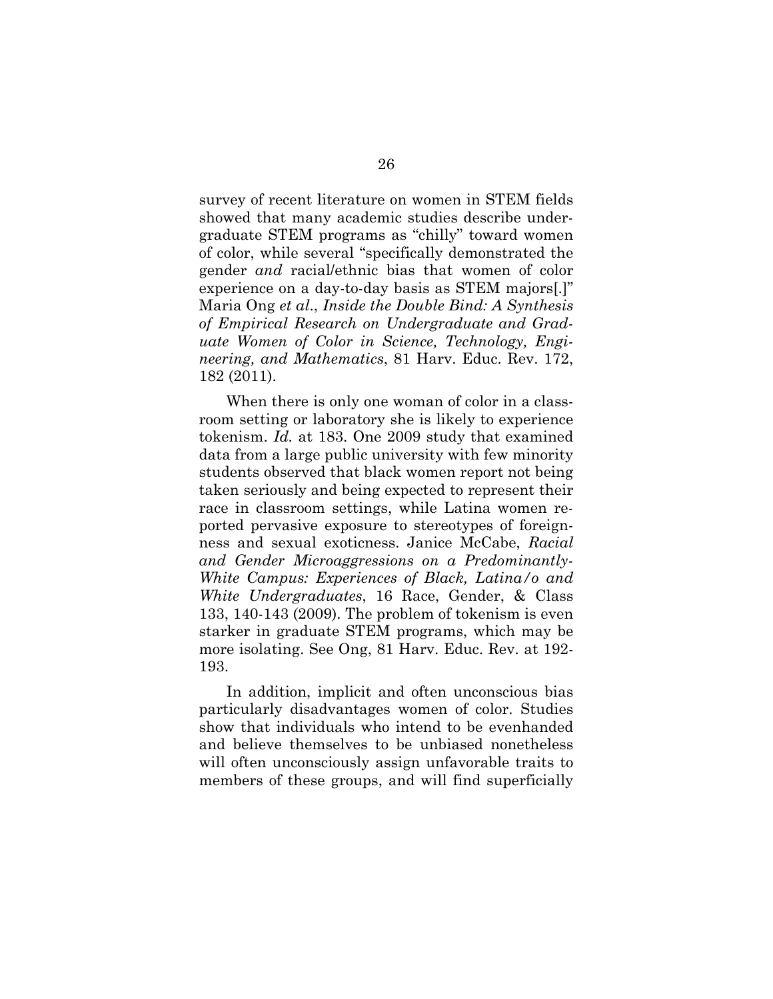survey of recent literature on women in STEM fields showed that many academic studies describe undergraduate STEM programs as "chilly" toward women of color, while several "specifically demonstrated the gender *and* racial/ethnic bias that women of color experience on a day-to-day basis as STEM majors[.]" Maria Ong *et al*., *Inside the Double Bind: A Synthesis of Empirical Research on Undergraduate and Graduate Women of Color in Science, Technology, Engineering, and Mathematics*, 81 Harv. Educ. Rev. 172, 182 (2011).

When there is only one woman of color in a classroom setting or laboratory she is likely to experience tokenism. *Id.* at 183. One 2009 study that examined data from a large public university with few minority students observed that black women report not being taken seriously and being expected to represent their race in classroom settings, while Latina women reported pervasive exposure to stereotypes of foreignness and sexual exoticness. Janice McCabe, *Racial and Gender Microaggressions on a Predominantly-White Campus: Experiences of Black, Latina/o and White Undergraduates*, 16 Race, Gender, & Class 133, 140-143 (2009). The problem of tokenism is even starker in graduate STEM programs, which may be more isolating. See Ong, 81 Harv. Educ. Rev. at 192- 193.

In addition, implicit and often unconscious bias particularly disadvantages women of color. Studies show that individuals who intend to be evenhanded and believe themselves to be unbiased nonetheless will often unconsciously assign unfavorable traits to members of these groups, and will find superficially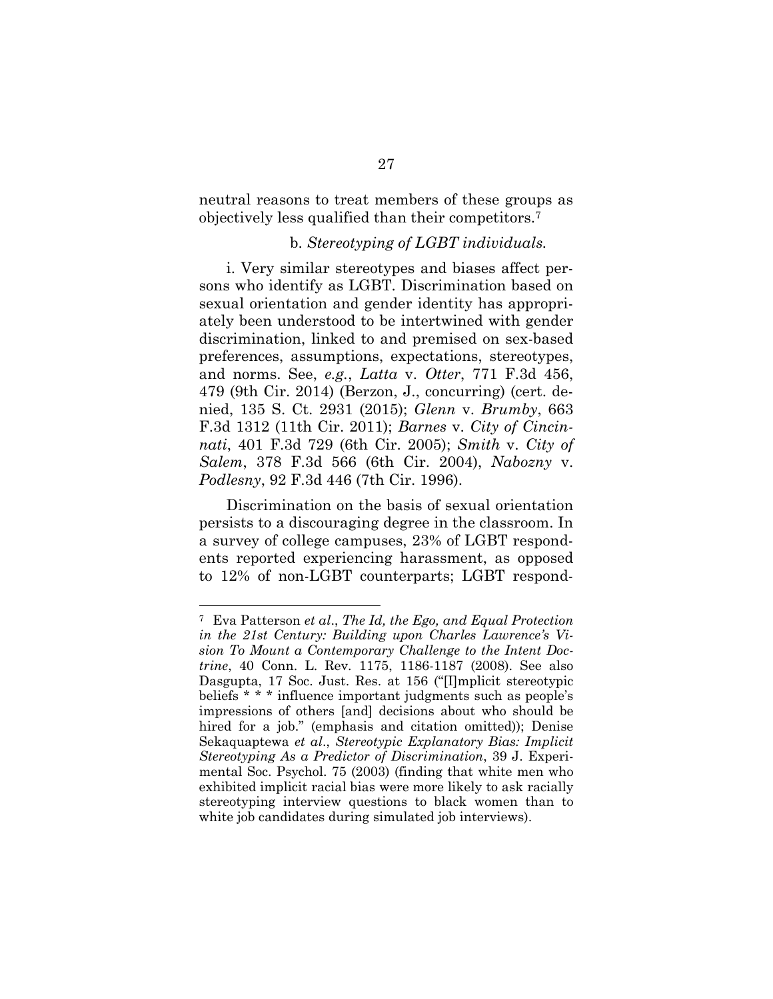neutral reasons to treat members of these groups as objectively less qualified than their competitors.<sup>7</sup>

#### b. *Stereotyping of LGBT individuals.*

i. Very similar stereotypes and biases affect persons who identify as LGBT. Discrimination based on sexual orientation and gender identity has appropriately been understood to be intertwined with gender discrimination, linked to and premised on sex-based preferences, assumptions, expectations, stereotypes, and norms. See, *e.g.*, *Latta* v. *Otter*, 771 F.3d 456, 479 (9th Cir. 2014) (Berzon, J., concurring) (cert. denied, 135 S. Ct. 2931 (2015); *Glenn* v. *Brumby*, 663 F.3d 1312 (11th Cir. 2011); *Barnes* v. *City of Cincinnati*, 401 F.3d 729 (6th Cir. 2005); *Smith* v. *City of Salem*, 378 F.3d 566 (6th Cir. 2004), *Nabozny* v. *Podlesny*, 92 F.3d 446 (7th Cir. 1996).

Discrimination on the basis of sexual orientation persists to a discouraging degree in the classroom. In a survey of college campuses, 23% of LGBT respondents reported experiencing harassment, as opposed to 12% of non-LGBT counterparts; LGBT respond-

l

<sup>7</sup> Eva Patterson *et al*., *The Id, the Ego, and Equal Protection in the 21st Century: Building upon Charles Lawrence's Vision To Mount a Contemporary Challenge to the Intent Doctrine*, 40 Conn. L. Rev. 1175, 1186-1187 (2008). See also Dasgupta, 17 Soc. Just. Res. at 156 ("[I]mplicit stereotypic beliefs \* \* \* influence important judgments such as people's impressions of others [and] decisions about who should be hired for a job." (emphasis and citation omitted)); Denise Sekaquaptewa *et al*., *Stereotypic Explanatory Bias: Implicit Stereotyping As a Predictor of Discrimination*, 39 J. Experimental Soc. Psychol. 75 (2003) (finding that white men who exhibited implicit racial bias were more likely to ask racially stereotyping interview questions to black women than to white job candidates during simulated job interviews).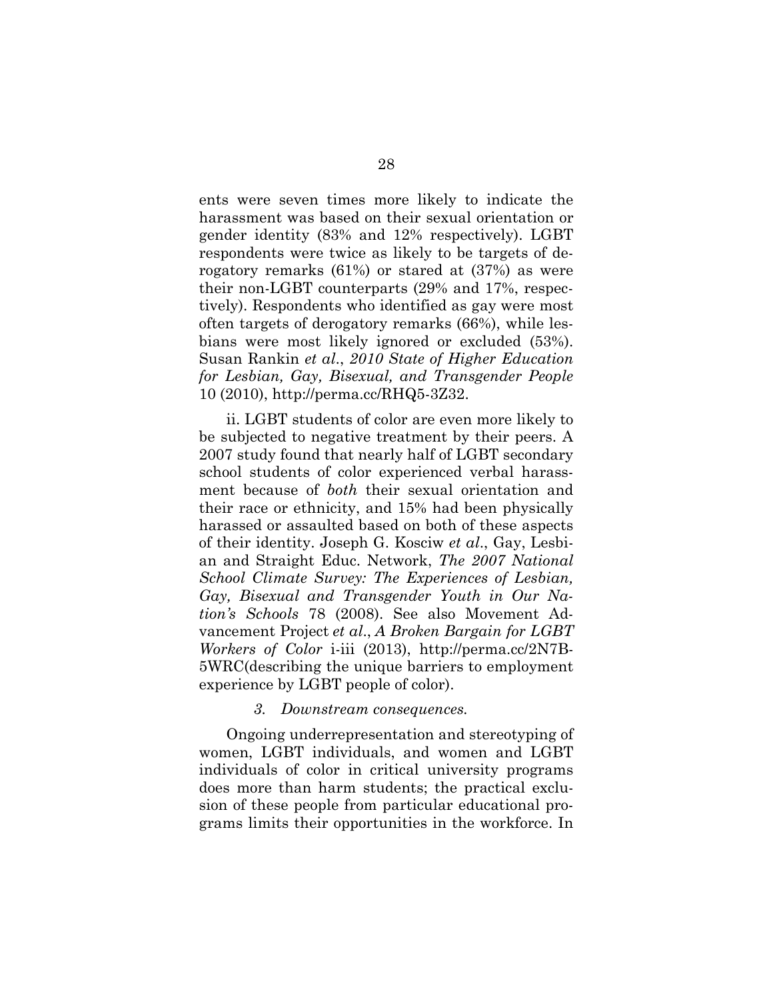ents were seven times more likely to indicate the harassment was based on their sexual orientation or gender identity (83% and 12% respectively). LGBT respondents were twice as likely to be targets of derogatory remarks (61%) or stared at (37%) as were their non-LGBT counterparts (29% and 17%, respectively). Respondents who identified as gay were most often targets of derogatory remarks (66%), while lesbians were most likely ignored or excluded (53%). Susan Rankin *et al*., *2010 State of Higher Education for Lesbian, Gay, Bisexual, and Transgender People* 10 (2010), http://perma.cc/RHQ5-3Z32.

ii. LGBT students of color are even more likely to be subjected to negative treatment by their peers. A 2007 study found that nearly half of LGBT secondary school students of color experienced verbal harassment because of *both* their sexual orientation and their race or ethnicity, and 15% had been physically harassed or assaulted based on both of these aspects of their identity. Joseph G. Kosciw *et al*., Gay, Lesbian and Straight Educ. Network, *The 2007 National School Climate Survey: The Experiences of Lesbian, Gay, Bisexual and Transgender Youth in Our Nation's Schools* 78 (2008). See also Movement Advancement Project *et al*., *A Broken Bargain for LGBT Workers of Color* i-iii (2013), http://perma.cc/2N7B-5WRC(describing the unique barriers to employment experience by LGBT people of color).

#### *3. Downstream consequences.*

Ongoing underrepresentation and stereotyping of women, LGBT individuals, and women and LGBT individuals of color in critical university programs does more than harm students; the practical exclusion of these people from particular educational programs limits their opportunities in the workforce. In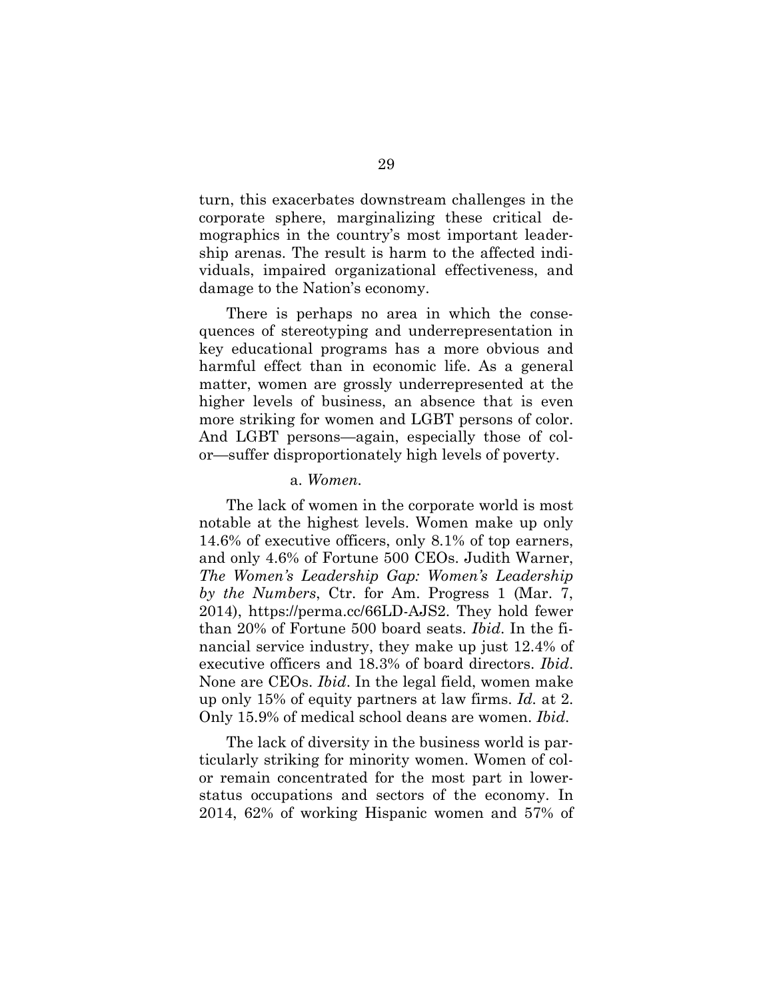turn, this exacerbates downstream challenges in the corporate sphere, marginalizing these critical demographics in the country's most important leadership arenas. The result is harm to the affected individuals, impaired organizational effectiveness, and damage to the Nation's economy.

There is perhaps no area in which the consequences of stereotyping and underrepresentation in key educational programs has a more obvious and harmful effect than in economic life. As a general matter, women are grossly underrepresented at the higher levels of business, an absence that is even more striking for women and LGBT persons of color. And LGBT persons—again, especially those of color—suffer disproportionately high levels of poverty.

#### a. *Women.*

The lack of women in the corporate world is most notable at the highest levels. Women make up only 14.6% of executive officers, only 8.1% of top earners, and only 4.6% of Fortune 500 CEOs. Judith Warner, *The Women's Leadership Gap: Women's Leadership by the Numbers*, Ctr. for Am. Progress 1 (Mar. 7, 2014), https://perma.cc/66LD-AJS2. They hold fewer than 20% of Fortune 500 board seats. *Ibid*. In the financial service industry, they make up just 12.4% of executive officers and 18.3% of board directors. *Ibid*. None are CEOs. *Ibid*. In the legal field, women make up only 15% of equity partners at law firms. *Id.* at 2. Only 15.9% of medical school deans are women. *Ibid*.

The lack of diversity in the business world is particularly striking for minority women. Women of color remain concentrated for the most part in lowerstatus occupations and sectors of the economy. In 2014, 62% of working Hispanic women and 57% of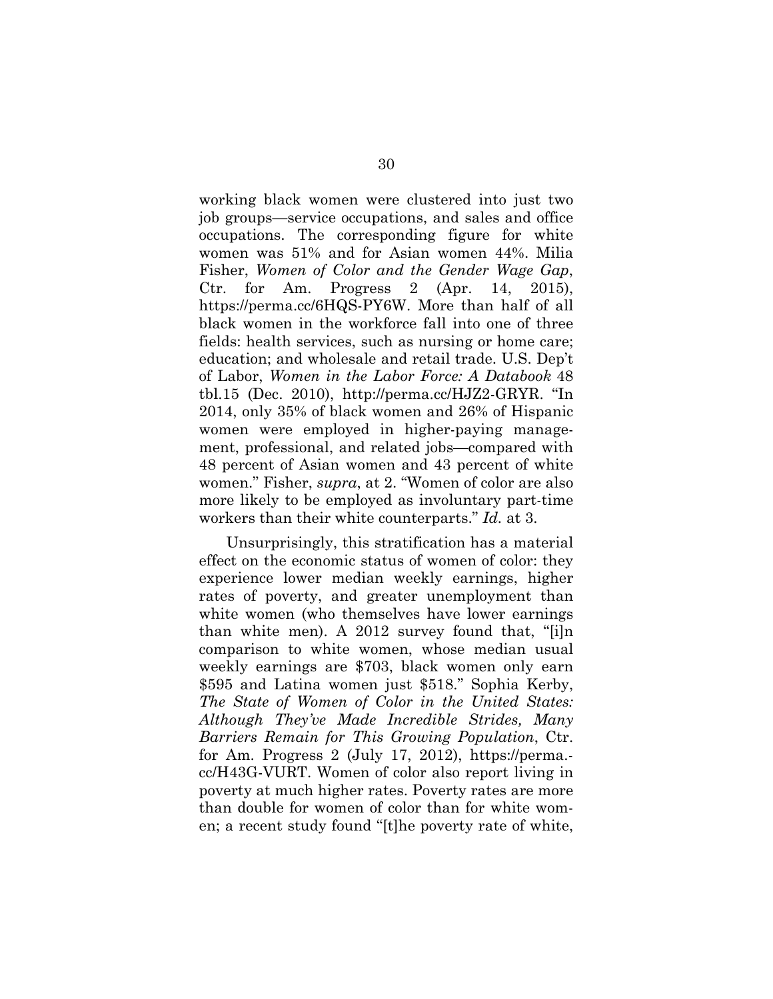working black women were clustered into just two job groups—service occupations, and sales and office occupations. The corresponding figure for white women was 51% and for Asian women 44%. Milia Fisher, *Women of Color and the Gender Wage Gap*, Ctr. for Am. Progress 2 (Apr. 14, 2015), https://perma.cc/6HQS-PY6W. More than half of all black women in the workforce fall into one of three fields: health services, such as nursing or home care; education; and wholesale and retail trade. U.S. Dep't of Labor, *Women in the Labor Force: A Databook* 48 tbl.15 (Dec. 2010), http://perma.cc/HJZ2-GRYR. "In 2014, only 35% of black women and 26% of Hispanic women were employed in higher-paying management, professional, and related jobs—compared with 48 percent of Asian women and 43 percent of white women." Fisher, *supra*, at 2. "Women of color are also more likely to be employed as involuntary part-time workers than their white counterparts." *Id.* at 3.

Unsurprisingly, this stratification has a material effect on the economic status of women of color: they experience lower median weekly earnings, higher rates of poverty, and greater unemployment than white women (who themselves have lower earnings than white men). A 2012 survey found that, "[i]n comparison to white women, whose median usual weekly earnings are \$703, black women only earn \$595 and Latina women just \$518." Sophia Kerby, *The State of Women of Color in the United States: Although They've Made Incredible Strides, Many Barriers Remain for This Growing Population*, Ctr. for Am. Progress 2 (July 17, 2012), https://perma. cc/H43G-VURT. Women of color also report living in poverty at much higher rates. Poverty rates are more than double for women of color than for white women; a recent study found "[t]he poverty rate of white,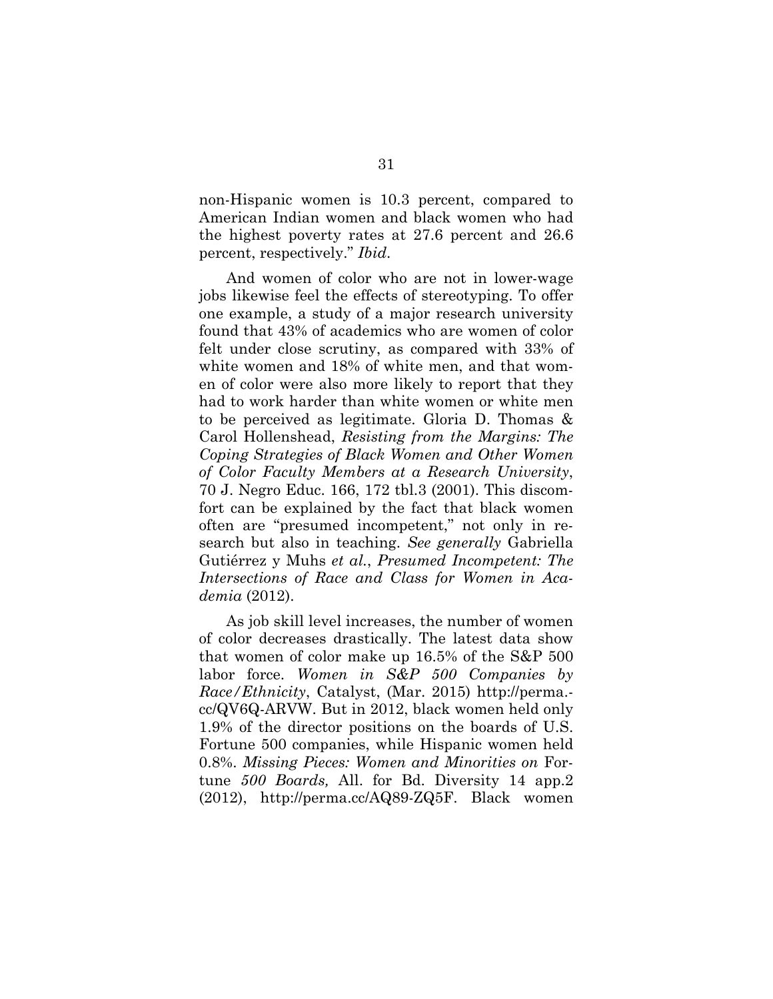non-Hispanic women is 10.3 percent, compared to American Indian women and black women who had the highest poverty rates at 27.6 percent and 26.6 percent, respectively." *Ibid*.

And women of color who are not in lower-wage jobs likewise feel the effects of stereotyping. To offer one example, a study of a major research university found that 43% of academics who are women of color felt under close scrutiny, as compared with 33% of white women and 18% of white men, and that women of color were also more likely to report that they had to work harder than white women or white men to be perceived as legitimate. Gloria D. Thomas & Carol Hollenshead, *Resisting from the Margins: The Coping Strategies of Black Women and Other Women of Color Faculty Members at a Research University*, 70 J. Negro Educ. 166, 172 tbl.3 (2001). This discomfort can be explained by the fact that black women often are "presumed incompetent," not only in research but also in teaching. *See generally* Gabriella Gutiérrez y Muhs *et al.*, *Presumed Incompetent: The Intersections of Race and Class for Women in Academia* (2012).

As job skill level increases, the number of women of color decreases drastically. The latest data show that women of color make up 16.5% of the S&P 500 labor force. *Women in S&P 500 Companies by Race/Ethnicity*, Catalyst, (Mar. 2015) http://perma. cc/QV6Q-ARVW. But in 2012, black women held only 1.9% of the director positions on the boards of U.S. Fortune 500 companies, while Hispanic women held 0.8%. *Missing Pieces: Women and Minorities on* Fortune *500 Boards,* All. for Bd. Diversity 14 app.2 (2012), http://perma.cc/AQ89-ZQ5F. Black women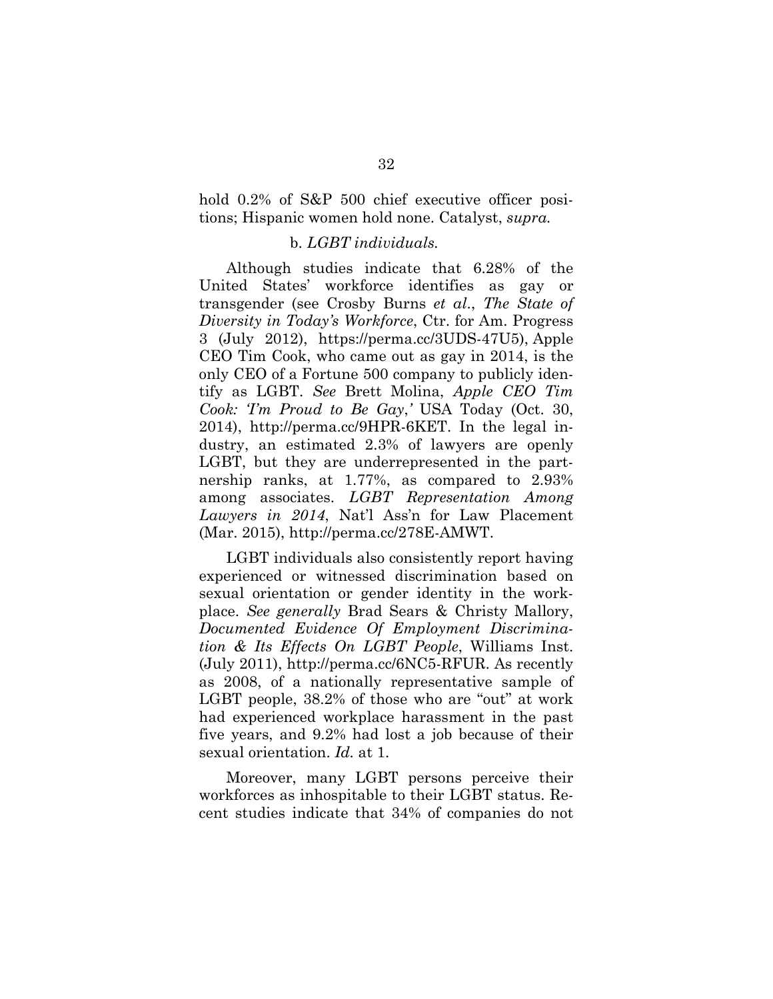hold 0.2% of S&P 500 chief executive officer positions; Hispanic women hold none. Catalyst, *supra.* 

### b. *LGBT individuals.*

Although studies indicate that 6.28% of the United States' workforce identifies as gay or transgender (see Crosby Burns *et al*., *The State of Diversity in Today's Workforce*, Ctr. for Am. Progress 3 (July 2012), https://perma.cc/3UDS-47U5), Apple CEO Tim Cook, who came out as gay in 2014, is the only CEO of a Fortune 500 company to publicly identify as LGBT. *See* Brett Molina, *Apple CEO Tim Cook: 'I'm Proud to Be Gay*,*'* USA Today (Oct. 30, 2014), http://perma.cc/9HPR-6KET. In the legal industry, an estimated 2.3% of lawyers are openly LGBT, but they are underrepresented in the partnership ranks, at 1.77%, as compared to 2.93% among associates. *LGBT Representation Among Lawyers in 2014*, Nat'l Ass'n for Law Placement (Mar. 2015), http://perma.cc/278E-AMWT.

LGBT individuals also consistently report having experienced or witnessed discrimination based on sexual orientation or gender identity in the workplace. *See generally* Brad Sears & Christy Mallory, *Documented Evidence Of Employment Discrimination & Its Effects On LGBT People*, Williams Inst. (July 2011), http://perma.cc/6NC5-RFUR. As recently as 2008, of a nationally representative sample of LGBT people, 38.2% of those who are "out" at work had experienced workplace harassment in the past five years, and 9.2% had lost a job because of their sexual orientation. *Id.* at 1.

Moreover, many LGBT persons perceive their workforces as inhospitable to their LGBT status. Recent studies indicate that 34% of companies do not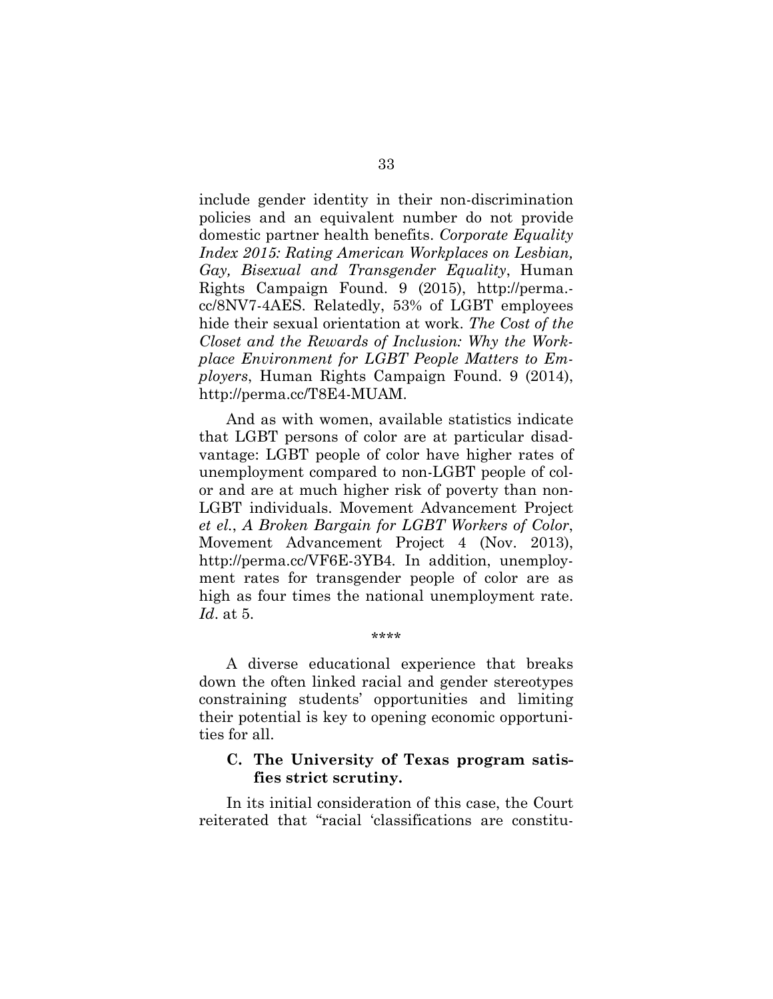include gender identity in their non-discrimination policies and an equivalent number do not provide domestic partner health benefits. *Corporate Equality Index 2015: Rating American Workplaces on Lesbian, Gay, Bisexual and Transgender Equality*, Human Rights Campaign Found. 9 (2015), http://perma. cc/8NV7-4AES. Relatedly, 53% of LGBT employees hide their sexual orientation at work. *The Cost of the Closet and the Rewards of Inclusion: Why the Workplace Environment for LGBT People Matters to Employers*, Human Rights Campaign Found. 9 (2014), http://perma.cc/T8E4-MUAM.

And as with women, available statistics indicate that LGBT persons of color are at particular disadvantage: LGBT people of color have higher rates of unemployment compared to non-LGBT people of color and are at much higher risk of poverty than non-LGBT individuals. Movement Advancement Project *et el.*, *A Broken Bargain for LGBT Workers of Color*, Movement Advancement Project 4 (Nov. 2013), http://perma.cc/VF6E-3YB4*.* In addition, unemployment rates for transgender people of color are as high as four times the national unemployment rate. *Id*. at 5.

A diverse educational experience that breaks down the often linked racial and gender stereotypes constraining students' opportunities and limiting their potential is key to opening economic opportunities for all.

\*\*\*\*

# **C. The University of Texas program satisfies strict scrutiny.**

In its initial consideration of this case, the Court reiterated that "racial 'classifications are constitu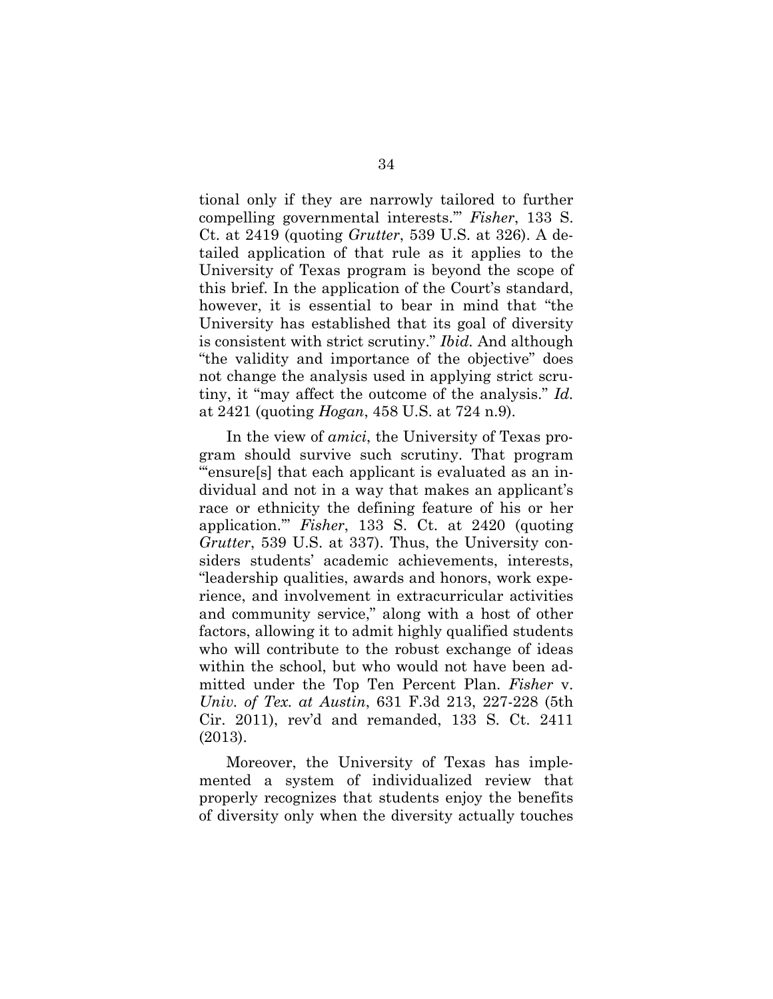tional only if they are narrowly tailored to further compelling governmental interests.'" *Fisher*, 133 S. Ct. at 2419 (quoting *Grutter*, 539 U.S. at 326). A detailed application of that rule as it applies to the University of Texas program is beyond the scope of this brief. In the application of the Court's standard, however, it is essential to bear in mind that "the University has established that its goal of diversity is consistent with strict scrutiny." *Ibid.* And although "the validity and importance of the objective" does not change the analysis used in applying strict scrutiny, it "may affect the outcome of the analysis." *Id.* at 2421 (quoting *Hogan*, 458 U.S. at 724 n.9).

In the view of *amici*, the University of Texas program should survive such scrutiny. That program "'ensure[s] that each applicant is evaluated as an individual and not in a way that makes an applicant's race or ethnicity the defining feature of his or her application.'" *Fisher*, 133 S. Ct. at 2420 (quoting *Grutter*, 539 U.S. at 337). Thus, the University considers students' academic achievements, interests, "leadership qualities, awards and honors, work experience, and involvement in extracurricular activities and community service," along with a host of other factors, allowing it to admit highly qualified students who will contribute to the robust exchange of ideas within the school, but who would not have been admitted under the Top Ten Percent Plan. *Fisher* v. *Univ. of Tex. at Austin*, 631 F.3d 213, 227-228 (5th Cir. 2011), rev'd and remanded, 133 S. Ct. 2411 (2013).

Moreover, the University of Texas has implemented a system of individualized review that properly recognizes that students enjoy the benefits of diversity only when the diversity actually touches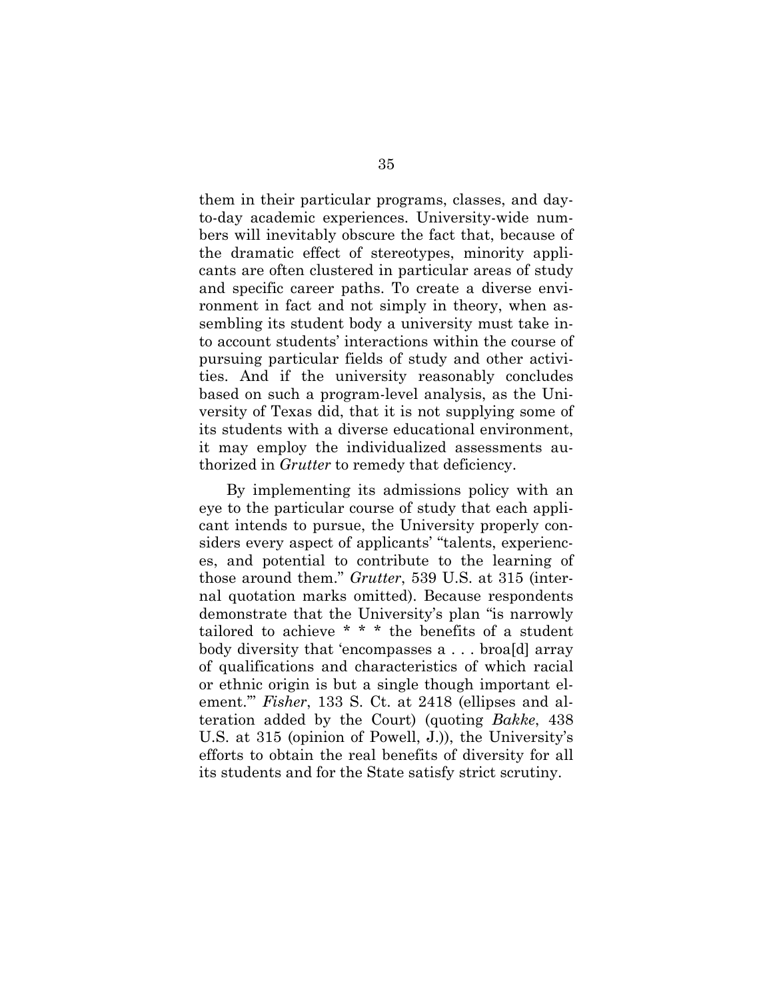them in their particular programs, classes, and dayto-day academic experiences. University-wide numbers will inevitably obscure the fact that, because of the dramatic effect of stereotypes, minority applicants are often clustered in particular areas of study and specific career paths. To create a diverse environment in fact and not simply in theory, when assembling its student body a university must take into account students' interactions within the course of pursuing particular fields of study and other activities. And if the university reasonably concludes based on such a program-level analysis, as the University of Texas did, that it is not supplying some of its students with a diverse educational environment, it may employ the individualized assessments authorized in *Grutter* to remedy that deficiency.

By implementing its admissions policy with an eye to the particular course of study that each applicant intends to pursue, the University properly considers every aspect of applicants' "talents, experiences, and potential to contribute to the learning of those around them." *Grutter*, 539 U.S. at 315 (internal quotation marks omitted). Because respondents demonstrate that the University's plan "is narrowly tailored to achieve \* \* \* the benefits of a student body diversity that 'encompasses a . . . broa[d] array of qualifications and characteristics of which racial or ethnic origin is but a single though important element.'" *Fisher*, 133 S. Ct. at 2418 (ellipses and alteration added by the Court) (quoting *Bakke*, 438 U.S. at 315 (opinion of Powell, J.)), the University's efforts to obtain the real benefits of diversity for all its students and for the State satisfy strict scrutiny.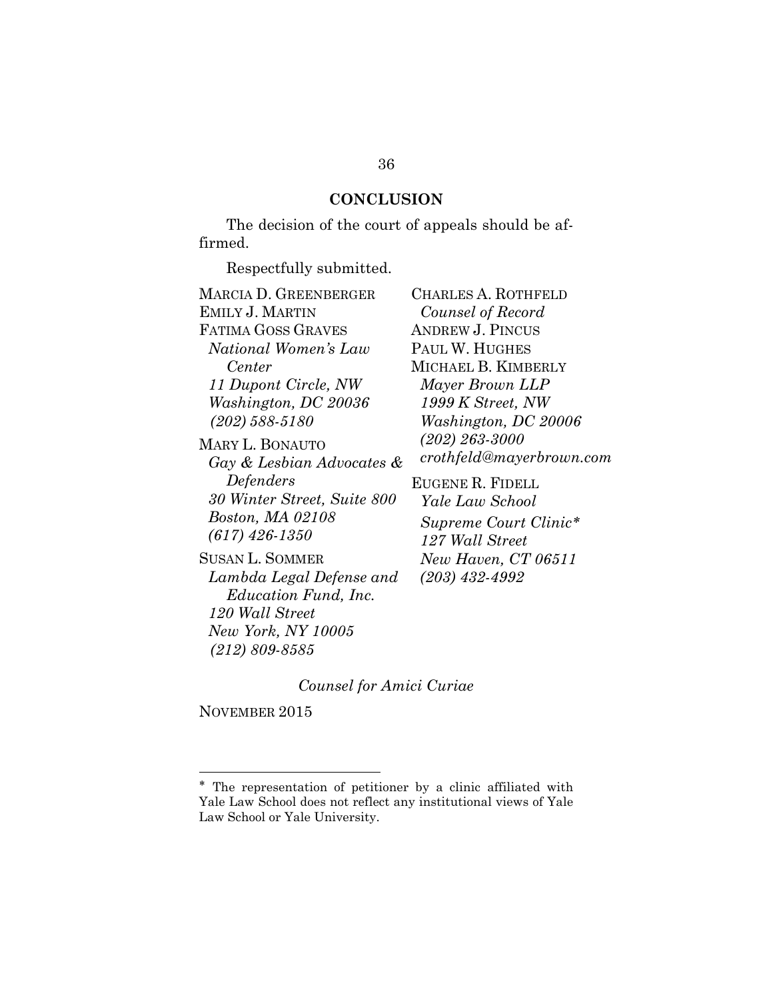## **CONCLUSION**

The decision of the court of appeals should be affirmed.

Respectfully submitted.

MARCIA D. GREENBERGER EMILY J. MARTIN FATIMA GOSS GRAVES *National Women's Law Center 11 Dupont Circle, NW Washington, DC 20036 (202) 588-5180* MARY L. BONAUTO *Gay & Lesbian Advocates & Defenders 30 Winter Street, Suite 800 Boston, MA 02108* CHARLES A. ROTHFELD

SUSAN L. SOMMER *Lambda Legal Defense and Education Fund, Inc. 120 Wall Street New York, NY 10005 (212) 809-8585*

*Counsel of Record* ANDREW J. PINCUS PAUL W. HUGHES MICHAEL B. KIMBERLY *Mayer Brown LLP 1999 K Street, NW Washington, DC 20006 (202) 263-3000 crothfeld@mayerbrown.com* EUGENE R. FIDELL *Yale Law School Supreme Court Clinic 127 Wall Street New Haven, CT 06511 (203) 432-4992*

#### *Counsel for Amici Curiae*

NOVEMBER 2015

l

*(617) 426-1350*

The representation of petitioner by a clinic affiliated with Yale Law School does not reflect any institutional views of Yale Law School or Yale University.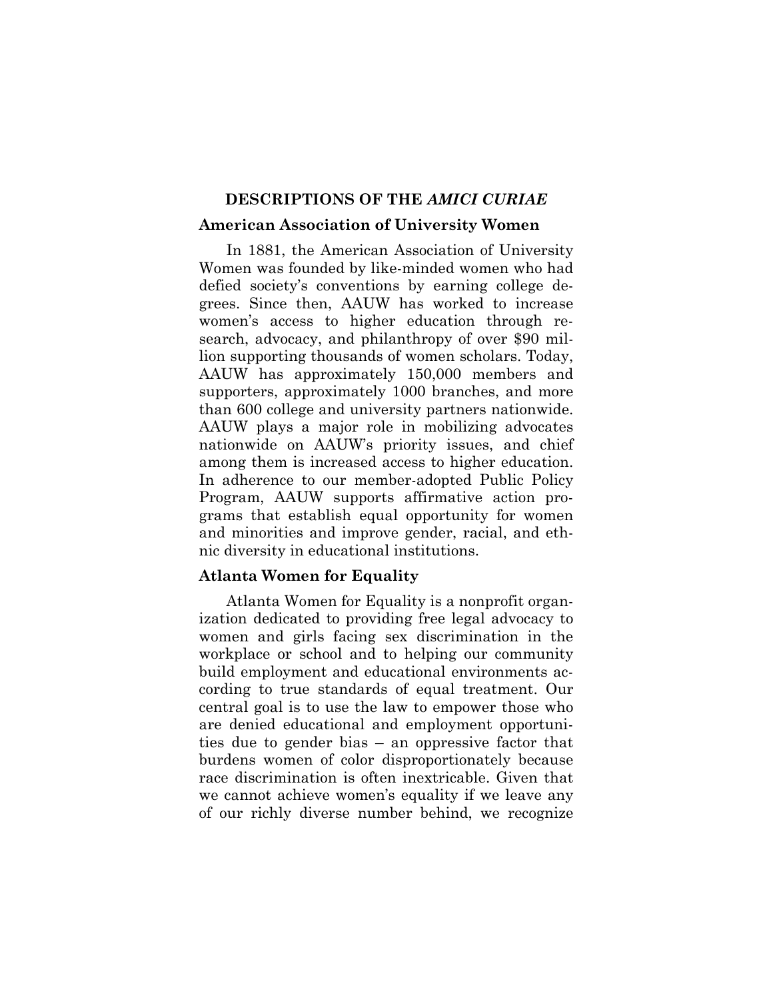## **DESCRIPTIONS OF THE** *AMICI CURIAE*

#### **American Association of University Women**

In 1881, the American Association of University Women was founded by like-minded women who had defied society's conventions by earning college degrees. Since then, AAUW has worked to increase women's access to higher education through research, advocacy, and philanthropy of over \$90 million supporting thousands of women scholars. Today, AAUW has approximately 150,000 members and supporters, approximately 1000 branches, and more than 600 college and university partners nationwide. AAUW plays a major role in mobilizing advocates nationwide on AAUW's priority issues, and chief among them is increased access to higher education. In adherence to our member-adopted Public Policy Program, AAUW supports affirmative action programs that establish equal opportunity for women and minorities and improve gender, racial, and ethnic diversity in educational institutions.

## **Atlanta Women for Equality**

Atlanta Women for Equality is a nonprofit organization dedicated to providing free legal advocacy to women and girls facing sex discrimination in the workplace or school and to helping our community build employment and educational environments according to true standards of equal treatment. Our central goal is to use the law to empower those who are denied educational and employment opportunities due to gender bias – an oppressive factor that burdens women of color disproportionately because race discrimination is often inextricable. Given that we cannot achieve women's equality if we leave any of our richly diverse number behind, we recognize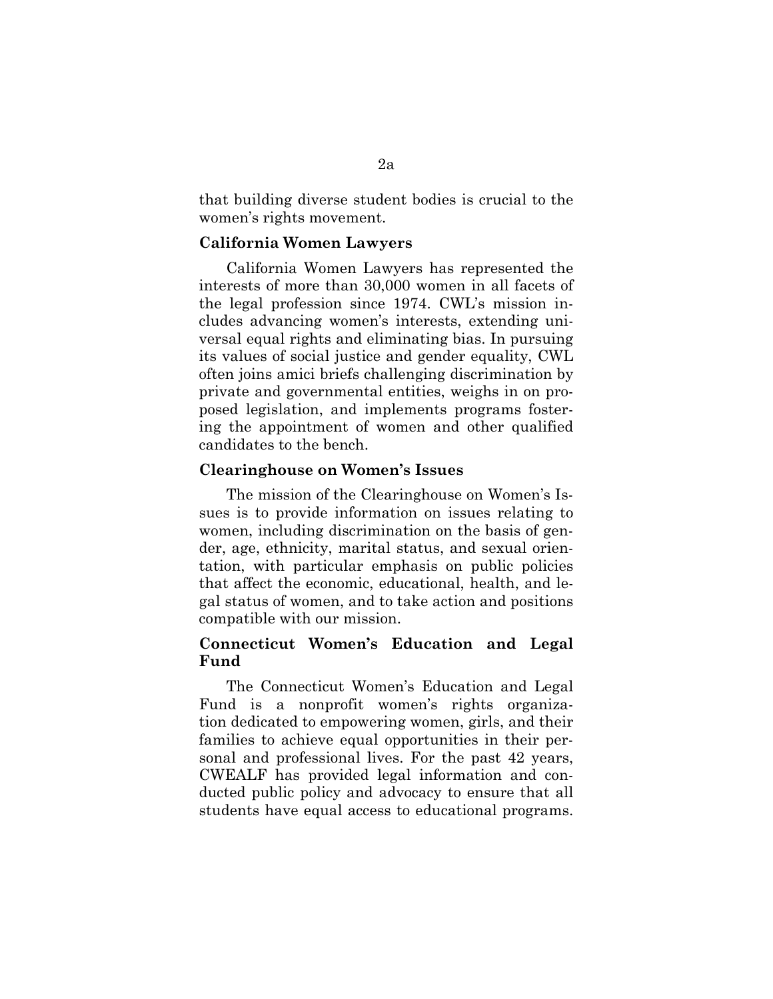that building diverse student bodies is crucial to the women's rights movement.

#### **California Women Lawyers**

California Women Lawyers has represented the interests of more than 30,000 women in all facets of the legal profession since 1974. CWL's mission includes advancing women's interests, extending universal equal rights and eliminating bias. In pursuing its values of social justice and gender equality, CWL often joins amici briefs challenging discrimination by private and governmental entities, weighs in on proposed legislation, and implements programs fostering the appointment of women and other qualified candidates to the bench.

#### **Clearinghouse on Women's Issues**

The mission of the Clearinghouse on Women's Issues is to provide information on issues relating to women, including discrimination on the basis of gender, age, ethnicity, marital status, and sexual orientation, with particular emphasis on public policies that affect the economic, educational, health, and legal status of women, and to take action and positions compatible with our mission.

# **Connecticut Women's Education and Legal Fund**

The Connecticut Women's Education and Legal Fund is a nonprofit women's rights organization dedicated to empowering women, girls, and their families to achieve equal opportunities in their personal and professional lives. For the past 42 years, CWEALF has provided legal information and conducted public policy and advocacy to ensure that all students have equal access to educational programs.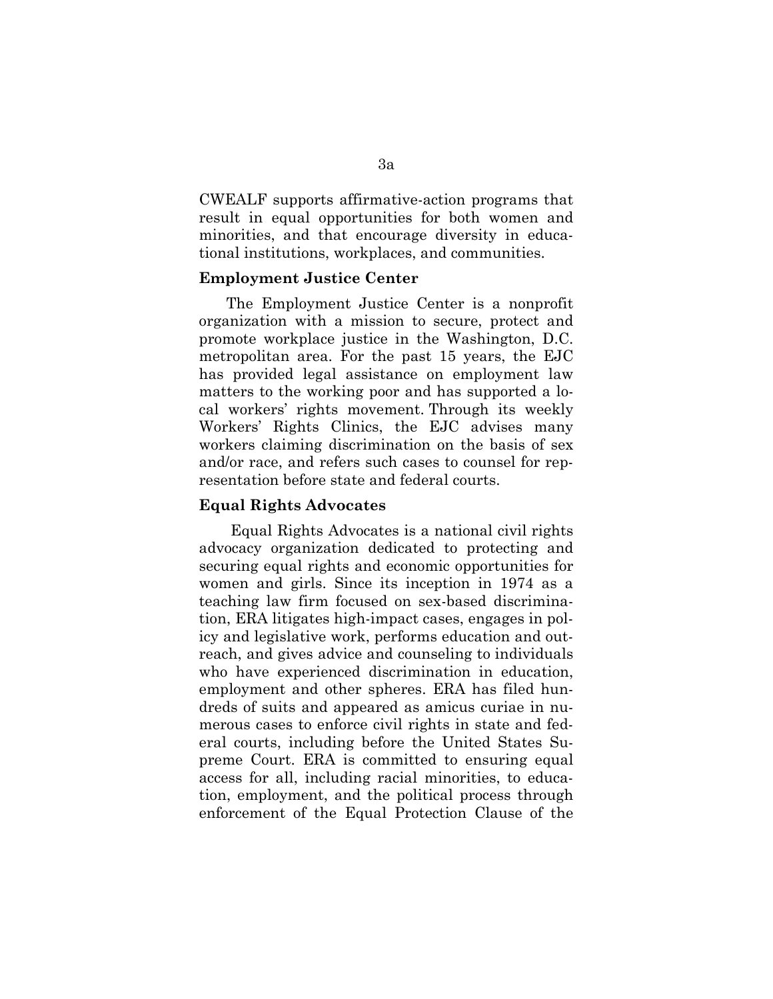CWEALF supports affirmative-action programs that result in equal opportunities for both women and minorities, and that encourage diversity in educational institutions, workplaces, and communities.

## **Employment Justice Center**

The Employment Justice Center is a nonprofit organization with a mission to secure, protect and promote workplace justice in the Washington, D.C. metropolitan area. For the past 15 years, the EJC has provided legal assistance on employment law matters to the working poor and has supported a local workers' rights movement. Through its weekly Workers' Rights Clinics, the EJC advises many workers claiming discrimination on the basis of sex and/or race, and refers such cases to counsel for representation before state and federal courts.

#### **Equal Rights Advocates**

Equal Rights Advocates is a national civil rights advocacy organization dedicated to protecting and securing equal rights and economic opportunities for women and girls. Since its inception in 1974 as a teaching law firm focused on sex-based discrimination, ERA litigates high-impact cases, engages in policy and legislative work, performs education and outreach, and gives advice and counseling to individuals who have experienced discrimination in education, employment and other spheres. ERA has filed hundreds of suits and appeared as amicus curiae in numerous cases to enforce civil rights in state and federal courts, including before the United States Supreme Court. ERA is committed to ensuring equal access for all, including racial minorities, to education, employment, and the political process through enforcement of the Equal Protection Clause of the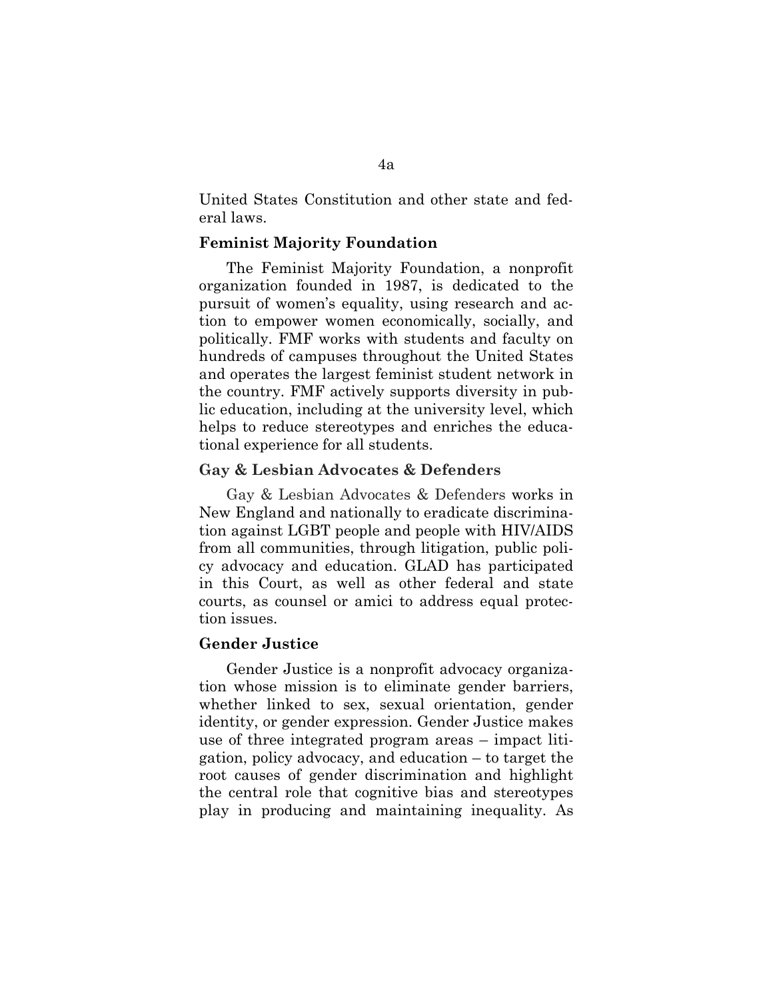United States Constitution and other state and federal laws.

## **Feminist Majority Foundation**

The Feminist Majority Foundation, a nonprofit organization founded in 1987, is dedicated to the pursuit of women's equality, using research and action to empower women economically, socially, and politically. FMF works with students and faculty on hundreds of campuses throughout the United States and operates the largest feminist student network in the country. FMF actively supports diversity in public education, including at the university level, which helps to reduce stereotypes and enriches the educational experience for all students.

#### **Gay & Lesbian Advocates & Defenders**

Gay & Lesbian Advocates & Defenders works in New England and nationally to eradicate discrimination against LGBT people and people with HIV/AIDS from all communities, through litigation, public policy advocacy and education. GLAD has participated in this Court, as well as other federal and state courts, as counsel or amici to address equal protection issues.

### **Gender Justice**

Gender Justice is a nonprofit advocacy organization whose mission is to eliminate gender barriers, whether linked to sex, sexual orientation, gender identity, or gender expression. Gender Justice makes use of three integrated program areas – impact litigation, policy advocacy, and education – to target the root causes of gender discrimination and highlight the central role that cognitive bias and stereotypes play in producing and maintaining inequality. As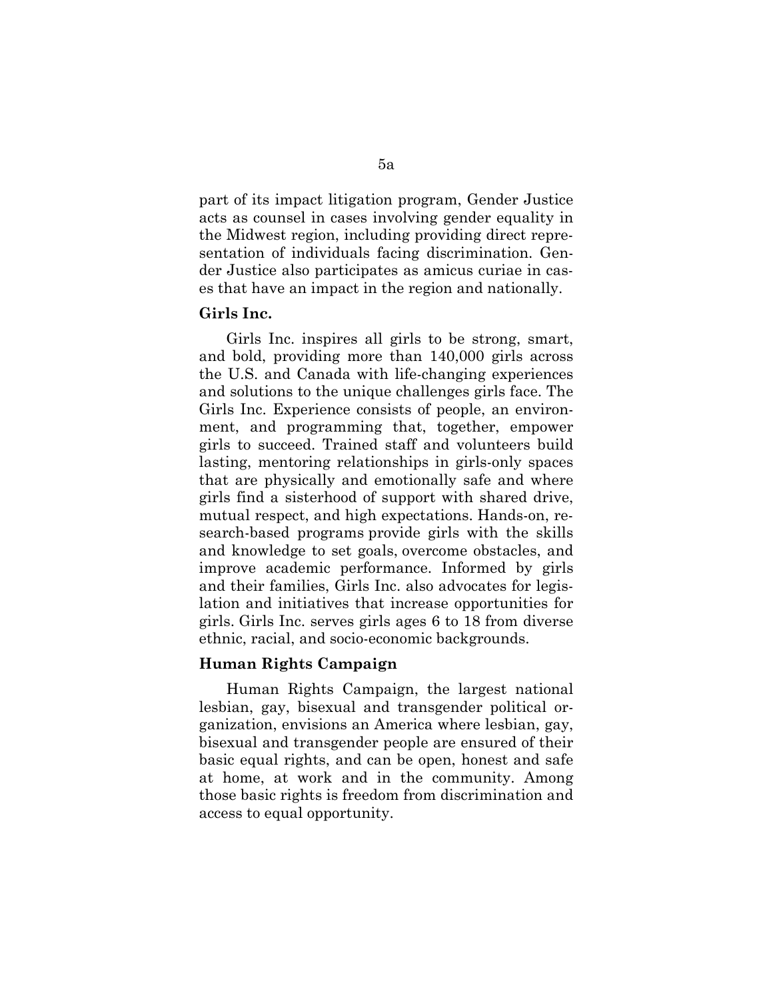part of its impact litigation program, Gender Justice acts as counsel in cases involving gender equality in the Midwest region, including providing direct representation of individuals facing discrimination. Gender Justice also participates as amicus curiae in cases that have an impact in the region and nationally.

#### **Girls Inc.**

Girls Inc. inspires all girls to be strong, smart, and bold, providing more than 140,000 girls across the U.S. and Canada with life-changing experiences and solutions to the unique challenges girls face. The Girls Inc. Experience consists of people, an environment, and programming that, together, empower girls to succeed. Trained staff and volunteers build lasting, mentoring relationships in girls-only spaces that are physically and emotionally safe and where girls find a sisterhood of support with shared drive, mutual respect, and high expectations. Hands-on, research-based programs provide girls with the skills and knowledge to set goals, overcome obstacles, and improve academic performance. Informed by girls and their families, Girls Inc. also advocates for legislation and initiatives that increase opportunities for girls. Girls Inc. serves girls ages 6 to 18 from diverse ethnic, racial, and socio-economic backgrounds.

### **Human Rights Campaign**

Human Rights Campaign, the largest national lesbian, gay, bisexual and transgender political organization, envisions an America where lesbian, gay, bisexual and transgender people are ensured of their basic equal rights, and can be open, honest and safe at home, at work and in the community. Among those basic rights is freedom from discrimination and access to equal opportunity.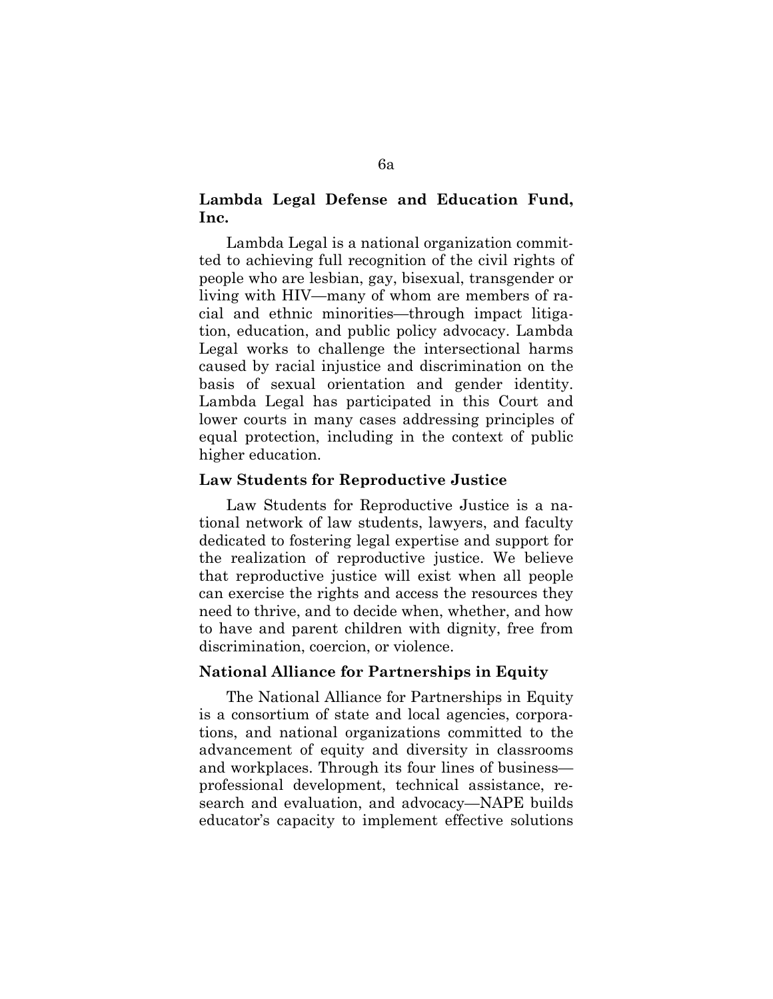# **Lambda Legal Defense and Education Fund, Inc.**

Lambda Legal is a national organization committed to achieving full recognition of the civil rights of people who are lesbian, gay, bisexual, transgender or living with HIV—many of whom are members of racial and ethnic minorities—through impact litigation, education, and public policy advocacy. Lambda Legal works to challenge the intersectional harms caused by racial injustice and discrimination on the basis of sexual orientation and gender identity. Lambda Legal has participated in this Court and lower courts in many cases addressing principles of equal protection, including in the context of public higher education.

# **Law Students for Reproductive Justice**

Law Students for Reproductive Justice is a national network of law students, lawyers, and faculty dedicated to fostering legal expertise and support for the realization of reproductive justice. We believe that reproductive justice will exist when all people can exercise the rights and access the resources they need to thrive, and to decide when, whether, and how to have and parent children with dignity, free from discrimination, coercion, or violence.

#### **National Alliance for Partnerships in Equity**

The National Alliance for Partnerships in Equity is a consortium of state and local agencies, corporations, and national organizations committed to the advancement of equity and diversity in classrooms and workplaces. Through its four lines of business professional development, technical assistance, research and evaluation, and advocacy—NAPE builds educator's capacity to implement effective solutions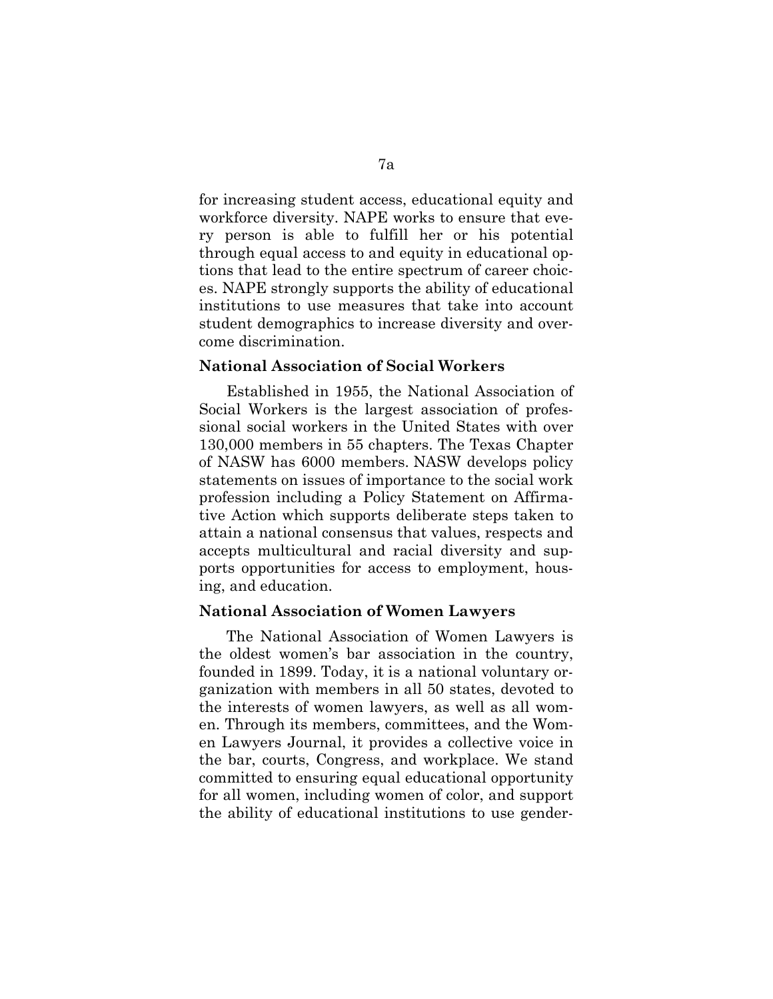for increasing student access, educational equity and workforce diversity. NAPE works to ensure that every person is able to fulfill her or his potential through equal access to and equity in educational options that lead to the entire spectrum of career choices. NAPE strongly supports the ability of educational institutions to use measures that take into account student demographics to increase diversity and overcome discrimination.

# **National Association of Social Workers**

Established in 1955, the National Association of Social Workers is the largest association of professional social workers in the United States with over 130,000 members in 55 chapters. The Texas Chapter of NASW has 6000 members. NASW develops policy statements on issues of importance to the social work profession including a Policy Statement on Affirmative Action which supports deliberate steps taken to attain a national consensus that values, respects and accepts multicultural and racial diversity and supports opportunities for access to employment, housing, and education.

#### **National Association of Women Lawyers**

The National Association of Women Lawyers is the oldest women's bar association in the country, founded in 1899. Today, it is a national voluntary organization with members in all 50 states, devoted to the interests of women lawyers, as well as all women. Through its members, committees, and the Women Lawyers Journal, it provides a collective voice in the bar, courts, Congress, and workplace. We stand committed to ensuring equal educational opportunity for all women, including women of color, and support the ability of educational institutions to use gender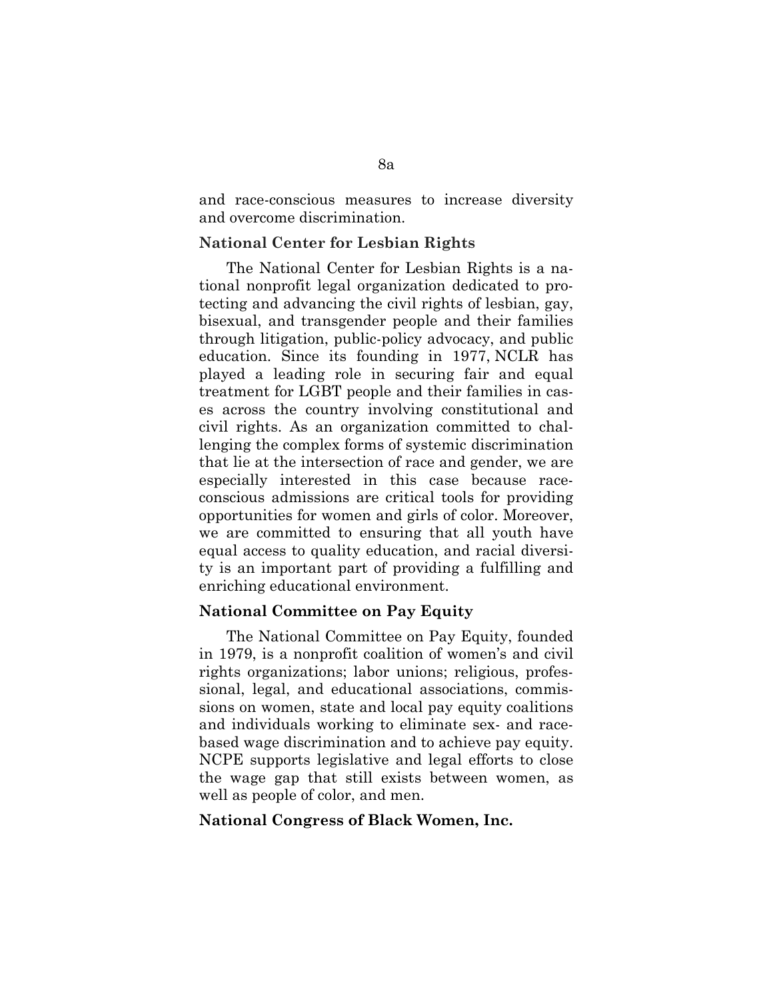and race-conscious measures to increase diversity and overcome discrimination.

#### **National Center for Lesbian Rights**

The National Center for Lesbian Rights is a national nonprofit legal organization dedicated to protecting and advancing the civil rights of lesbian, gay, bisexual, and transgender people and their families through litigation, public-policy advocacy, and public education. Since its founding in 1977, NCLR has played a leading role in securing fair and equal treatment for LGBT people and their families in cases across the country involving constitutional and civil rights. As an organization committed to challenging the complex forms of systemic discrimination that lie at the intersection of race and gender, we are especially interested in this case because raceconscious admissions are critical tools for providing opportunities for women and girls of color. Moreover, we are committed to ensuring that all youth have equal access to quality education, and racial diversity is an important part of providing a fulfilling and enriching educational environment.

#### **National Committee on Pay Equity**

The National Committee on Pay Equity, founded in 1979, is a nonprofit coalition of women's and civil rights organizations; labor unions; religious, professional, legal, and educational associations, commissions on women, state and local pay equity coalitions and individuals working to eliminate sex- and racebased wage discrimination and to achieve pay equity. NCPE supports legislative and legal efforts to close the wage gap that still exists between women, as well as people of color, and men.

### **National Congress of Black Women, Inc.**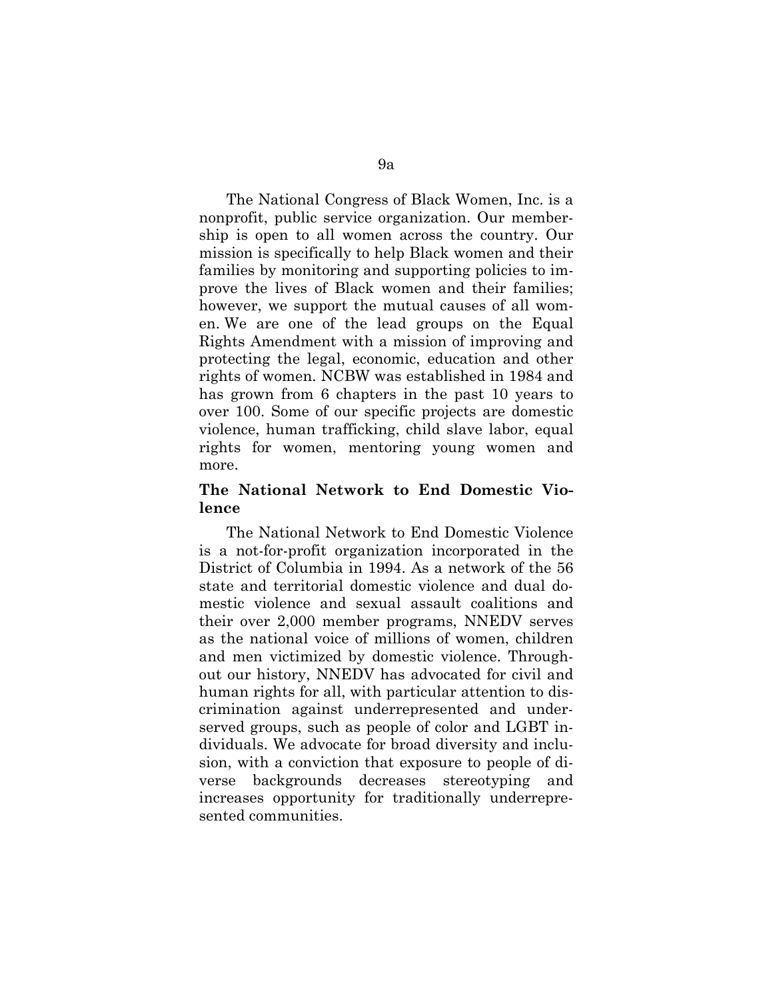The National Congress of Black Women, Inc. is a nonprofit, public service organization. Our membership is open to all women across the country. Our mission is specifically to help Black women and their families by monitoring and supporting policies to improve the lives of Black women and their families; however, we support the mutual causes of all women. We are one of the lead groups on the Equal Rights Amendment with a mission of improving and protecting the legal, economic, education and other rights of women. NCBW was established in 1984 and has grown from 6 chapters in the past 10 years to over 100. Some of our specific projects are domestic violence, human trafficking, child slave labor, equal rights for women, mentoring young women and more.

# **The National Network to End Domestic Violence**

The National Network to End Domestic Violence is a not-for-profit organization incorporated in the District of Columbia in 1994. As a network of the 56 state and territorial domestic violence and dual domestic violence and sexual assault coalitions and their over 2,000 member programs, NNEDV serves as the national voice of millions of women, children and men victimized by domestic violence. Throughout our history, NNEDV has advocated for civil and human rights for all, with particular attention to discrimination against underrepresented and underserved groups, such as people of color and LGBT individuals. We advocate for broad diversity and inclusion, with a conviction that exposure to people of diverse backgrounds decreases stereotyping and increases opportunity for traditionally underrepresented communities.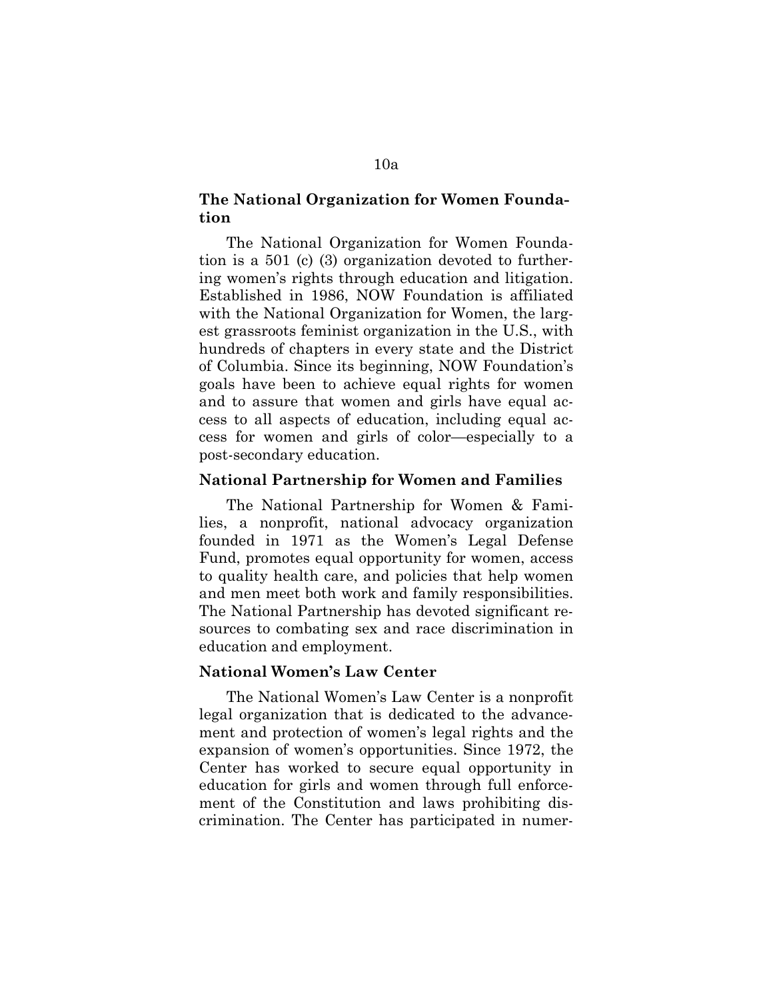# **The National Organization for Women Foundation**

The National Organization for Women Foundation is a 501 (c) (3) organization devoted to furthering women's rights through education and litigation. Established in 1986, NOW Foundation is affiliated with the National Organization for Women, the largest grassroots feminist organization in the U.S., with hundreds of chapters in every state and the District of Columbia. Since its beginning, NOW Foundation's goals have been to achieve equal rights for women and to assure that women and girls have equal access to all aspects of education, including equal access for women and girls of color—especially to a post-secondary education.

#### **National Partnership for Women and Families**

The National Partnership for Women & Families, a nonprofit, national advocacy organization founded in 1971 as the Women's Legal Defense Fund, promotes equal opportunity for women, access to quality health care, and policies that help women and men meet both work and family responsibilities. The National Partnership has devoted significant resources to combating sex and race discrimination in education and employment.

## **National Women's Law Center**

The National Women's Law Center is a nonprofit legal organization that is dedicated to the advancement and protection of women's legal rights and the expansion of women's opportunities. Since 1972, the Center has worked to secure equal opportunity in education for girls and women through full enforcement of the Constitution and laws prohibiting discrimination. The Center has participated in numer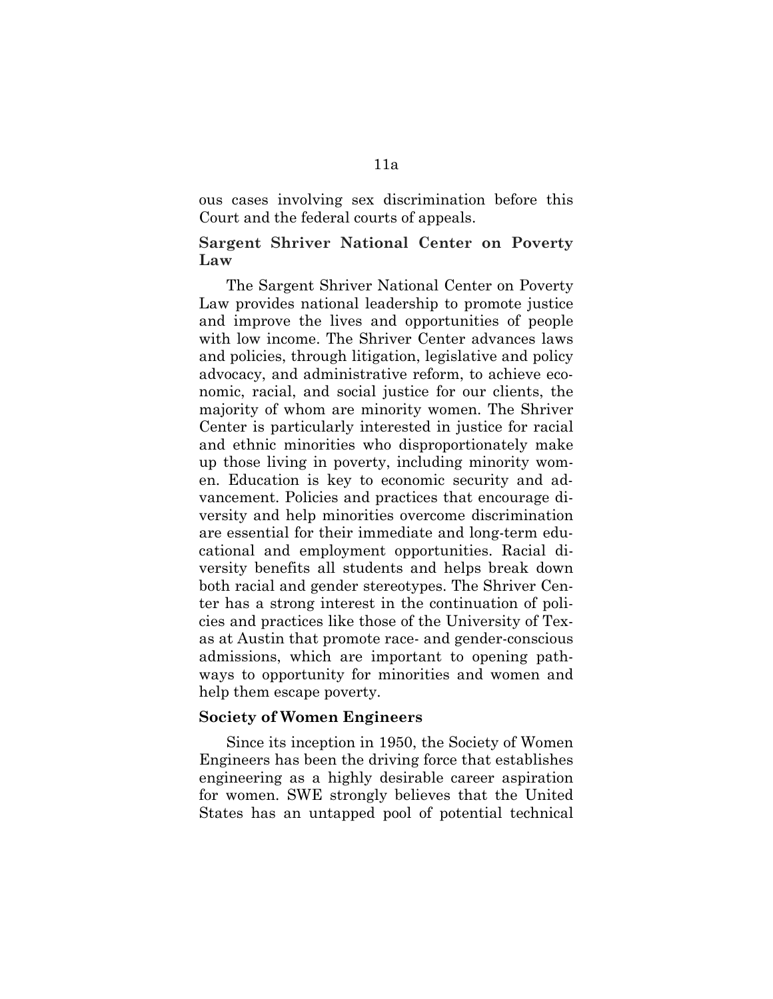ous cases involving sex discrimination before this Court and the federal courts of appeals.

# **Sargent Shriver National Center on Poverty Law**

The Sargent Shriver National Center on Poverty Law provides national leadership to promote justice and improve the lives and opportunities of people with low income. The Shriver Center advances laws and policies, through litigation, legislative and policy advocacy, and administrative reform, to achieve economic, racial, and social justice for our clients, the majority of whom are minority women. The Shriver Center is particularly interested in justice for racial and ethnic minorities who disproportionately make up those living in poverty, including minority women. Education is key to economic security and advancement. Policies and practices that encourage diversity and help minorities overcome discrimination are essential for their immediate and long-term educational and employment opportunities. Racial diversity benefits all students and helps break down both racial and gender stereotypes. The Shriver Center has a strong interest in the continuation of policies and practices like those of the University of Texas at Austin that promote race- and gender-conscious admissions, which are important to opening pathways to opportunity for minorities and women and help them escape poverty.

## **Society of Women Engineers**

Since its inception in 1950, the Society of Women Engineers has been the driving force that establishes engineering as a highly desirable career aspiration for women. SWE strongly believes that the United States has an untapped pool of potential technical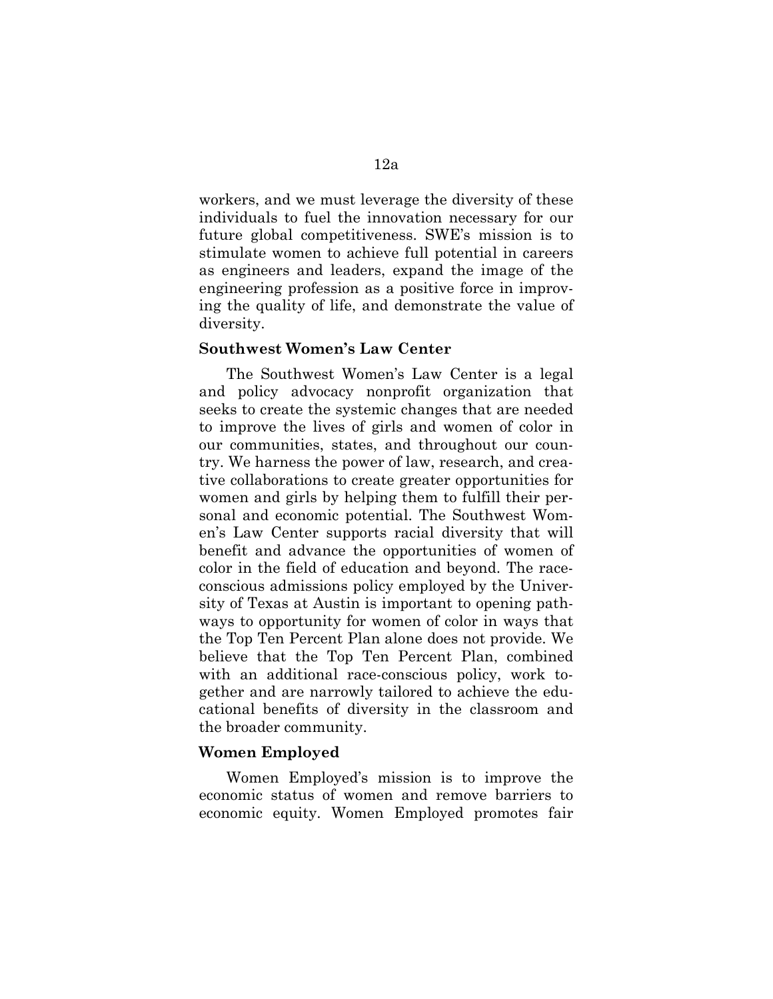workers, and we must leverage the diversity of these individuals to fuel the innovation necessary for our future global competitiveness. SWE's mission is to stimulate women to achieve full potential in careers as engineers and leaders, expand the image of the engineering profession as a positive force in improving the quality of life, and demonstrate the value of diversity.

## **Southwest Women's Law Center**

The Southwest Women's Law Center is a legal and policy advocacy nonprofit organization that seeks to create the systemic changes that are needed to improve the lives of girls and women of color in our communities, states, and throughout our country. We harness the power of law, research, and creative collaborations to create greater opportunities for women and girls by helping them to fulfill their personal and economic potential. The Southwest Women's Law Center supports racial diversity that will benefit and advance the opportunities of women of color in the field of education and beyond. The raceconscious admissions policy employed by the University of Texas at Austin is important to opening pathways to opportunity for women of color in ways that the Top Ten Percent Plan alone does not provide. We believe that the Top Ten Percent Plan, combined with an additional race-conscious policy, work together and are narrowly tailored to achieve the educational benefits of diversity in the classroom and the broader community.

### **Women Employed**

Women Employed's mission is to improve the economic status of women and remove barriers to economic equity. Women Employed promotes fair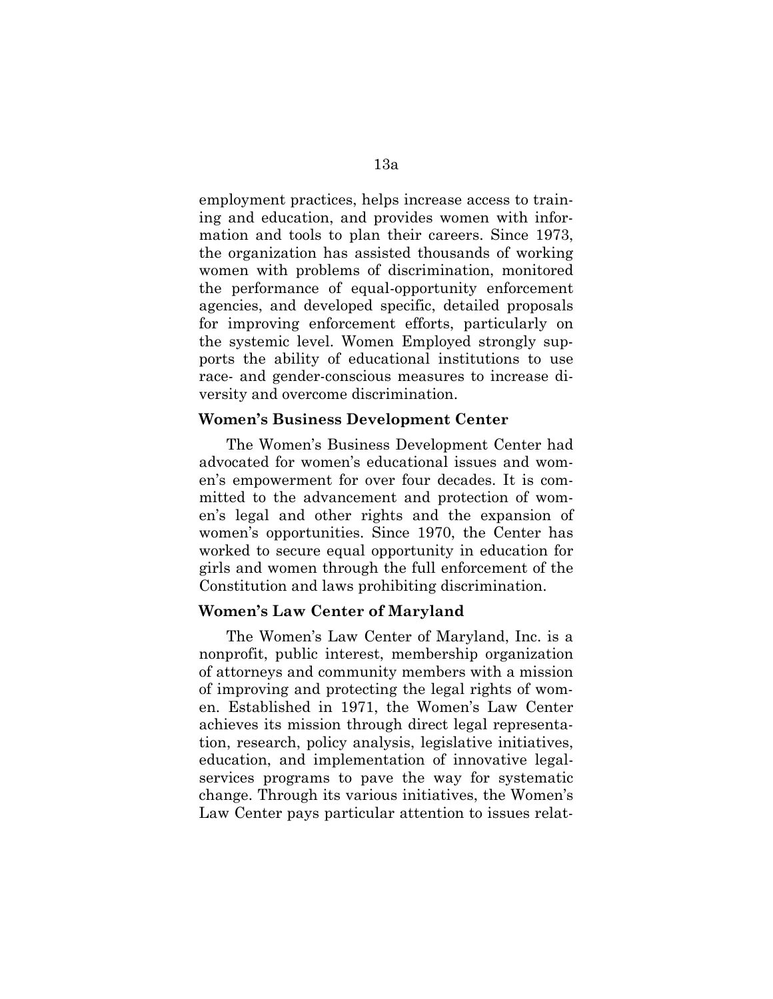employment practices, helps increase access to training and education, and provides women with information and tools to plan their careers. Since 1973, the organization has assisted thousands of working women with problems of discrimination, monitored the performance of equal-opportunity enforcement agencies, and developed specific, detailed proposals for improving enforcement efforts, particularly on the systemic level. Women Employed strongly supports the ability of educational institutions to use race- and gender-conscious measures to increase diversity and overcome discrimination.

#### **Women's Business Development Center**

The Women's Business Development Center had advocated for women's educational issues and women's empowerment for over four decades. It is committed to the advancement and protection of women's legal and other rights and the expansion of women's opportunities. Since 1970, the Center has worked to secure equal opportunity in education for girls and women through the full enforcement of the Constitution and laws prohibiting discrimination.

## **Women's Law Center of Maryland**

The Women's Law Center of Maryland, Inc. is a nonprofit, public interest, membership organization of attorneys and community members with a mission of improving and protecting the legal rights of women. Established in 1971, the Women's Law Center achieves its mission through direct legal representation, research, policy analysis, legislative initiatives, education, and implementation of innovative legalservices programs to pave the way for systematic change. Through its various initiatives, the Women's Law Center pays particular attention to issues relat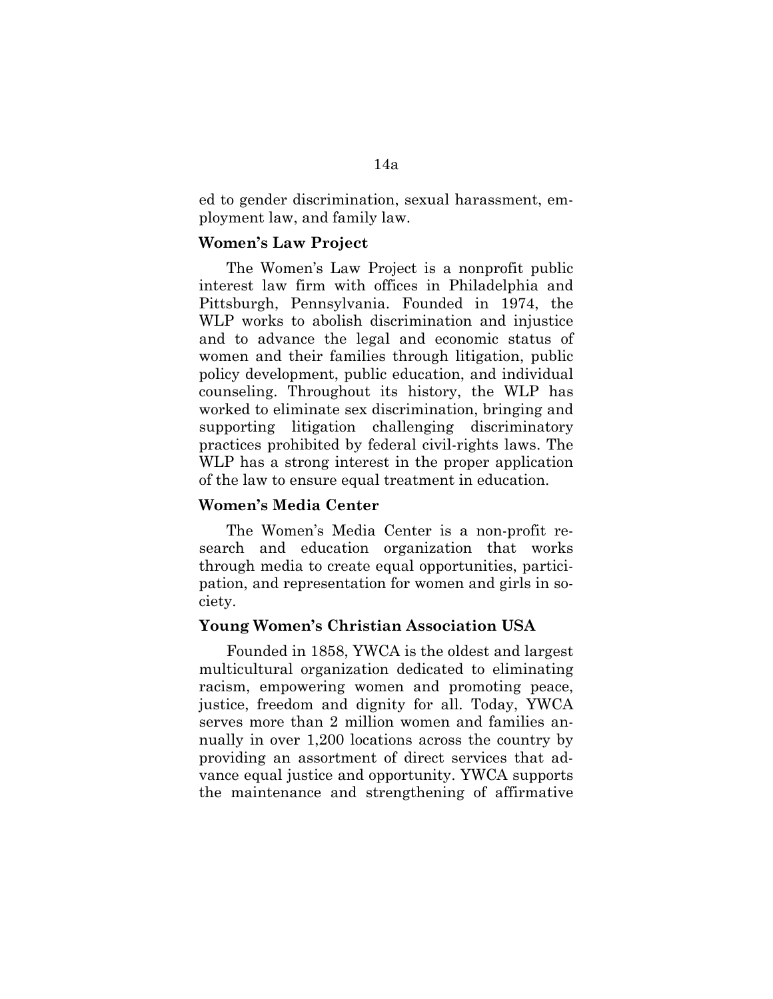ed to gender discrimination, sexual harassment, employment law, and family law.

#### **Women's Law Project**

The Women's Law Project is a nonprofit public interest law firm with offices in Philadelphia and Pittsburgh, Pennsylvania. Founded in 1974, the WLP works to abolish discrimination and injustice and to advance the legal and economic status of women and their families through litigation, public policy development, public education, and individual counseling. Throughout its history, the WLP has worked to eliminate sex discrimination, bringing and supporting litigation challenging discriminatory practices prohibited by federal civil-rights laws. The WLP has a strong interest in the proper application of the law to ensure equal treatment in education.

## **Women's Media Center**

The Women's Media Center is a non-profit research and education organization that works through media to create equal opportunities, participation, and representation for women and girls in society.

#### **Young Women's Christian Association USA**

Founded in 1858, YWCA is the oldest and largest multicultural organization dedicated to eliminating racism, empowering women and promoting peace, justice, freedom and dignity for all. Today, YWCA serves more than 2 million women and families annually in over 1,200 locations across the country by providing an assortment of direct services that advance equal justice and opportunity. YWCA supports the maintenance and strengthening of affirmative